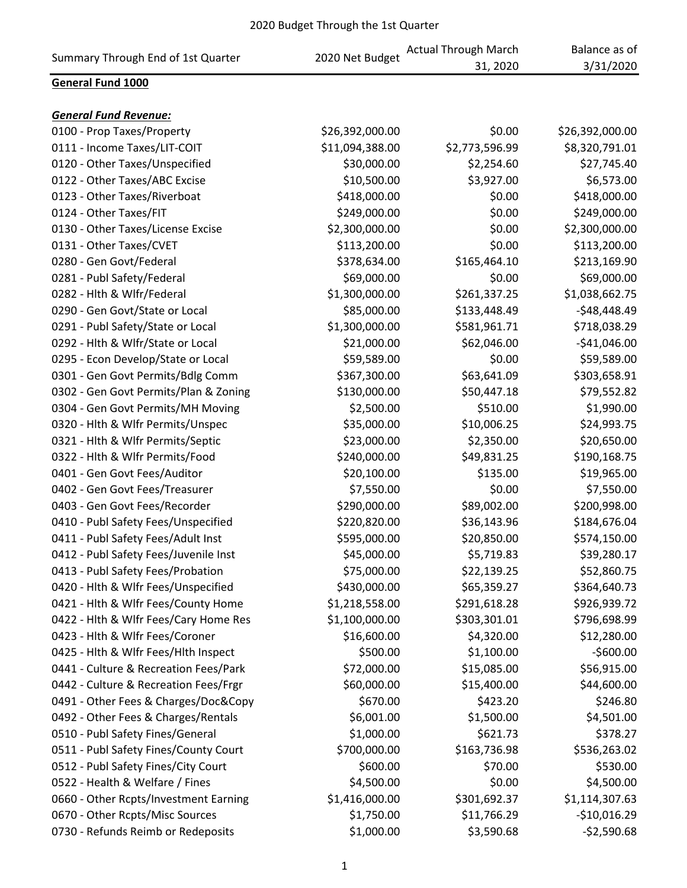| Summary Through End of 1st Quarter    | 2020 Net Budget | <b>Actual Through March</b><br>31, 2020 | Balance as of<br>3/31/2020 |
|---------------------------------------|-----------------|-----------------------------------------|----------------------------|
| General Fund 1000                     |                 |                                         |                            |
|                                       |                 |                                         |                            |
| <b>General Fund Revenue:</b>          |                 |                                         |                            |
| 0100 - Prop Taxes/Property            | \$26,392,000.00 | \$0.00                                  | \$26,392,000.00            |
| 0111 - Income Taxes/LIT-COIT          | \$11,094,388.00 | \$2,773,596.99                          | \$8,320,791.01             |
| 0120 - Other Taxes/Unspecified        | \$30,000.00     | \$2,254.60                              | \$27,745.40                |
| 0122 - Other Taxes/ABC Excise         | \$10,500.00     | \$3,927.00                              | \$6,573.00                 |
| 0123 - Other Taxes/Riverboat          | \$418,000.00    | \$0.00                                  | \$418,000.00               |
| 0124 - Other Taxes/FIT                | \$249,000.00    | \$0.00                                  | \$249,000.00               |
| 0130 - Other Taxes/License Excise     | \$2,300,000.00  | \$0.00                                  | \$2,300,000.00             |
| 0131 - Other Taxes/CVET               | \$113,200.00    | \$0.00                                  | \$113,200.00               |
| 0280 - Gen Govt/Federal               | \$378,634.00    | \$165,464.10                            | \$213,169.90               |
| 0281 - Publ Safety/Federal            | \$69,000.00     | \$0.00                                  | \$69,000.00                |
| 0282 - Hlth & Wlfr/Federal            | \$1,300,000.00  | \$261,337.25                            | \$1,038,662.75             |
| 0290 - Gen Govt/State or Local        | \$85,000.00     | \$133,448.49                            | $-$48,448.49$              |
| 0291 - Publ Safety/State or Local     | \$1,300,000.00  | \$581,961.71                            | \$718,038.29               |
| 0292 - Hlth & Wlfr/State or Local     | \$21,000.00     | \$62,046.00                             | $-$41,046.00$              |
| 0295 - Econ Develop/State or Local    | \$59,589.00     | \$0.00                                  | \$59,589.00                |
| 0301 - Gen Govt Permits/Bdlg Comm     | \$367,300.00    | \$63,641.09                             | \$303,658.91               |
| 0302 - Gen Govt Permits/Plan & Zoning | \$130,000.00    | \$50,447.18                             | \$79,552.82                |
| 0304 - Gen Govt Permits/MH Moving     | \$2,500.00      | \$510.00                                | \$1,990.00                 |
| 0320 - Hlth & Wlfr Permits/Unspec     | \$35,000.00     | \$10,006.25                             | \$24,993.75                |
| 0321 - Hlth & Wlfr Permits/Septic     | \$23,000.00     | \$2,350.00                              | \$20,650.00                |
| 0322 - Hlth & Wlfr Permits/Food       | \$240,000.00    | \$49,831.25                             | \$190,168.75               |
| 0401 - Gen Govt Fees/Auditor          | \$20,100.00     | \$135.00                                | \$19,965.00                |
| 0402 - Gen Govt Fees/Treasurer        | \$7,550.00      | \$0.00                                  | \$7,550.00                 |
| 0403 - Gen Govt Fees/Recorder         | \$290,000.00    | \$89,002.00                             | \$200,998.00               |
| 0410 - Publ Safety Fees/Unspecified   | \$220,820.00    | \$36,143.96                             | \$184,676.04               |
| 0411 - Publ Safety Fees/Adult Inst    | \$595,000.00    | \$20,850.00                             | \$574,150.00               |
| 0412 - Publ Safety Fees/Juvenile Inst | \$45,000.00     | \$5,719.83                              | \$39,280.17                |
| 0413 - Publ Safety Fees/Probation     | \$75,000.00     | \$22,139.25                             | \$52,860.75                |
| 0420 - Hlth & Wlfr Fees/Unspecified   | \$430,000.00    | \$65,359.27                             | \$364,640.73               |
| 0421 - Hlth & Wlfr Fees/County Home   | \$1,218,558.00  | \$291,618.28                            | \$926,939.72               |
| 0422 - Hlth & Wlfr Fees/Cary Home Res | \$1,100,000.00  | \$303,301.01                            | \$796,698.99               |
| 0423 - Hlth & Wlfr Fees/Coroner       | \$16,600.00     | \$4,320.00                              | \$12,280.00                |
| 0425 - Hith & Wifr Fees/Hith Inspect  | \$500.00        | \$1,100.00                              | $-$600.00$                 |
| 0441 - Culture & Recreation Fees/Park | \$72,000.00     | \$15,085.00                             | \$56,915.00                |
| 0442 - Culture & Recreation Fees/Frgr | \$60,000.00     | \$15,400.00                             | \$44,600.00                |
| 0491 - Other Fees & Charges/Doc&Copy  | \$670.00        | \$423.20                                | \$246.80                   |
| 0492 - Other Fees & Charges/Rentals   | \$6,001.00      | \$1,500.00                              | \$4,501.00                 |
| 0510 - Publ Safety Fines/General      | \$1,000.00      | \$621.73                                | \$378.27                   |
| 0511 - Publ Safety Fines/County Court | \$700,000.00    | \$163,736.98                            | \$536,263.02               |
| 0512 - Publ Safety Fines/City Court   | \$600.00        | \$70.00                                 | \$530.00                   |
| 0522 - Health & Welfare / Fines       | \$4,500.00      | \$0.00                                  | \$4,500.00                 |
| 0660 - Other Rcpts/Investment Earning | \$1,416,000.00  | \$301,692.37                            | \$1,114,307.63             |
| 0670 - Other Rcpts/Misc Sources       | \$1,750.00      | \$11,766.29                             | $-$10,016.29$              |
| 0730 - Refunds Reimb or Redeposits    | \$1,000.00      | \$3,590.68                              | $-52,590.68$               |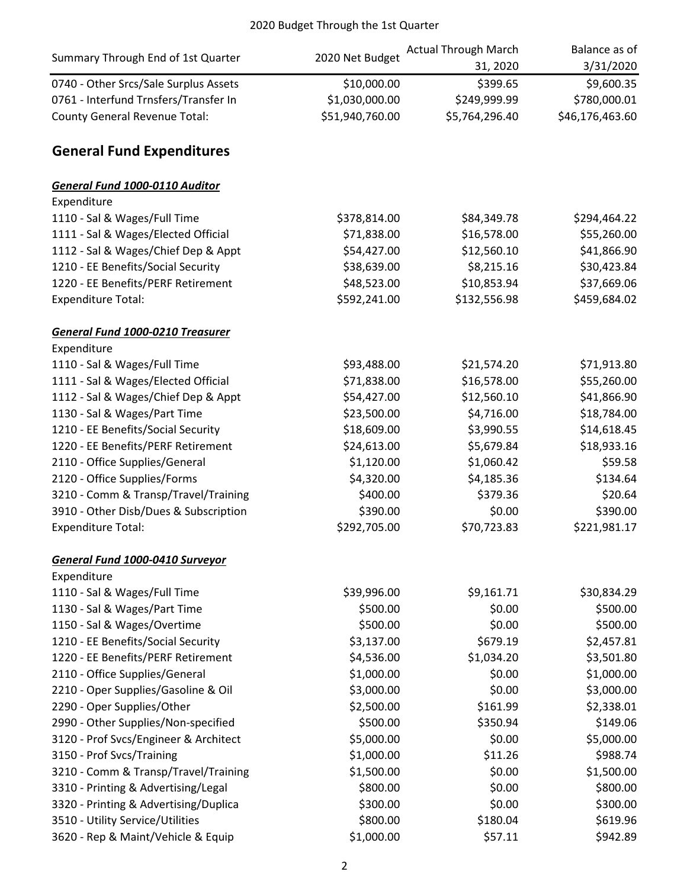| Summary Through End of 1st Quarter      | 2020 Net Budget | <b>Actual Through March</b> | Balance as of   |
|-----------------------------------------|-----------------|-----------------------------|-----------------|
|                                         |                 | 31, 2020                    | 3/31/2020       |
| 0740 - Other Srcs/Sale Surplus Assets   | \$10,000.00     | \$399.65                    | \$9,600.35      |
| 0761 - Interfund Trnsfers/Transfer In   | \$1,030,000.00  | \$249,999.99                | \$780,000.01    |
| <b>County General Revenue Total:</b>    | \$51,940,760.00 | \$5,764,296.40              | \$46,176,463.60 |
| <b>General Fund Expenditures</b>        |                 |                             |                 |
| General Fund 1000-0110 Auditor          |                 |                             |                 |
| Expenditure                             |                 |                             |                 |
| 1110 - Sal & Wages/Full Time            | \$378,814.00    | \$84,349.78                 | \$294,464.22    |
| 1111 - Sal & Wages/Elected Official     | \$71,838.00     | \$16,578.00                 | \$55,260.00     |
| 1112 - Sal & Wages/Chief Dep & Appt     | \$54,427.00     | \$12,560.10                 | \$41,866.90     |
| 1210 - EE Benefits/Social Security      | \$38,639.00     | \$8,215.16                  | \$30,423.84     |
| 1220 - EE Benefits/PERF Retirement      | \$48,523.00     | \$10,853.94                 | \$37,669.06     |
| <b>Expenditure Total:</b>               | \$592,241.00    | \$132,556.98                | \$459,684.02    |
| <b>General Fund 1000-0210 Treasurer</b> |                 |                             |                 |
| Expenditure                             |                 |                             |                 |
| 1110 - Sal & Wages/Full Time            | \$93,488.00     | \$21,574.20                 | \$71,913.80     |
| 1111 - Sal & Wages/Elected Official     | \$71,838.00     | \$16,578.00                 | \$55,260.00     |
| 1112 - Sal & Wages/Chief Dep & Appt     | \$54,427.00     | \$12,560.10                 | \$41,866.90     |
| 1130 - Sal & Wages/Part Time            | \$23,500.00     | \$4,716.00                  | \$18,784.00     |
| 1210 - EE Benefits/Social Security      | \$18,609.00     | \$3,990.55                  | \$14,618.45     |
| 1220 - EE Benefits/PERF Retirement      | \$24,613.00     | \$5,679.84                  | \$18,933.16     |
| 2110 - Office Supplies/General          | \$1,120.00      | \$1,060.42                  | \$59.58         |
| 2120 - Office Supplies/Forms            | \$4,320.00      | \$4,185.36                  | \$134.64        |
| 3210 - Comm & Transp/Travel/Training    | \$400.00        | \$379.36                    | \$20.64         |
| 3910 - Other Disb/Dues & Subscription   | \$390.00        | \$0.00                      | \$390.00        |
| <b>Expenditure Total:</b>               | \$292,705.00    | \$70,723.83                 | \$221,981.17    |
| <b>General Fund 1000-0410 Surveyor</b>  |                 |                             |                 |
| Expenditure                             |                 |                             |                 |
| 1110 - Sal & Wages/Full Time            | \$39,996.00     | \$9,161.71                  | \$30,834.29     |
| 1130 - Sal & Wages/Part Time            | \$500.00        | \$0.00                      | \$500.00        |
| 1150 - Sal & Wages/Overtime             | \$500.00        | \$0.00                      | \$500.00        |
| 1210 - EE Benefits/Social Security      | \$3,137.00      | \$679.19                    | \$2,457.81      |
| 1220 - EE Benefits/PERF Retirement      | \$4,536.00      | \$1,034.20                  | \$3,501.80      |
| 2110 - Office Supplies/General          | \$1,000.00      | \$0.00                      | \$1,000.00      |
| 2210 - Oper Supplies/Gasoline & Oil     | \$3,000.00      | \$0.00                      | \$3,000.00      |
| 2290 - Oper Supplies/Other              | \$2,500.00      | \$161.99                    | \$2,338.01      |
| 2990 - Other Supplies/Non-specified     | \$500.00        | \$350.94                    | \$149.06        |
| 3120 - Prof Svcs/Engineer & Architect   | \$5,000.00      | \$0.00                      | \$5,000.00      |
| 3150 - Prof Svcs/Training               | \$1,000.00      | \$11.26                     | \$988.74        |
| 3210 - Comm & Transp/Travel/Training    | \$1,500.00      | \$0.00                      | \$1,500.00      |
| 3310 - Printing & Advertising/Legal     | \$800.00        | \$0.00                      | \$800.00        |
| 3320 - Printing & Advertising/Duplica   | \$300.00        | \$0.00                      | \$300.00        |
| 3510 - Utility Service/Utilities        | \$800.00        | \$180.04                    | \$619.96        |
| 3620 - Rep & Maint/Vehicle & Equip      | \$1,000.00      | \$57.11                     | \$942.89        |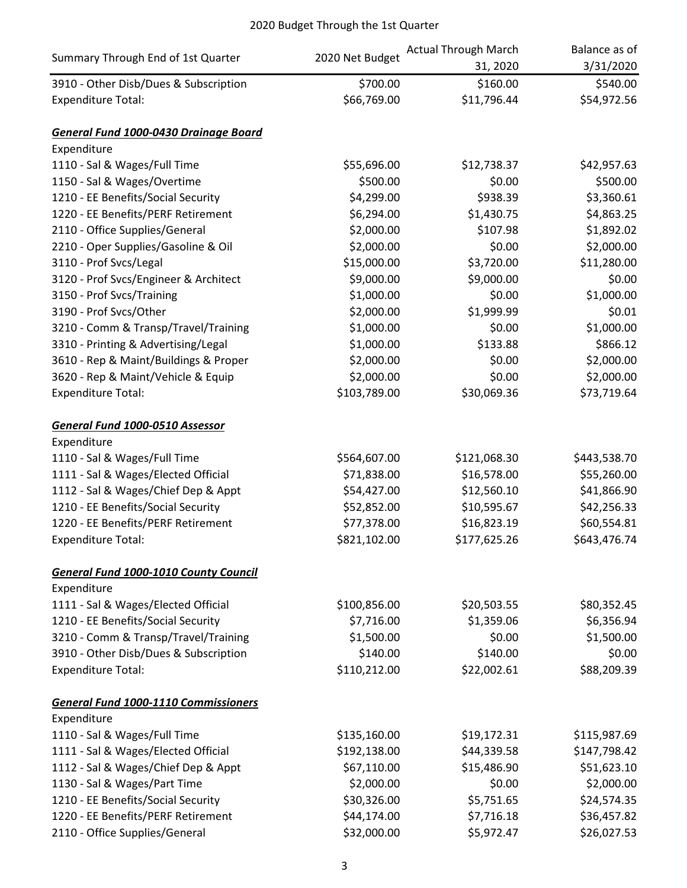|                                              |                 | <b>Actual Through March</b> | Balance as of |
|----------------------------------------------|-----------------|-----------------------------|---------------|
| Summary Through End of 1st Quarter           | 2020 Net Budget | 31, 2020                    | 3/31/2020     |
| 3910 - Other Disb/Dues & Subscription        | \$700.00        | \$160.00                    | \$540.00      |
| <b>Expenditure Total:</b>                    | \$66,769.00     | \$11,796.44                 | \$54,972.56   |
| General Fund 1000-0430 Drainage Board        |                 |                             |               |
| Expenditure                                  |                 |                             |               |
| 1110 - Sal & Wages/Full Time                 | \$55,696.00     | \$12,738.37                 | \$42,957.63   |
| 1150 - Sal & Wages/Overtime                  | \$500.00        | \$0.00                      | \$500.00      |
| 1210 - EE Benefits/Social Security           | \$4,299.00      | \$938.39                    | \$3,360.61    |
| 1220 - EE Benefits/PERF Retirement           | \$6,294.00      | \$1,430.75                  | \$4,863.25    |
| 2110 - Office Supplies/General               | \$2,000.00      | \$107.98                    | \$1,892.02    |
| 2210 - Oper Supplies/Gasoline & Oil          | \$2,000.00      | \$0.00                      | \$2,000.00    |
| 3110 - Prof Svcs/Legal                       | \$15,000.00     | \$3,720.00                  | \$11,280.00   |
| 3120 - Prof Svcs/Engineer & Architect        | \$9,000.00      | \$9,000.00                  | \$0.00        |
| 3150 - Prof Svcs/Training                    | \$1,000.00      | \$0.00                      | \$1,000.00    |
| 3190 - Prof Svcs/Other                       | \$2,000.00      | \$1,999.99                  | \$0.01        |
| 3210 - Comm & Transp/Travel/Training         | \$1,000.00      | \$0.00                      | \$1,000.00    |
| 3310 - Printing & Advertising/Legal          | \$1,000.00      | \$133.88                    | \$866.12      |
| 3610 - Rep & Maint/Buildings & Proper        | \$2,000.00      | \$0.00                      | \$2,000.00    |
| 3620 - Rep & Maint/Vehicle & Equip           | \$2,000.00      | \$0.00                      | \$2,000.00    |
| <b>Expenditure Total:</b>                    | \$103,789.00    | \$30,069.36                 | \$73,719.64   |
| <b>General Fund 1000-0510 Assessor</b>       |                 |                             |               |
| Expenditure                                  |                 |                             |               |
| 1110 - Sal & Wages/Full Time                 | \$564,607.00    | \$121,068.30                | \$443,538.70  |
| 1111 - Sal & Wages/Elected Official          | \$71,838.00     | \$16,578.00                 | \$55,260.00   |
| 1112 - Sal & Wages/Chief Dep & Appt          | \$54,427.00     | \$12,560.10                 | \$41,866.90   |
| 1210 - EE Benefits/Social Security           | \$52,852.00     | \$10,595.67                 | \$42,256.33   |
| 1220 - EE Benefits/PERF Retirement           | \$77,378.00     | \$16,823.19                 | \$60,554.81   |
| <b>Expenditure Total:</b>                    | \$821,102.00    | \$177,625.26                | \$643,476.74  |
| <b>General Fund 1000-1010 County Council</b> |                 |                             |               |
| Expenditure                                  |                 |                             |               |
| 1111 - Sal & Wages/Elected Official          | \$100,856.00    | \$20,503.55                 | \$80,352.45   |
| 1210 - EE Benefits/Social Security           | \$7,716.00      | \$1,359.06                  | \$6,356.94    |
| 3210 - Comm & Transp/Travel/Training         | \$1,500.00      | \$0.00                      | \$1,500.00    |
| 3910 - Other Disb/Dues & Subscription        | \$140.00        | \$140.00                    | \$0.00        |
| <b>Expenditure Total:</b>                    | \$110,212.00    | \$22,002.61                 | \$88,209.39   |
| <b>General Fund 1000-1110 Commissioners</b>  |                 |                             |               |
| Expenditure                                  |                 |                             |               |
| 1110 - Sal & Wages/Full Time                 | \$135,160.00    | \$19,172.31                 | \$115,987.69  |
| 1111 - Sal & Wages/Elected Official          | \$192,138.00    | \$44,339.58                 | \$147,798.42  |
| 1112 - Sal & Wages/Chief Dep & Appt          | \$67,110.00     | \$15,486.90                 | \$51,623.10   |
| 1130 - Sal & Wages/Part Time                 | \$2,000.00      | \$0.00                      | \$2,000.00    |
| 1210 - EE Benefits/Social Security           | \$30,326.00     | \$5,751.65                  | \$24,574.35   |
| 1220 - EE Benefits/PERF Retirement           | \$44,174.00     | \$7,716.18                  | \$36,457.82   |
| 2110 - Office Supplies/General               | \$32,000.00     | \$5,972.47                  | \$26,027.53   |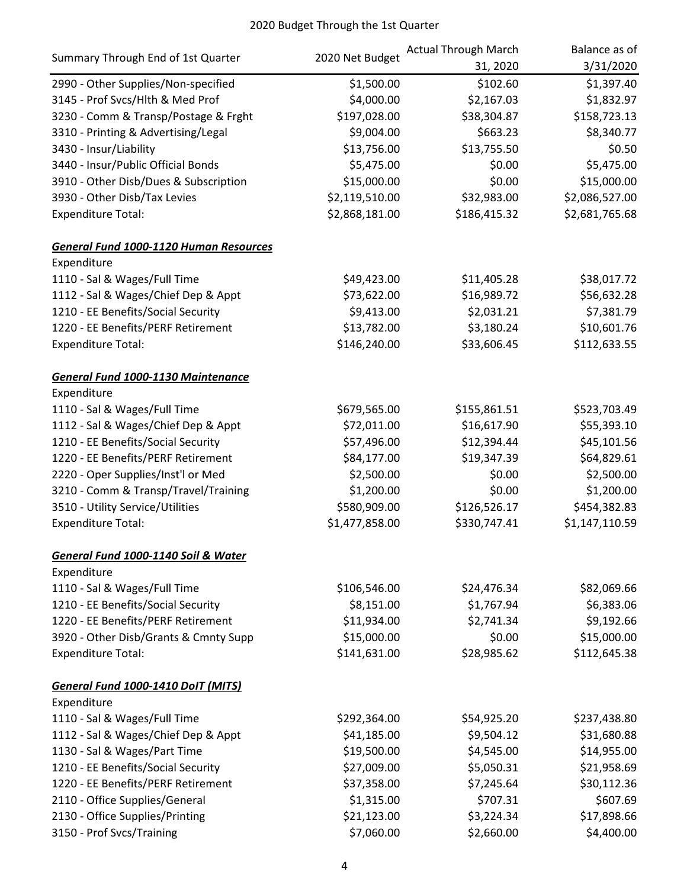|                                               | 2020 Net Budget | <b>Actual Through March</b> | Balance as of  |
|-----------------------------------------------|-----------------|-----------------------------|----------------|
| Summary Through End of 1st Quarter            |                 | 31, 2020                    | 3/31/2020      |
| 2990 - Other Supplies/Non-specified           | \$1,500.00      | \$102.60                    | \$1,397.40     |
| 3145 - Prof Svcs/Hlth & Med Prof              | \$4,000.00      | \$2,167.03                  | \$1,832.97     |
| 3230 - Comm & Transp/Postage & Frght          | \$197,028.00    | \$38,304.87                 | \$158,723.13   |
| 3310 - Printing & Advertising/Legal           | \$9,004.00      | \$663.23                    | \$8,340.77     |
| 3430 - Insur/Liability                        | \$13,756.00     | \$13,755.50                 | \$0.50         |
| 3440 - Insur/Public Official Bonds            | \$5,475.00      | \$0.00                      | \$5,475.00     |
| 3910 - Other Disb/Dues & Subscription         | \$15,000.00     | \$0.00                      | \$15,000.00    |
| 3930 - Other Disb/Tax Levies                  | \$2,119,510.00  | \$32,983.00                 | \$2,086,527.00 |
| <b>Expenditure Total:</b>                     | \$2,868,181.00  | \$186,415.32                | \$2,681,765.68 |
| <b>General Fund 1000-1120 Human Resources</b> |                 |                             |                |
| Expenditure                                   |                 |                             |                |
| 1110 - Sal & Wages/Full Time                  | \$49,423.00     | \$11,405.28                 | \$38,017.72    |
| 1112 - Sal & Wages/Chief Dep & Appt           | \$73,622.00     | \$16,989.72                 | \$56,632.28    |
| 1210 - EE Benefits/Social Security            | \$9,413.00      | \$2,031.21                  | \$7,381.79     |
| 1220 - EE Benefits/PERF Retirement            | \$13,782.00     | \$3,180.24                  | \$10,601.76    |
| <b>Expenditure Total:</b>                     | \$146,240.00    | \$33,606.45                 | \$112,633.55   |
| <b>General Fund 1000-1130 Maintenance</b>     |                 |                             |                |
| Expenditure                                   |                 |                             |                |
| 1110 - Sal & Wages/Full Time                  | \$679,565.00    | \$155,861.51                | \$523,703.49   |
| 1112 - Sal & Wages/Chief Dep & Appt           | \$72,011.00     | \$16,617.90                 | \$55,393.10    |
| 1210 - EE Benefits/Social Security            | \$57,496.00     | \$12,394.44                 | \$45,101.56    |
| 1220 - EE Benefits/PERF Retirement            | \$84,177.00     | \$19,347.39                 | \$64,829.61    |
| 2220 - Oper Supplies/Inst'l or Med            | \$2,500.00      | \$0.00                      | \$2,500.00     |
| 3210 - Comm & Transp/Travel/Training          | \$1,200.00      | \$0.00                      | \$1,200.00     |
| 3510 - Utility Service/Utilities              | \$580,909.00    | \$126,526.17                | \$454,382.83   |
| <b>Expenditure Total:</b>                     | \$1,477,858.00  | \$330,747.41                | \$1,147,110.59 |
| General Fund 1000-1140 Soil & Water           |                 |                             |                |
| Expenditure                                   |                 |                             |                |
| 1110 - Sal & Wages/Full Time                  | \$106,546.00    | \$24,476.34                 | \$82,069.66    |
| 1210 - EE Benefits/Social Security            | \$8,151.00      | \$1,767.94                  | \$6,383.06     |
| 1220 - EE Benefits/PERF Retirement            | \$11,934.00     | \$2,741.34                  | \$9,192.66     |
| 3920 - Other Disb/Grants & Cmnty Supp         | \$15,000.00     | \$0.00                      | \$15,000.00    |
| <b>Expenditure Total:</b>                     | \$141,631.00    | \$28,985.62                 | \$112,645.38   |
| General Fund 1000-1410 DoIT (MITS)            |                 |                             |                |
| Expenditure                                   |                 |                             |                |
| 1110 - Sal & Wages/Full Time                  | \$292,364.00    | \$54,925.20                 | \$237,438.80   |
| 1112 - Sal & Wages/Chief Dep & Appt           | \$41,185.00     | \$9,504.12                  | \$31,680.88    |
| 1130 - Sal & Wages/Part Time                  | \$19,500.00     | \$4,545.00                  | \$14,955.00    |
| 1210 - EE Benefits/Social Security            | \$27,009.00     | \$5,050.31                  | \$21,958.69    |
| 1220 - EE Benefits/PERF Retirement            | \$37,358.00     | \$7,245.64                  | \$30,112.36    |
| 2110 - Office Supplies/General                | \$1,315.00      | \$707.31                    | \$607.69       |
| 2130 - Office Supplies/Printing               | \$21,123.00     | \$3,224.34                  | \$17,898.66    |
| 3150 - Prof Svcs/Training                     | \$7,060.00      | \$2,660.00                  | \$4,400.00     |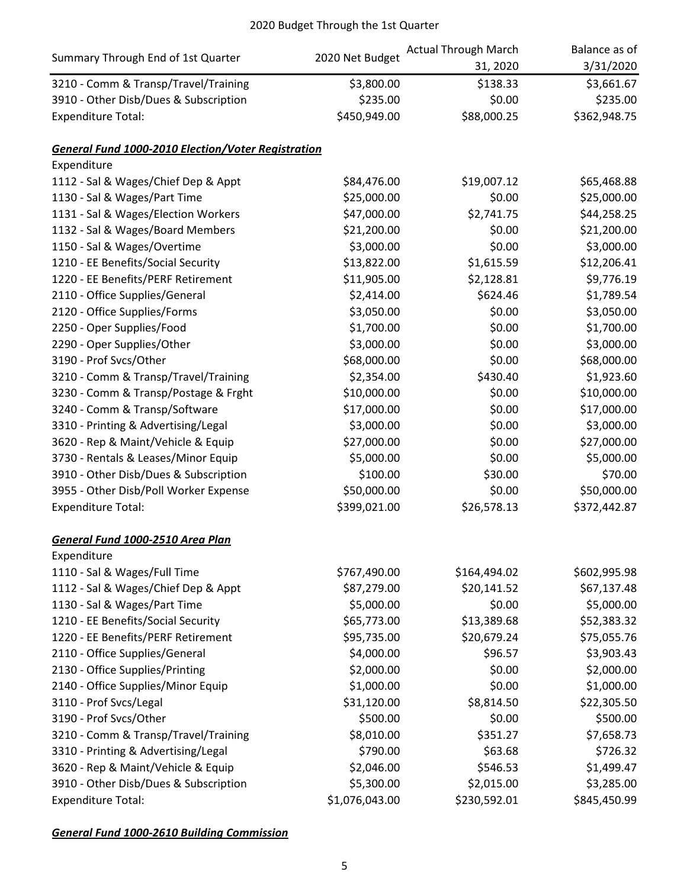| Summary Through End of 1st Quarter                        |                 | <b>Actual Through March</b> | Balance as of |
|-----------------------------------------------------------|-----------------|-----------------------------|---------------|
|                                                           | 2020 Net Budget | 31, 2020                    | 3/31/2020     |
| 3210 - Comm & Transp/Travel/Training                      | \$3,800.00      | \$138.33                    | \$3,661.67    |
| 3910 - Other Disb/Dues & Subscription                     | \$235.00        | \$0.00                      | \$235.00      |
| <b>Expenditure Total:</b>                                 | \$450,949.00    | \$88,000.25                 | \$362,948.75  |
| <b>General Fund 1000-2010 Election/Voter Registration</b> |                 |                             |               |
| Expenditure                                               |                 |                             |               |
| 1112 - Sal & Wages/Chief Dep & Appt                       | \$84,476.00     | \$19,007.12                 | \$65,468.88   |
| 1130 - Sal & Wages/Part Time                              | \$25,000.00     | \$0.00                      | \$25,000.00   |
| 1131 - Sal & Wages/Election Workers                       | \$47,000.00     | \$2,741.75                  | \$44,258.25   |
| 1132 - Sal & Wages/Board Members                          | \$21,200.00     | \$0.00                      | \$21,200.00   |
| 1150 - Sal & Wages/Overtime                               | \$3,000.00      | \$0.00                      | \$3,000.00    |
| 1210 - EE Benefits/Social Security                        | \$13,822.00     | \$1,615.59                  | \$12,206.41   |
| 1220 - EE Benefits/PERF Retirement                        | \$11,905.00     | \$2,128.81                  | \$9,776.19    |
| 2110 - Office Supplies/General                            | \$2,414.00      | \$624.46                    | \$1,789.54    |
| 2120 - Office Supplies/Forms                              | \$3,050.00      | \$0.00                      | \$3,050.00    |
| 2250 - Oper Supplies/Food                                 | \$1,700.00      | \$0.00                      | \$1,700.00    |
| 2290 - Oper Supplies/Other                                | \$3,000.00      | \$0.00                      | \$3,000.00    |
| 3190 - Prof Svcs/Other                                    | \$68,000.00     | \$0.00                      | \$68,000.00   |
| 3210 - Comm & Transp/Travel/Training                      | \$2,354.00      | \$430.40                    | \$1,923.60    |
| 3230 - Comm & Transp/Postage & Frght                      | \$10,000.00     | \$0.00                      | \$10,000.00   |
| 3240 - Comm & Transp/Software                             | \$17,000.00     | \$0.00                      | \$17,000.00   |
| 3310 - Printing & Advertising/Legal                       | \$3,000.00      | \$0.00                      | \$3,000.00    |
| 3620 - Rep & Maint/Vehicle & Equip                        | \$27,000.00     | \$0.00                      | \$27,000.00   |
| 3730 - Rentals & Leases/Minor Equip                       | \$5,000.00      | \$0.00                      | \$5,000.00    |
| 3910 - Other Disb/Dues & Subscription                     | \$100.00        | \$30.00                     | \$70.00       |
| 3955 - Other Disb/Poll Worker Expense                     | \$50,000.00     | \$0.00                      | \$50,000.00   |
| <b>Expenditure Total:</b>                                 | \$399,021.00    | \$26,578.13                 | \$372,442.87  |
| General Fund 1000-2510 Area Plan                          |                 |                             |               |
| Expenditure                                               |                 |                             |               |
| 1110 - Sal & Wages/Full Time                              | \$767,490.00    | \$164,494.02                | \$602,995.98  |
| 1112 - Sal & Wages/Chief Dep & Appt                       | \$87,279.00     | \$20,141.52                 | \$67,137.48   |
| 1130 - Sal & Wages/Part Time                              | \$5,000.00      | \$0.00                      | \$5,000.00    |
| 1210 - EE Benefits/Social Security                        | \$65,773.00     | \$13,389.68                 | \$52,383.32   |
| 1220 - EE Benefits/PERF Retirement                        | \$95,735.00     | \$20,679.24                 | \$75,055.76   |
| 2110 - Office Supplies/General                            | \$4,000.00      | \$96.57                     | \$3,903.43    |
| 2130 - Office Supplies/Printing                           | \$2,000.00      | \$0.00                      | \$2,000.00    |
| 2140 - Office Supplies/Minor Equip                        | \$1,000.00      | \$0.00                      | \$1,000.00    |
| 3110 - Prof Svcs/Legal                                    | \$31,120.00     | \$8,814.50                  | \$22,305.50   |
| 3190 - Prof Svcs/Other                                    | \$500.00        | \$0.00                      | \$500.00      |
| 3210 - Comm & Transp/Travel/Training                      | \$8,010.00      | \$351.27                    | \$7,658.73    |
| 3310 - Printing & Advertising/Legal                       | \$790.00        | \$63.68                     | \$726.32      |
| 3620 - Rep & Maint/Vehicle & Equip                        | \$2,046.00      | \$546.53                    | \$1,499.47    |
| 3910 - Other Disb/Dues & Subscription                     | \$5,300.00      | \$2,015.00                  | \$3,285.00    |
| <b>Expenditure Total:</b>                                 | \$1,076,043.00  | \$230,592.01                | \$845,450.99  |

*General Fund 1000-2610 Building Commission*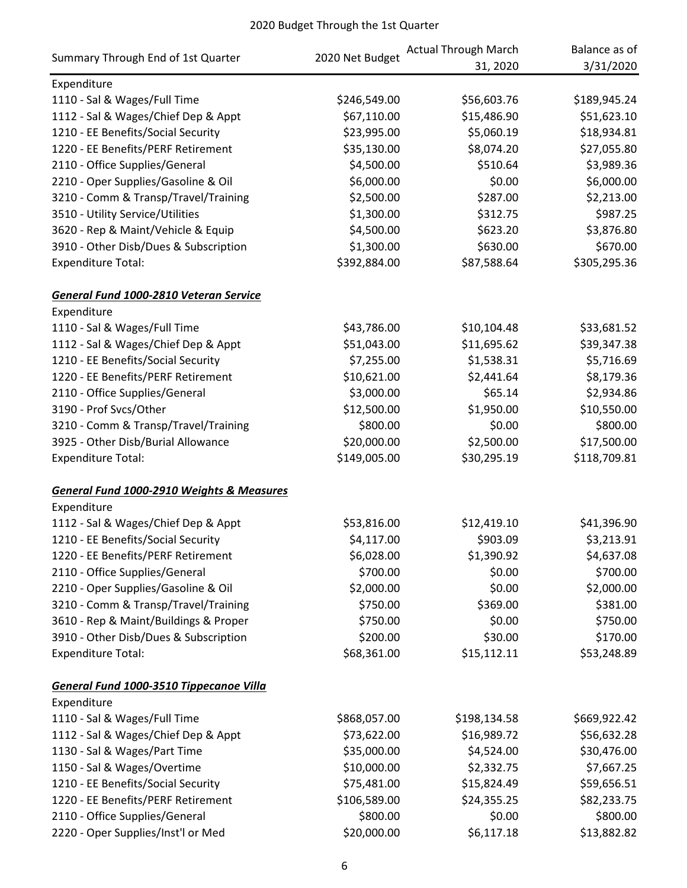|                                                      | 2020 Net Budget | <b>Actual Through March</b> | Balance as of |
|------------------------------------------------------|-----------------|-----------------------------|---------------|
| Summary Through End of 1st Quarter                   |                 | 31, 2020                    | 3/31/2020     |
| Expenditure                                          |                 |                             |               |
| 1110 - Sal & Wages/Full Time                         | \$246,549.00    | \$56,603.76                 | \$189,945.24  |
| 1112 - Sal & Wages/Chief Dep & Appt                  | \$67,110.00     | \$15,486.90                 | \$51,623.10   |
| 1210 - EE Benefits/Social Security                   | \$23,995.00     | \$5,060.19                  | \$18,934.81   |
| 1220 - EE Benefits/PERF Retirement                   | \$35,130.00     | \$8,074.20                  | \$27,055.80   |
| 2110 - Office Supplies/General                       | \$4,500.00      | \$510.64                    | \$3,989.36    |
| 2210 - Oper Supplies/Gasoline & Oil                  | \$6,000.00      | \$0.00                      | \$6,000.00    |
| 3210 - Comm & Transp/Travel/Training                 | \$2,500.00      | \$287.00                    | \$2,213.00    |
| 3510 - Utility Service/Utilities                     | \$1,300.00      | \$312.75                    | \$987.25      |
| 3620 - Rep & Maint/Vehicle & Equip                   | \$4,500.00      | \$623.20                    | \$3,876.80    |
| 3910 - Other Disb/Dues & Subscription                | \$1,300.00      | \$630.00                    | \$670.00      |
| <b>Expenditure Total:</b>                            | \$392,884.00    | \$87,588.64                 | \$305,295.36  |
| General Fund 1000-2810 Veteran Service               |                 |                             |               |
| Expenditure                                          |                 |                             |               |
| 1110 - Sal & Wages/Full Time                         | \$43,786.00     | \$10,104.48                 | \$33,681.52   |
| 1112 - Sal & Wages/Chief Dep & Appt                  | \$51,043.00     | \$11,695.62                 | \$39,347.38   |
| 1210 - EE Benefits/Social Security                   | \$7,255.00      | \$1,538.31                  | \$5,716.69    |
| 1220 - EE Benefits/PERF Retirement                   | \$10,621.00     | \$2,441.64                  | \$8,179.36    |
| 2110 - Office Supplies/General                       | \$3,000.00      | \$65.14                     | \$2,934.86    |
| 3190 - Prof Svcs/Other                               | \$12,500.00     | \$1,950.00                  | \$10,550.00   |
| 3210 - Comm & Transp/Travel/Training                 | \$800.00        | \$0.00                      | \$800.00      |
| 3925 - Other Disb/Burial Allowance                   | \$20,000.00     | \$2,500.00                  | \$17,500.00   |
| <b>Expenditure Total:</b>                            | \$149,005.00    | \$30,295.19                 | \$118,709.81  |
| <b>General Fund 1000-2910 Weights &amp; Measures</b> |                 |                             |               |
| Expenditure                                          |                 |                             |               |
| 1112 - Sal & Wages/Chief Dep & Appt                  | \$53,816.00     | \$12,419.10                 | \$41,396.90   |
| 1210 - EE Benefits/Social Security                   | \$4,117.00      | \$903.09                    | \$3,213.91    |
| 1220 - EE Benefits/PERF Retirement                   | \$6,028.00      | \$1,390.92                  | \$4,637.08    |
| 2110 - Office Supplies/General                       | \$700.00        | \$0.00                      | \$700.00      |
| 2210 - Oper Supplies/Gasoline & Oil                  | \$2,000.00      | \$0.00                      | \$2,000.00    |
| 3210 - Comm & Transp/Travel/Training                 | \$750.00        | \$369.00                    | \$381.00      |
| 3610 - Rep & Maint/Buildings & Proper                | \$750.00        | \$0.00                      | \$750.00      |
| 3910 - Other Disb/Dues & Subscription                | \$200.00        | \$30.00                     | \$170.00      |
| <b>Expenditure Total:</b>                            | \$68,361.00     | \$15,112.11                 | \$53,248.89   |
| General Fund 1000-3510 Tippecanoe Villa              |                 |                             |               |
| Expenditure                                          |                 |                             |               |
| 1110 - Sal & Wages/Full Time                         | \$868,057.00    | \$198,134.58                | \$669,922.42  |
| 1112 - Sal & Wages/Chief Dep & Appt                  | \$73,622.00     | \$16,989.72                 | \$56,632.28   |
| 1130 - Sal & Wages/Part Time                         | \$35,000.00     | \$4,524.00                  | \$30,476.00   |
| 1150 - Sal & Wages/Overtime                          | \$10,000.00     | \$2,332.75                  | \$7,667.25    |
| 1210 - EE Benefits/Social Security                   | \$75,481.00     | \$15,824.49                 | \$59,656.51   |
| 1220 - EE Benefits/PERF Retirement                   | \$106,589.00    | \$24,355.25                 | \$82,233.75   |
| 2110 - Office Supplies/General                       | \$800.00        | \$0.00                      | \$800.00      |
| 2220 - Oper Supplies/Inst'l or Med                   | \$20,000.00     | \$6,117.18                  | \$13,882.82   |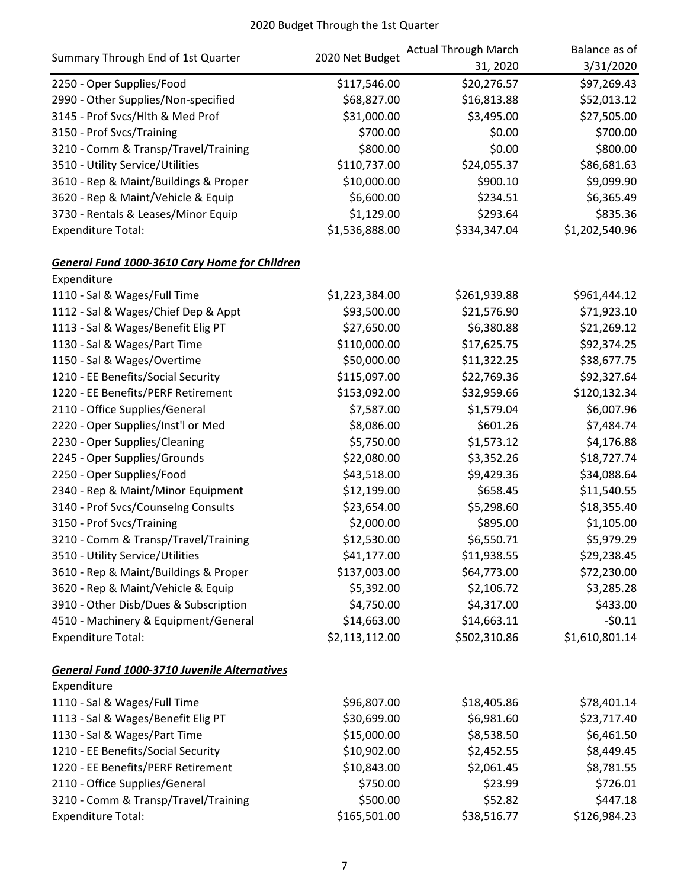|                                                      | 2020 Net Budget | <b>Actual Through March</b> | Balance as of  |
|------------------------------------------------------|-----------------|-----------------------------|----------------|
| Summary Through End of 1st Quarter                   |                 | 31, 2020                    | 3/31/2020      |
| 2250 - Oper Supplies/Food                            | \$117,546.00    | \$20,276.57                 | \$97,269.43    |
| 2990 - Other Supplies/Non-specified                  | \$68,827.00     | \$16,813.88                 | \$52,013.12    |
| 3145 - Prof Svcs/Hlth & Med Prof                     | \$31,000.00     | \$3,495.00                  | \$27,505.00    |
| 3150 - Prof Svcs/Training                            | \$700.00        | \$0.00                      | \$700.00       |
| 3210 - Comm & Transp/Travel/Training                 | \$800.00        | \$0.00                      | \$800.00       |
| 3510 - Utility Service/Utilities                     | \$110,737.00    | \$24,055.37                 | \$86,681.63    |
| 3610 - Rep & Maint/Buildings & Proper                | \$10,000.00     | \$900.10                    | \$9,099.90     |
| 3620 - Rep & Maint/Vehicle & Equip                   | \$6,600.00      | \$234.51                    | \$6,365.49     |
| 3730 - Rentals & Leases/Minor Equip                  | \$1,129.00      | \$293.64                    | \$835.36       |
| <b>Expenditure Total:</b>                            | \$1,536,888.00  | \$334,347.04                | \$1,202,540.96 |
| <b>General Fund 1000-3610 Cary Home for Children</b> |                 |                             |                |
| Expenditure                                          |                 |                             |                |
| 1110 - Sal & Wages/Full Time                         | \$1,223,384.00  | \$261,939.88                | \$961,444.12   |
| 1112 - Sal & Wages/Chief Dep & Appt                  | \$93,500.00     | \$21,576.90                 | \$71,923.10    |
| 1113 - Sal & Wages/Benefit Elig PT                   | \$27,650.00     | \$6,380.88                  | \$21,269.12    |
| 1130 - Sal & Wages/Part Time                         | \$110,000.00    | \$17,625.75                 | \$92,374.25    |
| 1150 - Sal & Wages/Overtime                          | \$50,000.00     | \$11,322.25                 | \$38,677.75    |
| 1210 - EE Benefits/Social Security                   | \$115,097.00    | \$22,769.36                 | \$92,327.64    |
| 1220 - EE Benefits/PERF Retirement                   | \$153,092.00    | \$32,959.66                 | \$120,132.34   |
| 2110 - Office Supplies/General                       | \$7,587.00      | \$1,579.04                  | \$6,007.96     |
| 2220 - Oper Supplies/Inst'l or Med                   | \$8,086.00      | \$601.26                    | \$7,484.74     |
| 2230 - Oper Supplies/Cleaning                        | \$5,750.00      | \$1,573.12                  | \$4,176.88     |
| 2245 - Oper Supplies/Grounds                         | \$22,080.00     | \$3,352.26                  | \$18,727.74    |
| 2250 - Oper Supplies/Food                            | \$43,518.00     | \$9,429.36                  | \$34,088.64    |
| 2340 - Rep & Maint/Minor Equipment                   | \$12,199.00     | \$658.45                    | \$11,540.55    |
| 3140 - Prof Svcs/Counselng Consults                  | \$23,654.00     | \$5,298.60                  | \$18,355.40    |
| 3150 - Prof Svcs/Training                            | \$2,000.00      | \$895.00                    | \$1,105.00     |
| 3210 - Comm & Transp/Travel/Training                 | \$12,530.00     | \$6,550.71                  | \$5,979.29     |
| 3510 - Utility Service/Utilities                     | \$41,177.00     | \$11,938.55                 | \$29,238.45    |
| 3610 - Rep & Maint/Buildings & Proper                | \$137,003.00    | \$64,773.00                 | \$72,230.00    |
| 3620 - Rep & Maint/Vehicle & Equip                   | \$5,392.00      | \$2,106.72                  | \$3,285.28     |
| 3910 - Other Disb/Dues & Subscription                | \$4,750.00      | \$4,317.00                  | \$433.00       |
| 4510 - Machinery & Equipment/General                 | \$14,663.00     | \$14,663.11                 | $-50.11$       |
| <b>Expenditure Total:</b>                            | \$2,113,112.00  | \$502,310.86                | \$1,610,801.14 |
| General Fund 1000-3710 Juvenile Alternatives         |                 |                             |                |
| Expenditure                                          |                 |                             |                |
| 1110 - Sal & Wages/Full Time                         | \$96,807.00     | \$18,405.86                 | \$78,401.14    |
| 1113 - Sal & Wages/Benefit Elig PT                   | \$30,699.00     | \$6,981.60                  | \$23,717.40    |
| 1130 - Sal & Wages/Part Time                         | \$15,000.00     | \$8,538.50                  | \$6,461.50     |
| 1210 - EE Benefits/Social Security                   | \$10,902.00     | \$2,452.55                  | \$8,449.45     |
| 1220 - EE Benefits/PERF Retirement                   | \$10,843.00     | \$2,061.45                  | \$8,781.55     |
| 2110 - Office Supplies/General                       | \$750.00        | \$23.99                     | \$726.01       |
| 3210 - Comm & Transp/Travel/Training                 | \$500.00        | \$52.82                     | \$447.18       |
| <b>Expenditure Total:</b>                            | \$165,501.00    | \$38,516.77                 | \$126,984.23   |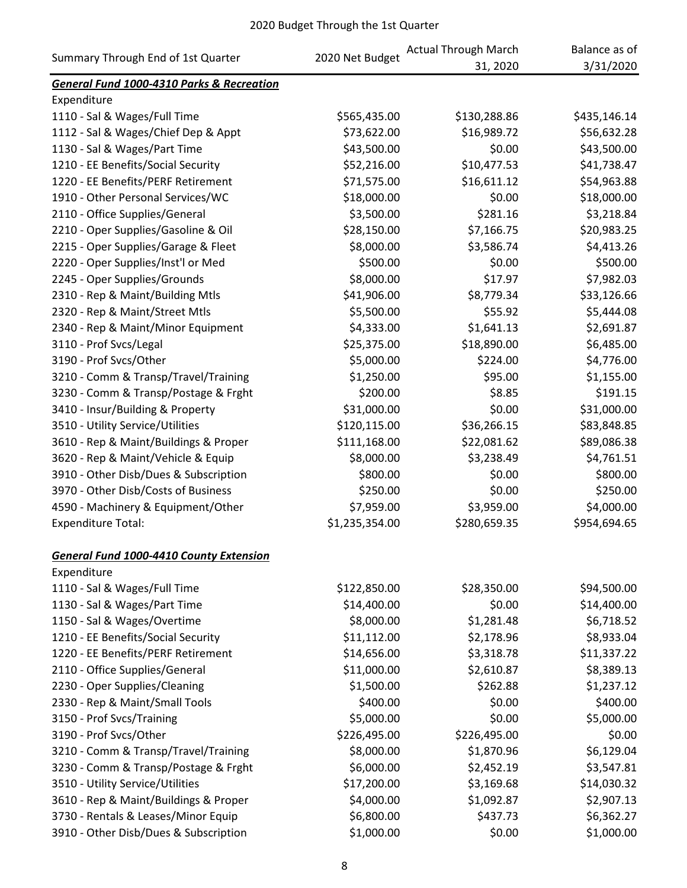|                                                      | 2020 Net Budget | <b>Actual Through March</b> | Balance as of |
|------------------------------------------------------|-----------------|-----------------------------|---------------|
| Summary Through End of 1st Quarter                   |                 | 31, 2020                    | 3/31/2020     |
| <b>General Fund 1000-4310 Parks &amp; Recreation</b> |                 |                             |               |
| Expenditure                                          |                 |                             |               |
| 1110 - Sal & Wages/Full Time                         | \$565,435.00    | \$130,288.86                | \$435,146.14  |
| 1112 - Sal & Wages/Chief Dep & Appt                  | \$73,622.00     | \$16,989.72                 | \$56,632.28   |
| 1130 - Sal & Wages/Part Time                         | \$43,500.00     | \$0.00                      | \$43,500.00   |
| 1210 - EE Benefits/Social Security                   | \$52,216.00     | \$10,477.53                 | \$41,738.47   |
| 1220 - EE Benefits/PERF Retirement                   | \$71,575.00     | \$16,611.12                 | \$54,963.88   |
| 1910 - Other Personal Services/WC                    | \$18,000.00     | \$0.00                      | \$18,000.00   |
| 2110 - Office Supplies/General                       | \$3,500.00      | \$281.16                    | \$3,218.84    |
| 2210 - Oper Supplies/Gasoline & Oil                  | \$28,150.00     | \$7,166.75                  | \$20,983.25   |
| 2215 - Oper Supplies/Garage & Fleet                  | \$8,000.00      | \$3,586.74                  | \$4,413.26    |
| 2220 - Oper Supplies/Inst'l or Med                   | \$500.00        | \$0.00                      | \$500.00      |
| 2245 - Oper Supplies/Grounds                         | \$8,000.00      | \$17.97                     | \$7,982.03    |
| 2310 - Rep & Maint/Building Mtls                     | \$41,906.00     | \$8,779.34                  | \$33,126.66   |
| 2320 - Rep & Maint/Street Mtls                       | \$5,500.00      | \$55.92                     | \$5,444.08    |
| 2340 - Rep & Maint/Minor Equipment                   | \$4,333.00      | \$1,641.13                  | \$2,691.87    |
| 3110 - Prof Svcs/Legal                               | \$25,375.00     | \$18,890.00                 | \$6,485.00    |
| 3190 - Prof Svcs/Other                               | \$5,000.00      | \$224.00                    | \$4,776.00    |
| 3210 - Comm & Transp/Travel/Training                 | \$1,250.00      | \$95.00                     | \$1,155.00    |
| 3230 - Comm & Transp/Postage & Frght                 | \$200.00        | \$8.85                      | \$191.15      |
| 3410 - Insur/Building & Property                     | \$31,000.00     | \$0.00                      | \$31,000.00   |
| 3510 - Utility Service/Utilities                     | \$120,115.00    | \$36,266.15                 | \$83,848.85   |
| 3610 - Rep & Maint/Buildings & Proper                | \$111,168.00    | \$22,081.62                 | \$89,086.38   |
| 3620 - Rep & Maint/Vehicle & Equip                   | \$8,000.00      | \$3,238.49                  | \$4,761.51    |
| 3910 - Other Disb/Dues & Subscription                | \$800.00        | \$0.00                      | \$800.00      |
| 3970 - Other Disb/Costs of Business                  | \$250.00        | \$0.00                      | \$250.00      |
| 4590 - Machinery & Equipment/Other                   | \$7,959.00      | \$3,959.00                  | \$4,000.00    |
| <b>Expenditure Total:</b>                            | \$1,235,354.00  | \$280,659.35                | \$954,694.65  |
| <b>General Fund 1000-4410 County Extension</b>       |                 |                             |               |
| Expenditure                                          |                 |                             |               |
| 1110 - Sal & Wages/Full Time                         | \$122,850.00    | \$28,350.00                 | \$94,500.00   |
| 1130 - Sal & Wages/Part Time                         | \$14,400.00     | \$0.00                      | \$14,400.00   |
| 1150 - Sal & Wages/Overtime                          | \$8,000.00      | \$1,281.48                  | \$6,718.52    |
| 1210 - EE Benefits/Social Security                   | \$11,112.00     | \$2,178.96                  | \$8,933.04    |
| 1220 - EE Benefits/PERF Retirement                   | \$14,656.00     | \$3,318.78                  | \$11,337.22   |
| 2110 - Office Supplies/General                       | \$11,000.00     | \$2,610.87                  | \$8,389.13    |
| 2230 - Oper Supplies/Cleaning                        | \$1,500.00      | \$262.88                    | \$1,237.12    |
| 2330 - Rep & Maint/Small Tools                       | \$400.00        | \$0.00                      | \$400.00      |
| 3150 - Prof Svcs/Training                            | \$5,000.00      | \$0.00                      | \$5,000.00    |
| 3190 - Prof Svcs/Other                               | \$226,495.00    | \$226,495.00                | \$0.00        |
| 3210 - Comm & Transp/Travel/Training                 | \$8,000.00      | \$1,870.96                  | \$6,129.04    |
| 3230 - Comm & Transp/Postage & Frght                 | \$6,000.00      | \$2,452.19                  | \$3,547.81    |
| 3510 - Utility Service/Utilities                     | \$17,200.00     | \$3,169.68                  | \$14,030.32   |
| 3610 - Rep & Maint/Buildings & Proper                | \$4,000.00      | \$1,092.87                  | \$2,907.13    |
| 3730 - Rentals & Leases/Minor Equip                  | \$6,800.00      | \$437.73                    | \$6,362.27    |
| 3910 - Other Disb/Dues & Subscription                | \$1,000.00      | \$0.00                      | \$1,000.00    |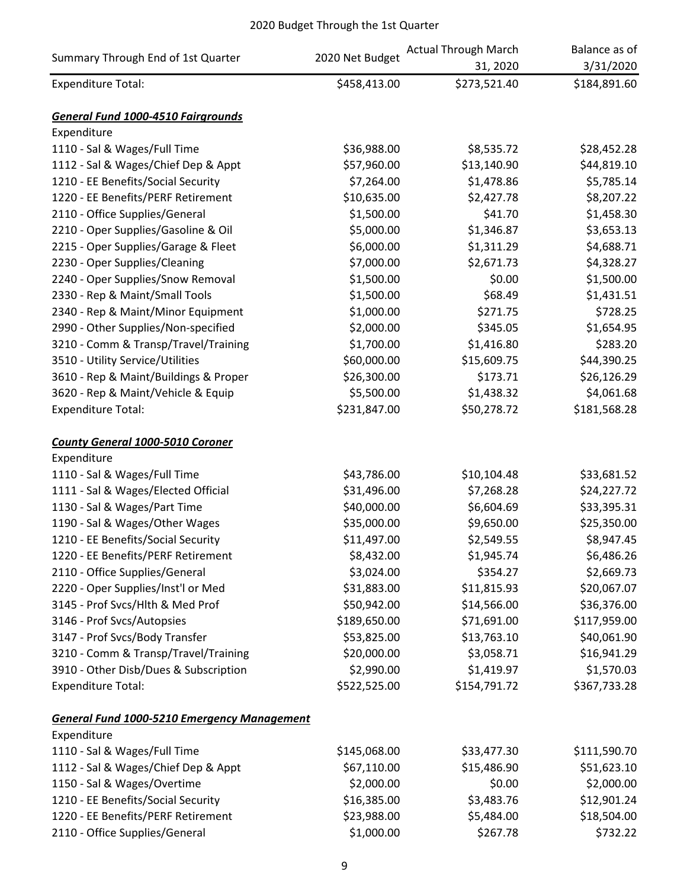|                                                    | 2020 Net Budget | <b>Actual Through March</b> | Balance as of |
|----------------------------------------------------|-----------------|-----------------------------|---------------|
| Summary Through End of 1st Quarter                 |                 | 31, 2020                    | 3/31/2020     |
| <b>Expenditure Total:</b>                          | \$458,413.00    | \$273,521.40                | \$184,891.60  |
| <b>General Fund 1000-4510 Fairgrounds</b>          |                 |                             |               |
| Expenditure                                        |                 |                             |               |
| 1110 - Sal & Wages/Full Time                       | \$36,988.00     | \$8,535.72                  | \$28,452.28   |
| 1112 - Sal & Wages/Chief Dep & Appt                | \$57,960.00     | \$13,140.90                 | \$44,819.10   |
| 1210 - EE Benefits/Social Security                 | \$7,264.00      | \$1,478.86                  | \$5,785.14    |
| 1220 - EE Benefits/PERF Retirement                 | \$10,635.00     | \$2,427.78                  | \$8,207.22    |
| 2110 - Office Supplies/General                     | \$1,500.00      | \$41.70                     | \$1,458.30    |
| 2210 - Oper Supplies/Gasoline & Oil                | \$5,000.00      | \$1,346.87                  | \$3,653.13    |
| 2215 - Oper Supplies/Garage & Fleet                | \$6,000.00      | \$1,311.29                  | \$4,688.71    |
| 2230 - Oper Supplies/Cleaning                      | \$7,000.00      | \$2,671.73                  | \$4,328.27    |
| 2240 - Oper Supplies/Snow Removal                  | \$1,500.00      | \$0.00                      | \$1,500.00    |
| 2330 - Rep & Maint/Small Tools                     | \$1,500.00      | \$68.49                     | \$1,431.51    |
| 2340 - Rep & Maint/Minor Equipment                 | \$1,000.00      | \$271.75                    | \$728.25      |
| 2990 - Other Supplies/Non-specified                | \$2,000.00      | \$345.05                    | \$1,654.95    |
| 3210 - Comm & Transp/Travel/Training               | \$1,700.00      | \$1,416.80                  | \$283.20      |
| 3510 - Utility Service/Utilities                   | \$60,000.00     | \$15,609.75                 | \$44,390.25   |
| 3610 - Rep & Maint/Buildings & Proper              | \$26,300.00     | \$173.71                    | \$26,126.29   |
| 3620 - Rep & Maint/Vehicle & Equip                 | \$5,500.00      | \$1,438.32                  | \$4,061.68    |
| <b>Expenditure Total:</b>                          | \$231,847.00    | \$50,278.72                 | \$181,568.28  |
| <b>County General 1000-5010 Coroner</b>            |                 |                             |               |
| Expenditure                                        |                 |                             |               |
| 1110 - Sal & Wages/Full Time                       | \$43,786.00     | \$10,104.48                 | \$33,681.52   |
| 1111 - Sal & Wages/Elected Official                | \$31,496.00     | \$7,268.28                  | \$24,227.72   |
| 1130 - Sal & Wages/Part Time                       | \$40,000.00     | \$6,604.69                  | \$33,395.31   |
| 1190 - Sal & Wages/Other Wages                     | \$35,000.00     | \$9,650.00                  | \$25,350.00   |
| 1210 - EE Benefits/Social Security                 | \$11,497.00     | \$2,549.55                  | \$8,947.45    |
| 1220 - EE Benefits/PERF Retirement                 | \$8,432.00      | \$1,945.74                  | \$6,486.26    |
| 2110 - Office Supplies/General                     | \$3,024.00      | \$354.27                    | \$2,669.73    |
| 2220 - Oper Supplies/Inst'l or Med                 | \$31,883.00     | \$11,815.93                 | \$20,067.07   |
| 3145 - Prof Svcs/Hlth & Med Prof                   | \$50,942.00     | \$14,566.00                 | \$36,376.00   |
| 3146 - Prof Svcs/Autopsies                         | \$189,650.00    | \$71,691.00                 | \$117,959.00  |
| 3147 - Prof Svcs/Body Transfer                     | \$53,825.00     | \$13,763.10                 | \$40,061.90   |
| 3210 - Comm & Transp/Travel/Training               | \$20,000.00     | \$3,058.71                  | \$16,941.29   |
| 3910 - Other Disb/Dues & Subscription              | \$2,990.00      | \$1,419.97                  | \$1,570.03    |
| <b>Expenditure Total:</b>                          | \$522,525.00    | \$154,791.72                | \$367,733.28  |
| <b>General Fund 1000-5210 Emergency Management</b> |                 |                             |               |
| Expenditure                                        |                 |                             |               |
| 1110 - Sal & Wages/Full Time                       | \$145,068.00    | \$33,477.30                 | \$111,590.70  |
| 1112 - Sal & Wages/Chief Dep & Appt                | \$67,110.00     | \$15,486.90                 | \$51,623.10   |
| 1150 - Sal & Wages/Overtime                        | \$2,000.00      | \$0.00                      | \$2,000.00    |
| 1210 - EE Benefits/Social Security                 | \$16,385.00     | \$3,483.76                  | \$12,901.24   |
| 1220 - EE Benefits/PERF Retirement                 | \$23,988.00     | \$5,484.00                  | \$18,504.00   |
| 2110 - Office Supplies/General                     | \$1,000.00      | \$267.78                    | \$732.22      |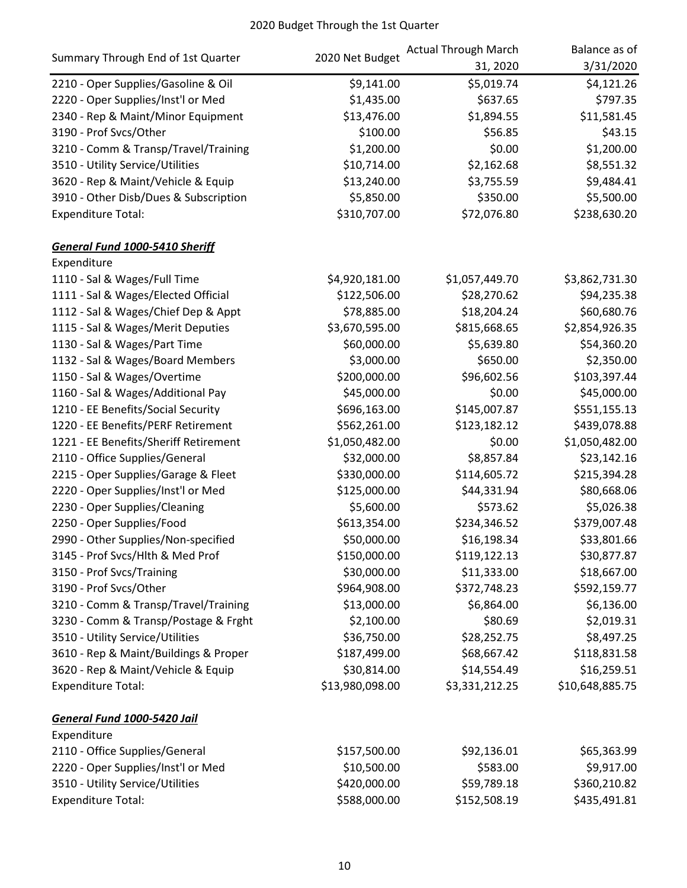|                                       | 2020 Net Budget | <b>Actual Through March</b> | Balance as of   |
|---------------------------------------|-----------------|-----------------------------|-----------------|
| Summary Through End of 1st Quarter    |                 | 31, 2020                    | 3/31/2020       |
| 2210 - Oper Supplies/Gasoline & Oil   | \$9,141.00      | \$5,019.74                  | \$4,121.26      |
| 2220 - Oper Supplies/Inst'l or Med    | \$1,435.00      | \$637.65                    | \$797.35        |
| 2340 - Rep & Maint/Minor Equipment    | \$13,476.00     | \$1,894.55                  | \$11,581.45     |
| 3190 - Prof Svcs/Other                | \$100.00        | \$56.85                     | \$43.15         |
| 3210 - Comm & Transp/Travel/Training  | \$1,200.00      | \$0.00                      | \$1,200.00      |
| 3510 - Utility Service/Utilities      | \$10,714.00     | \$2,162.68                  | \$8,551.32      |
| 3620 - Rep & Maint/Vehicle & Equip    | \$13,240.00     | \$3,755.59                  | \$9,484.41      |
| 3910 - Other Disb/Dues & Subscription | \$5,850.00      | \$350.00                    | \$5,500.00      |
| <b>Expenditure Total:</b>             | \$310,707.00    | \$72,076.80                 | \$238,630.20    |
| <b>General Fund 1000-5410 Sheriff</b> |                 |                             |                 |
| Expenditure                           |                 |                             |                 |
| 1110 - Sal & Wages/Full Time          | \$4,920,181.00  | \$1,057,449.70              | \$3,862,731.30  |
| 1111 - Sal & Wages/Elected Official   | \$122,506.00    | \$28,270.62                 | \$94,235.38     |
| 1112 - Sal & Wages/Chief Dep & Appt   | \$78,885.00     | \$18,204.24                 | \$60,680.76     |
| 1115 - Sal & Wages/Merit Deputies     | \$3,670,595.00  | \$815,668.65                | \$2,854,926.35  |
| 1130 - Sal & Wages/Part Time          | \$60,000.00     | \$5,639.80                  | \$54,360.20     |
| 1132 - Sal & Wages/Board Members      | \$3,000.00      | \$650.00                    | \$2,350.00      |
| 1150 - Sal & Wages/Overtime           | \$200,000.00    | \$96,602.56                 | \$103,397.44    |
| 1160 - Sal & Wages/Additional Pay     | \$45,000.00     | \$0.00                      | \$45,000.00     |
| 1210 - EE Benefits/Social Security    | \$696,163.00    | \$145,007.87                | \$551,155.13    |
| 1220 - EE Benefits/PERF Retirement    | \$562,261.00    | \$123,182.12                | \$439,078.88    |
| 1221 - EE Benefits/Sheriff Retirement | \$1,050,482.00  | \$0.00                      | \$1,050,482.00  |
| 2110 - Office Supplies/General        | \$32,000.00     | \$8,857.84                  | \$23,142.16     |
| 2215 - Oper Supplies/Garage & Fleet   | \$330,000.00    | \$114,605.72                | \$215,394.28    |
| 2220 - Oper Supplies/Inst'l or Med    | \$125,000.00    | \$44,331.94                 | \$80,668.06     |
| 2230 - Oper Supplies/Cleaning         | \$5,600.00      | \$573.62                    | \$5,026.38      |
| 2250 - Oper Supplies/Food             | \$613,354.00    | \$234,346.52                | \$379,007.48    |
| 2990 - Other Supplies/Non-specified   | \$50,000.00     | \$16,198.34                 | \$33,801.66     |
| 3145 - Prof Svcs/Hlth & Med Prof      | \$150,000.00    | \$119,122.13                | \$30,877.87     |
| 3150 - Prof Svcs/Training             | \$30,000.00     | \$11,333.00                 | \$18,667.00     |
| 3190 - Prof Svcs/Other                | \$964,908.00    | \$372,748.23                | \$592,159.77    |
| 3210 - Comm & Transp/Travel/Training  | \$13,000.00     | \$6,864.00                  | \$6,136.00      |
| 3230 - Comm & Transp/Postage & Frght  | \$2,100.00      | \$80.69                     | \$2,019.31      |
| 3510 - Utility Service/Utilities      | \$36,750.00     | \$28,252.75                 | \$8,497.25      |
| 3610 - Rep & Maint/Buildings & Proper | \$187,499.00    | \$68,667.42                 | \$118,831.58    |
| 3620 - Rep & Maint/Vehicle & Equip    | \$30,814.00     | \$14,554.49                 | \$16,259.51     |
| <b>Expenditure Total:</b>             | \$13,980,098.00 | \$3,331,212.25              | \$10,648,885.75 |
| General Fund 1000-5420 Jail           |                 |                             |                 |
| Expenditure                           |                 |                             |                 |
| 2110 - Office Supplies/General        | \$157,500.00    | \$92,136.01                 | \$65,363.99     |
| 2220 - Oper Supplies/Inst'l or Med    | \$10,500.00     | \$583.00                    | \$9,917.00      |
| 3510 - Utility Service/Utilities      | \$420,000.00    | \$59,789.18                 | \$360,210.82    |
| <b>Expenditure Total:</b>             | \$588,000.00    | \$152,508.19                | \$435,491.81    |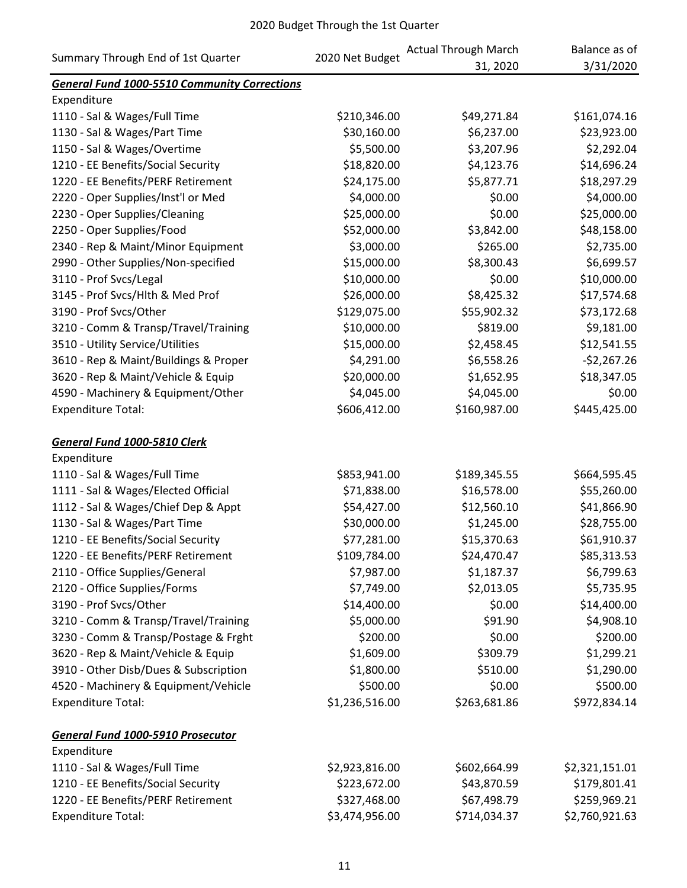|                                                     |                 | <b>Actual Through March</b> | Balance as of  |
|-----------------------------------------------------|-----------------|-----------------------------|----------------|
| Summary Through End of 1st Quarter                  | 2020 Net Budget | 31, 2020                    | 3/31/2020      |
| <b>General Fund 1000-5510 Community Corrections</b> |                 |                             |                |
| Expenditure                                         |                 |                             |                |
| 1110 - Sal & Wages/Full Time                        | \$210,346.00    | \$49,271.84                 | \$161,074.16   |
| 1130 - Sal & Wages/Part Time                        | \$30,160.00     | \$6,237.00                  | \$23,923.00    |
| 1150 - Sal & Wages/Overtime                         | \$5,500.00      | \$3,207.96                  | \$2,292.04     |
| 1210 - EE Benefits/Social Security                  | \$18,820.00     | \$4,123.76                  | \$14,696.24    |
| 1220 - EE Benefits/PERF Retirement                  | \$24,175.00     | \$5,877.71                  | \$18,297.29    |
| 2220 - Oper Supplies/Inst'l or Med                  | \$4,000.00      | \$0.00                      | \$4,000.00     |
| 2230 - Oper Supplies/Cleaning                       | \$25,000.00     | \$0.00                      | \$25,000.00    |
| 2250 - Oper Supplies/Food                           | \$52,000.00     | \$3,842.00                  | \$48,158.00    |
| 2340 - Rep & Maint/Minor Equipment                  | \$3,000.00      | \$265.00                    | \$2,735.00     |
| 2990 - Other Supplies/Non-specified                 | \$15,000.00     | \$8,300.43                  | \$6,699.57     |
| 3110 - Prof Svcs/Legal                              | \$10,000.00     | \$0.00                      | \$10,000.00    |
| 3145 - Prof Svcs/Hlth & Med Prof                    | \$26,000.00     | \$8,425.32                  | \$17,574.68    |
| 3190 - Prof Svcs/Other                              | \$129,075.00    | \$55,902.32                 | \$73,172.68    |
| 3210 - Comm & Transp/Travel/Training                | \$10,000.00     | \$819.00                    | \$9,181.00     |
| 3510 - Utility Service/Utilities                    | \$15,000.00     | \$2,458.45                  | \$12,541.55    |
| 3610 - Rep & Maint/Buildings & Proper               | \$4,291.00      | \$6,558.26                  | $-52,267.26$   |
| 3620 - Rep & Maint/Vehicle & Equip                  | \$20,000.00     | \$1,652.95                  | \$18,347.05    |
| 4590 - Machinery & Equipment/Other                  | \$4,045.00      | \$4,045.00                  | \$0.00         |
| <b>Expenditure Total:</b>                           | \$606,412.00    | \$160,987.00                | \$445,425.00   |
|                                                     |                 |                             |                |
| General Fund 1000-5810 Clerk                        |                 |                             |                |
| Expenditure                                         |                 |                             |                |
| 1110 - Sal & Wages/Full Time                        | \$853,941.00    | \$189,345.55                | \$664,595.45   |
| 1111 - Sal & Wages/Elected Official                 | \$71,838.00     | \$16,578.00                 | \$55,260.00    |
| 1112 - Sal & Wages/Chief Dep & Appt                 | \$54,427.00     | \$12,560.10                 | \$41,866.90    |
| 1130 - Sal & Wages/Part Time                        | \$30,000.00     | \$1,245.00                  | \$28,755.00    |
| 1210 - EE Benefits/Social Security                  | \$77,281.00     | \$15,370.63                 | \$61,910.37    |
| 1220 - EE Benefits/PERF Retirement                  | \$109,784.00    | \$24,470.47                 | \$85,313.53    |
| 2110 - Office Supplies/General                      | \$7,987.00      | \$1,187.37                  | \$6,799.63     |
| 2120 - Office Supplies/Forms                        | \$7,749.00      | \$2,013.05                  | \$5,735.95     |
| 3190 - Prof Svcs/Other                              | \$14,400.00     | \$0.00                      | \$14,400.00    |
| 3210 - Comm & Transp/Travel/Training                | \$5,000.00      | \$91.90                     | \$4,908.10     |
| 3230 - Comm & Transp/Postage & Frght                | \$200.00        | \$0.00                      | \$200.00       |
| 3620 - Rep & Maint/Vehicle & Equip                  | \$1,609.00      | \$309.79                    | \$1,299.21     |
| 3910 - Other Disb/Dues & Subscription               | \$1,800.00      | \$510.00                    | \$1,290.00     |
| 4520 - Machinery & Equipment/Vehicle                | \$500.00        | \$0.00                      | \$500.00       |
| <b>Expenditure Total:</b>                           | \$1,236,516.00  | \$263,681.86                | \$972,834.14   |
|                                                     |                 |                             |                |
| <b>General Fund 1000-5910 Prosecutor</b>            |                 |                             |                |
| Expenditure                                         |                 |                             |                |
| 1110 - Sal & Wages/Full Time                        | \$2,923,816.00  | \$602,664.99                | \$2,321,151.01 |
| 1210 - EE Benefits/Social Security                  | \$223,672.00    | \$43,870.59                 | \$179,801.41   |
| 1220 - EE Benefits/PERF Retirement                  | \$327,468.00    | \$67,498.79                 | \$259,969.21   |
| <b>Expenditure Total:</b>                           | \$3,474,956.00  | \$714,034.37                | \$2,760,921.63 |
|                                                     |                 |                             |                |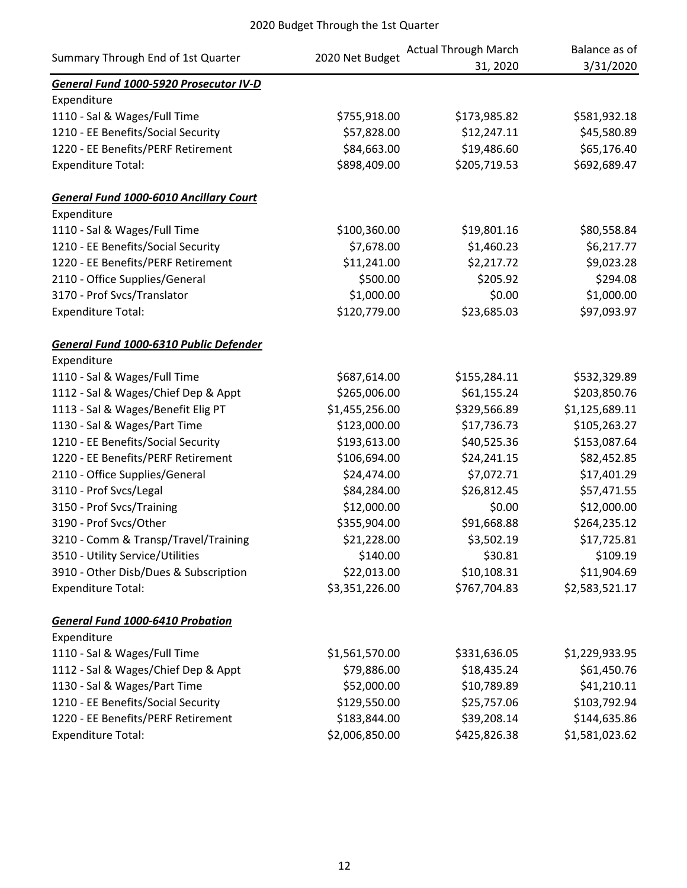| Summary Through End of 1st Quarter            | 2020 Net Budget | <b>Actual Through March</b> | Balance as of  |
|-----------------------------------------------|-----------------|-----------------------------|----------------|
|                                               |                 | 31, 2020                    | 3/31/2020      |
| General Fund 1000-5920 Prosecutor IV-D        |                 |                             |                |
| Expenditure                                   |                 |                             |                |
| 1110 - Sal & Wages/Full Time                  | \$755,918.00    | \$173,985.82                | \$581,932.18   |
| 1210 - EE Benefits/Social Security            | \$57,828.00     | \$12,247.11                 | \$45,580.89    |
| 1220 - EE Benefits/PERF Retirement            | \$84,663.00     | \$19,486.60                 | \$65,176.40    |
| <b>Expenditure Total:</b>                     | \$898,409.00    | \$205,719.53                | \$692,689.47   |
| <b>General Fund 1000-6010 Ancillary Court</b> |                 |                             |                |
| Expenditure                                   |                 |                             |                |
| 1110 - Sal & Wages/Full Time                  | \$100,360.00    | \$19,801.16                 | \$80,558.84    |
| 1210 - EE Benefits/Social Security            | \$7,678.00      | \$1,460.23                  | \$6,217.77     |
| 1220 - EE Benefits/PERF Retirement            | \$11,241.00     | \$2,217.72                  | \$9,023.28     |
| 2110 - Office Supplies/General                | \$500.00        | \$205.92                    | \$294.08       |
| 3170 - Prof Svcs/Translator                   | \$1,000.00      | \$0.00                      | \$1,000.00     |
| <b>Expenditure Total:</b>                     | \$120,779.00    | \$23,685.03                 | \$97,093.97    |
| General Fund 1000-6310 Public Defender        |                 |                             |                |
| Expenditure                                   |                 |                             |                |
| 1110 - Sal & Wages/Full Time                  | \$687,614.00    | \$155,284.11                | \$532,329.89   |
| 1112 - Sal & Wages/Chief Dep & Appt           | \$265,006.00    | \$61,155.24                 | \$203,850.76   |
| 1113 - Sal & Wages/Benefit Elig PT            | \$1,455,256.00  | \$329,566.89                | \$1,125,689.11 |
| 1130 - Sal & Wages/Part Time                  | \$123,000.00    | \$17,736.73                 | \$105,263.27   |
| 1210 - EE Benefits/Social Security            | \$193,613.00    | \$40,525.36                 | \$153,087.64   |
| 1220 - EE Benefits/PERF Retirement            | \$106,694.00    | \$24,241.15                 | \$82,452.85    |
| 2110 - Office Supplies/General                | \$24,474.00     | \$7,072.71                  | \$17,401.29    |
| 3110 - Prof Svcs/Legal                        | \$84,284.00     | \$26,812.45                 | \$57,471.55    |
| 3150 - Prof Svcs/Training                     | \$12,000.00     | \$0.00                      | \$12,000.00    |
| 3190 - Prof Svcs/Other                        | \$355,904.00    | \$91,668.88                 | \$264,235.12   |
| 3210 - Comm & Transp/Travel/Training          | \$21,228.00     | \$3,502.19                  | \$17,725.81    |
| 3510 - Utility Service/Utilities              | \$140.00        | \$30.81                     | \$109.19       |
| 3910 - Other Disb/Dues & Subscription         | \$22,013.00     | \$10,108.31                 | \$11,904.69    |
| <b>Expenditure Total:</b>                     | \$3,351,226.00  | \$767,704.83                | \$2,583,521.17 |
| <b>General Fund 1000-6410 Probation</b>       |                 |                             |                |
| Expenditure                                   |                 |                             |                |
| 1110 - Sal & Wages/Full Time                  | \$1,561,570.00  | \$331,636.05                | \$1,229,933.95 |
| 1112 - Sal & Wages/Chief Dep & Appt           | \$79,886.00     | \$18,435.24                 | \$61,450.76    |
| 1130 - Sal & Wages/Part Time                  | \$52,000.00     | \$10,789.89                 | \$41,210.11    |
| 1210 - EE Benefits/Social Security            | \$129,550.00    | \$25,757.06                 | \$103,792.94   |
| 1220 - EE Benefits/PERF Retirement            | \$183,844.00    | \$39,208.14                 | \$144,635.86   |
| <b>Expenditure Total:</b>                     | \$2,006,850.00  | \$425,826.38                | \$1,581,023.62 |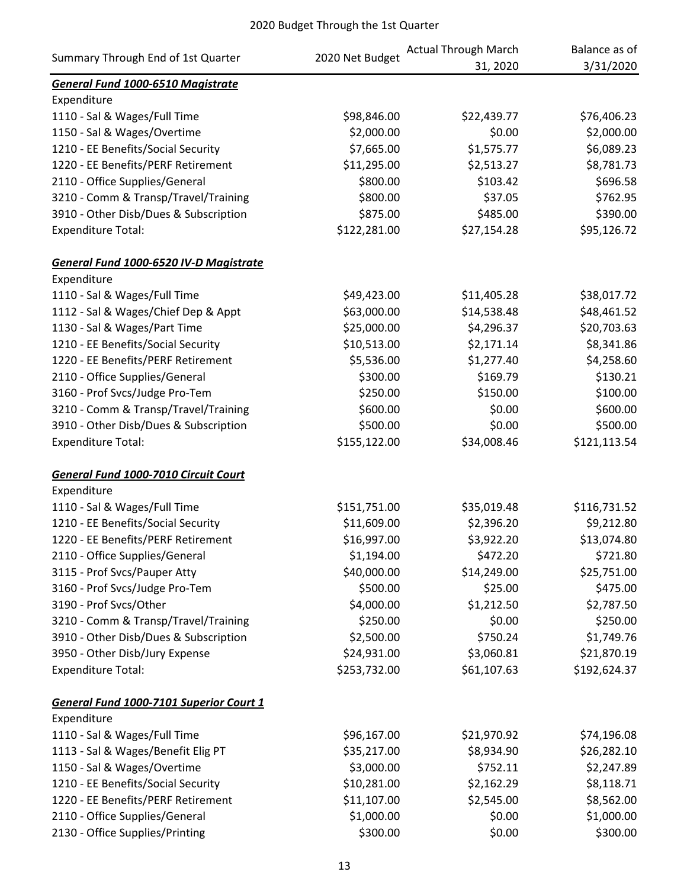| Summary Through End of 1st Quarter          |                 | <b>Actual Through March</b> | Balance as of |
|---------------------------------------------|-----------------|-----------------------------|---------------|
|                                             | 2020 Net Budget | 31, 2020                    | 3/31/2020     |
| <b>General Fund 1000-6510 Magistrate</b>    |                 |                             |               |
| Expenditure                                 |                 |                             |               |
| 1110 - Sal & Wages/Full Time                | \$98,846.00     | \$22,439.77                 | \$76,406.23   |
| 1150 - Sal & Wages/Overtime                 | \$2,000.00      | \$0.00                      | \$2,000.00    |
| 1210 - EE Benefits/Social Security          | \$7,665.00      | \$1,575.77                  | \$6,089.23    |
| 1220 - EE Benefits/PERF Retirement          | \$11,295.00     | \$2,513.27                  | \$8,781.73    |
| 2110 - Office Supplies/General              | \$800.00        | \$103.42                    | \$696.58      |
| 3210 - Comm & Transp/Travel/Training        | \$800.00        | \$37.05                     | \$762.95      |
| 3910 - Other Disb/Dues & Subscription       | \$875.00        | \$485.00                    | \$390.00      |
| <b>Expenditure Total:</b>                   | \$122,281.00    | \$27,154.28                 | \$95,126.72   |
| General Fund 1000-6520 IV-D Magistrate      |                 |                             |               |
| Expenditure                                 |                 |                             |               |
| 1110 - Sal & Wages/Full Time                | \$49,423.00     | \$11,405.28                 | \$38,017.72   |
| 1112 - Sal & Wages/Chief Dep & Appt         | \$63,000.00     | \$14,538.48                 | \$48,461.52   |
| 1130 - Sal & Wages/Part Time                | \$25,000.00     | \$4,296.37                  | \$20,703.63   |
| 1210 - EE Benefits/Social Security          | \$10,513.00     | \$2,171.14                  | \$8,341.86    |
| 1220 - EE Benefits/PERF Retirement          | \$5,536.00      | \$1,277.40                  | \$4,258.60    |
| 2110 - Office Supplies/General              | \$300.00        | \$169.79                    | \$130.21      |
| 3160 - Prof Svcs/Judge Pro-Tem              | \$250.00        | \$150.00                    | \$100.00      |
| 3210 - Comm & Transp/Travel/Training        | \$600.00        | \$0.00                      | \$600.00      |
| 3910 - Other Disb/Dues & Subscription       | \$500.00        | \$0.00                      | \$500.00      |
| <b>Expenditure Total:</b>                   | \$155,122.00    | \$34,008.46                 | \$121,113.54  |
| <b>General Fund 1000-7010 Circuit Court</b> |                 |                             |               |
| Expenditure                                 |                 |                             |               |
| 1110 - Sal & Wages/Full Time                | \$151,751.00    | \$35,019.48                 | \$116,731.52  |
| 1210 - EE Benefits/Social Security          | \$11,609.00     | \$2,396.20                  | \$9,212.80    |
| 1220 - EE Benefits/PERF Retirement          | \$16,997.00     | \$3,922.20                  | \$13,074.80   |
| 2110 - Office Supplies/General              | \$1,194.00      | \$472.20                    | \$721.80      |
| 3115 - Prof Svcs/Pauper Atty                | \$40,000.00     | \$14,249.00                 | \$25,751.00   |
| 3160 - Prof Svcs/Judge Pro-Tem              | \$500.00        | \$25.00                     | \$475.00      |
| 3190 - Prof Svcs/Other                      | \$4,000.00      | \$1,212.50                  | \$2,787.50    |
| 3210 - Comm & Transp/Travel/Training        | \$250.00        | \$0.00                      | \$250.00      |
| 3910 - Other Disb/Dues & Subscription       | \$2,500.00      | \$750.24                    | \$1,749.76    |
| 3950 - Other Disb/Jury Expense              | \$24,931.00     | \$3,060.81                  | \$21,870.19   |
| <b>Expenditure Total:</b>                   | \$253,732.00    | \$61,107.63                 | \$192,624.37  |
| General Fund 1000-7101 Superior Court 1     |                 |                             |               |
| Expenditure                                 |                 |                             |               |
| 1110 - Sal & Wages/Full Time                | \$96,167.00     | \$21,970.92                 | \$74,196.08   |
| 1113 - Sal & Wages/Benefit Elig PT          | \$35,217.00     | \$8,934.90                  | \$26,282.10   |
| 1150 - Sal & Wages/Overtime                 | \$3,000.00      | \$752.11                    | \$2,247.89    |
| 1210 - EE Benefits/Social Security          | \$10,281.00     | \$2,162.29                  | \$8,118.71    |
| 1220 - EE Benefits/PERF Retirement          | \$11,107.00     | \$2,545.00                  | \$8,562.00    |
| 2110 - Office Supplies/General              | \$1,000.00      | \$0.00                      | \$1,000.00    |
| 2130 - Office Supplies/Printing             | \$300.00        | \$0.00                      | \$300.00      |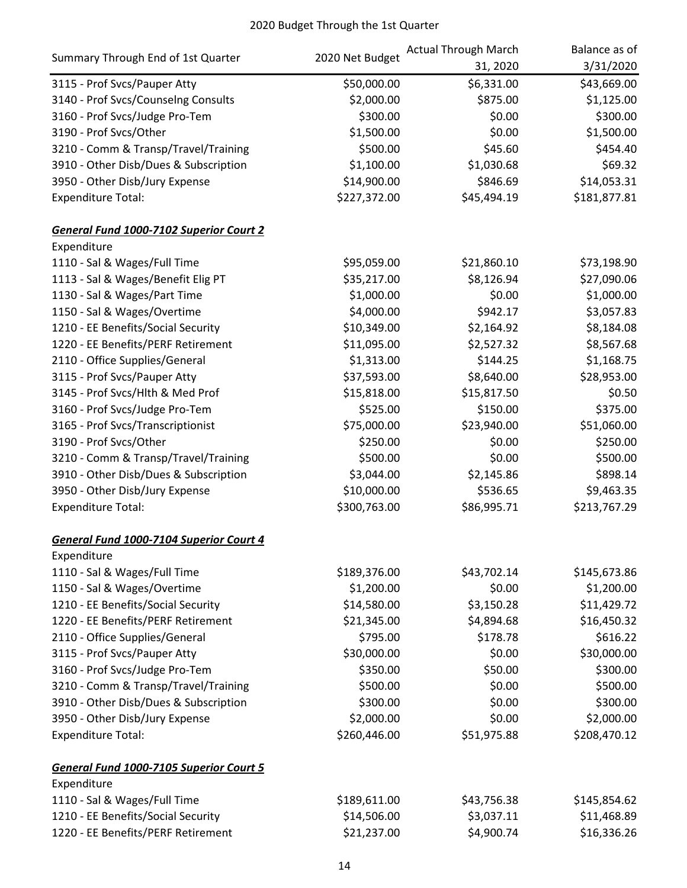|                                         | 2020 Net Budget | <b>Actual Through March</b> | Balance as of |
|-----------------------------------------|-----------------|-----------------------------|---------------|
| Summary Through End of 1st Quarter      |                 | 31, 2020                    | 3/31/2020     |
| 3115 - Prof Svcs/Pauper Atty            | \$50,000.00     | \$6,331.00                  | \$43,669.00   |
| 3140 - Prof Svcs/Counselng Consults     | \$2,000.00      | \$875.00                    | \$1,125.00    |
| 3160 - Prof Svcs/Judge Pro-Tem          | \$300.00        | \$0.00                      | \$300.00      |
| 3190 - Prof Svcs/Other                  | \$1,500.00      | \$0.00                      | \$1,500.00    |
| 3210 - Comm & Transp/Travel/Training    | \$500.00        | \$45.60                     | \$454.40      |
| 3910 - Other Disb/Dues & Subscription   | \$1,100.00      | \$1,030.68                  | \$69.32       |
| 3950 - Other Disb/Jury Expense          | \$14,900.00     | \$846.69                    | \$14,053.31   |
| <b>Expenditure Total:</b>               | \$227,372.00    | \$45,494.19                 | \$181,877.81  |
| General Fund 1000-7102 Superior Court 2 |                 |                             |               |
| Expenditure                             |                 |                             |               |
| 1110 - Sal & Wages/Full Time            | \$95,059.00     | \$21,860.10                 | \$73,198.90   |
| 1113 - Sal & Wages/Benefit Elig PT      | \$35,217.00     | \$8,126.94                  | \$27,090.06   |
| 1130 - Sal & Wages/Part Time            | \$1,000.00      | \$0.00                      | \$1,000.00    |
| 1150 - Sal & Wages/Overtime             | \$4,000.00      | \$942.17                    | \$3,057.83    |
| 1210 - EE Benefits/Social Security      | \$10,349.00     | \$2,164.92                  | \$8,184.08    |
| 1220 - EE Benefits/PERF Retirement      | \$11,095.00     | \$2,527.32                  | \$8,567.68    |
| 2110 - Office Supplies/General          | \$1,313.00      | \$144.25                    | \$1,168.75    |
| 3115 - Prof Svcs/Pauper Atty            | \$37,593.00     | \$8,640.00                  | \$28,953.00   |
| 3145 - Prof Svcs/Hlth & Med Prof        | \$15,818.00     | \$15,817.50                 | \$0.50        |
| 3160 - Prof Svcs/Judge Pro-Tem          | \$525.00        | \$150.00                    | \$375.00      |
| 3165 - Prof Svcs/Transcriptionist       | \$75,000.00     | \$23,940.00                 | \$51,060.00   |
| 3190 - Prof Svcs/Other                  | \$250.00        | \$0.00                      | \$250.00      |
| 3210 - Comm & Transp/Travel/Training    | \$500.00        | \$0.00                      | \$500.00      |
| 3910 - Other Disb/Dues & Subscription   | \$3,044.00      | \$2,145.86                  | \$898.14      |
| 3950 - Other Disb/Jury Expense          | \$10,000.00     | \$536.65                    | \$9,463.35    |
| <b>Expenditure Total:</b>               | \$300,763.00    | \$86,995.71                 | \$213,767.29  |
| General Fund 1000-7104 Superior Court 4 |                 |                             |               |
| Expenditure                             |                 |                             |               |
| 1110 - Sal & Wages/Full Time            | \$189,376.00    | \$43,702.14                 | \$145,673.86  |
| 1150 - Sal & Wages/Overtime             | \$1,200.00      | \$0.00                      | \$1,200.00    |
| 1210 - EE Benefits/Social Security      | \$14,580.00     | \$3,150.28                  | \$11,429.72   |
| 1220 - EE Benefits/PERF Retirement      | \$21,345.00     | \$4,894.68                  | \$16,450.32   |
| 2110 - Office Supplies/General          | \$795.00        | \$178.78                    | \$616.22      |
| 3115 - Prof Svcs/Pauper Atty            | \$30,000.00     | \$0.00                      | \$30,000.00   |
| 3160 - Prof Svcs/Judge Pro-Tem          | \$350.00        | \$50.00                     | \$300.00      |
| 3210 - Comm & Transp/Travel/Training    | \$500.00        | \$0.00                      | \$500.00      |
| 3910 - Other Disb/Dues & Subscription   | \$300.00        | \$0.00                      | \$300.00      |
| 3950 - Other Disb/Jury Expense          | \$2,000.00      | \$0.00                      | \$2,000.00    |
| <b>Expenditure Total:</b>               | \$260,446.00    | \$51,975.88                 | \$208,470.12  |
| General Fund 1000-7105 Superior Court 5 |                 |                             |               |
| Expenditure                             |                 |                             |               |
| 1110 - Sal & Wages/Full Time            | \$189,611.00    | \$43,756.38                 | \$145,854.62  |
| 1210 - EE Benefits/Social Security      | \$14,506.00     | \$3,037.11                  | \$11,468.89   |
| 1220 - EE Benefits/PERF Retirement      | \$21,237.00     | \$4,900.74                  | \$16,336.26   |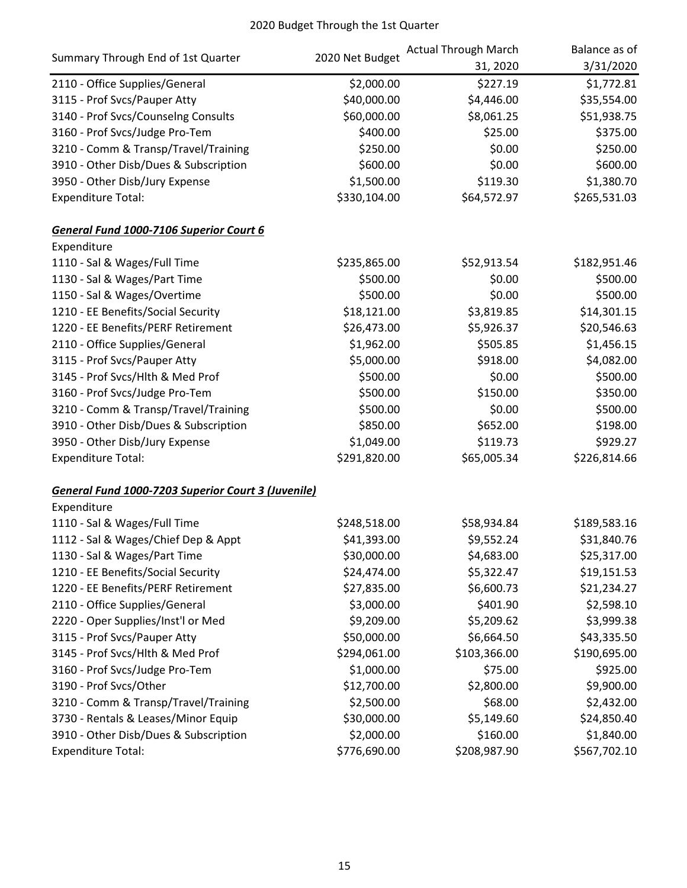|                                                           | 2020 Net Budget | <b>Actual Through March</b> | Balance as of |
|-----------------------------------------------------------|-----------------|-----------------------------|---------------|
| Summary Through End of 1st Quarter                        |                 | 31, 2020                    | 3/31/2020     |
| 2110 - Office Supplies/General                            | \$2,000.00      | \$227.19                    | \$1,772.81    |
| 3115 - Prof Svcs/Pauper Atty                              | \$40,000.00     | \$4,446.00                  | \$35,554.00   |
| 3140 - Prof Svcs/Counselng Consults                       | \$60,000.00     | \$8,061.25                  | \$51,938.75   |
| 3160 - Prof Svcs/Judge Pro-Tem                            | \$400.00        | \$25.00                     | \$375.00      |
| 3210 - Comm & Transp/Travel/Training                      | \$250.00        | \$0.00                      | \$250.00      |
| 3910 - Other Disb/Dues & Subscription                     | \$600.00        | \$0.00                      | \$600.00      |
| 3950 - Other Disb/Jury Expense                            | \$1,500.00      | \$119.30                    | \$1,380.70    |
| <b>Expenditure Total:</b>                                 | \$330,104.00    | \$64,572.97                 | \$265,531.03  |
| General Fund 1000-7106 Superior Court 6                   |                 |                             |               |
| Expenditure                                               |                 |                             |               |
| 1110 - Sal & Wages/Full Time                              | \$235,865.00    | \$52,913.54                 | \$182,951.46  |
| 1130 - Sal & Wages/Part Time                              | \$500.00        | \$0.00                      | \$500.00      |
| 1150 - Sal & Wages/Overtime                               | \$500.00        | \$0.00                      | \$500.00      |
| 1210 - EE Benefits/Social Security                        | \$18,121.00     | \$3,819.85                  | \$14,301.15   |
| 1220 - EE Benefits/PERF Retirement                        | \$26,473.00     | \$5,926.37                  | \$20,546.63   |
| 2110 - Office Supplies/General                            | \$1,962.00      | \$505.85                    | \$1,456.15    |
| 3115 - Prof Svcs/Pauper Atty                              | \$5,000.00      | \$918.00                    | \$4,082.00    |
| 3145 - Prof Svcs/Hlth & Med Prof                          | \$500.00        | \$0.00                      | \$500.00      |
| 3160 - Prof Svcs/Judge Pro-Tem                            | \$500.00        | \$150.00                    | \$350.00      |
| 3210 - Comm & Transp/Travel/Training                      | \$500.00        | \$0.00                      | \$500.00      |
| 3910 - Other Disb/Dues & Subscription                     | \$850.00        | \$652.00                    | \$198.00      |
| 3950 - Other Disb/Jury Expense                            | \$1,049.00      | \$119.73                    | \$929.27      |
| <b>Expenditure Total:</b>                                 | \$291,820.00    | \$65,005.34                 | \$226,814.66  |
| <b>General Fund 1000-7203 Superior Court 3 (Juvenile)</b> |                 |                             |               |
| Expenditure                                               |                 |                             |               |
| 1110 - Sal & Wages/Full Time                              | \$248,518.00    | \$58,934.84                 | \$189,583.16  |
| 1112 - Sal & Wages/Chief Dep & Appt                       | \$41,393.00     | \$9,552.24                  | \$31,840.76   |
| 1130 - Sal & Wages/Part Time                              | \$30,000.00     | \$4,683.00                  | \$25,317.00   |
| 1210 - EE Benefits/Social Security                        | \$24,474.00     | \$5,322.47                  | \$19,151.53   |
| 1220 - EE Benefits/PERF Retirement                        | \$27,835.00     | \$6,600.73                  | \$21,234.27   |
| 2110 - Office Supplies/General                            | \$3,000.00      | \$401.90                    | \$2,598.10    |
| 2220 - Oper Supplies/Inst'l or Med                        | \$9,209.00      | \$5,209.62                  | \$3,999.38    |
| 3115 - Prof Svcs/Pauper Atty                              | \$50,000.00     | \$6,664.50                  | \$43,335.50   |
| 3145 - Prof Svcs/Hlth & Med Prof                          | \$294,061.00    | \$103,366.00                | \$190,695.00  |
| 3160 - Prof Svcs/Judge Pro-Tem                            | \$1,000.00      | \$75.00                     | \$925.00      |
| 3190 - Prof Svcs/Other                                    | \$12,700.00     | \$2,800.00                  | \$9,900.00    |
| 3210 - Comm & Transp/Travel/Training                      | \$2,500.00      | \$68.00                     | \$2,432.00    |
| 3730 - Rentals & Leases/Minor Equip                       | \$30,000.00     | \$5,149.60                  | \$24,850.40   |
| 3910 - Other Disb/Dues & Subscription                     | \$2,000.00      | \$160.00                    | \$1,840.00    |
| <b>Expenditure Total:</b>                                 | \$776,690.00    | \$208,987.90                | \$567,702.10  |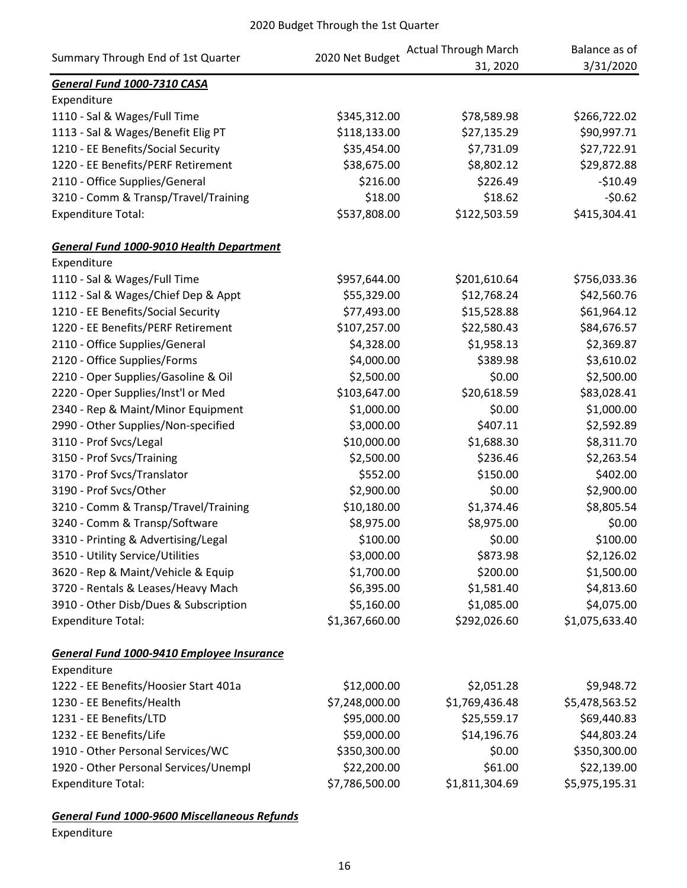|                                                 | 2020 Net Budget | <b>Actual Through March</b> | Balance as of  |
|-------------------------------------------------|-----------------|-----------------------------|----------------|
| Summary Through End of 1st Quarter              |                 | 31, 2020                    | 3/31/2020      |
| General Fund 1000-7310 CASA                     |                 |                             |                |
| Expenditure                                     |                 |                             |                |
| 1110 - Sal & Wages/Full Time                    | \$345,312.00    | \$78,589.98                 | \$266,722.02   |
| 1113 - Sal & Wages/Benefit Elig PT              | \$118,133.00    | \$27,135.29                 | \$90,997.71    |
| 1210 - EE Benefits/Social Security              | \$35,454.00     | \$7,731.09                  | \$27,722.91    |
| 1220 - EE Benefits/PERF Retirement              | \$38,675.00     | \$8,802.12                  | \$29,872.88    |
| 2110 - Office Supplies/General                  | \$216.00        | \$226.49                    | $-510.49$      |
| 3210 - Comm & Transp/Travel/Training            | \$18.00         | \$18.62                     | $-50.62$       |
| <b>Expenditure Total:</b>                       | \$537,808.00    | \$122,503.59                | \$415,304.41   |
| <b>General Fund 1000-9010 Health Department</b> |                 |                             |                |
| Expenditure                                     |                 |                             |                |
| 1110 - Sal & Wages/Full Time                    | \$957,644.00    | \$201,610.64                | \$756,033.36   |
| 1112 - Sal & Wages/Chief Dep & Appt             | \$55,329.00     | \$12,768.24                 | \$42,560.76    |
| 1210 - EE Benefits/Social Security              | \$77,493.00     | \$15,528.88                 | \$61,964.12    |
| 1220 - EE Benefits/PERF Retirement              | \$107,257.00    | \$22,580.43                 | \$84,676.57    |
| 2110 - Office Supplies/General                  | \$4,328.00      | \$1,958.13                  | \$2,369.87     |
| 2120 - Office Supplies/Forms                    | \$4,000.00      | \$389.98                    | \$3,610.02     |
| 2210 - Oper Supplies/Gasoline & Oil             | \$2,500.00      | \$0.00                      | \$2,500.00     |
| 2220 - Oper Supplies/Inst'l or Med              | \$103,647.00    | \$20,618.59                 | \$83,028.41    |
| 2340 - Rep & Maint/Minor Equipment              | \$1,000.00      | \$0.00                      | \$1,000.00     |
| 2990 - Other Supplies/Non-specified             | \$3,000.00      | \$407.11                    | \$2,592.89     |
| 3110 - Prof Svcs/Legal                          | \$10,000.00     | \$1,688.30                  | \$8,311.70     |
| 3150 - Prof Svcs/Training                       | \$2,500.00      | \$236.46                    | \$2,263.54     |
| 3170 - Prof Svcs/Translator                     | \$552.00        | \$150.00                    | \$402.00       |
| 3190 - Prof Svcs/Other                          | \$2,900.00      | \$0.00                      | \$2,900.00     |
| 3210 - Comm & Transp/Travel/Training            | \$10,180.00     | \$1,374.46                  | \$8,805.54     |
| 3240 - Comm & Transp/Software                   | \$8,975.00      | \$8,975.00                  | \$0.00         |
| 3310 - Printing & Advertising/Legal             | \$100.00        | \$0.00                      | \$100.00       |
| 3510 - Utility Service/Utilities                | \$3,000.00      | \$873.98                    | \$2,126.02     |
| 3620 - Rep & Maint/Vehicle & Equip              | \$1,700.00      | \$200.00                    | \$1,500.00     |
| 3720 - Rentals & Leases/Heavy Mach              | \$6,395.00      | \$1,581.40                  | \$4,813.60     |
| 3910 - Other Disb/Dues & Subscription           | \$5,160.00      | \$1,085.00                  | \$4,075.00     |
| <b>Expenditure Total:</b>                       | \$1,367,660.00  | \$292,026.60                | \$1,075,633.40 |
| General Fund 1000-9410 Employee Insurance       |                 |                             |                |
| Expenditure                                     |                 |                             |                |
| 1222 - EE Benefits/Hoosier Start 401a           | \$12,000.00     | \$2,051.28                  | \$9,948.72     |
| 1230 - EE Benefits/Health                       | \$7,248,000.00  | \$1,769,436.48              | \$5,478,563.52 |
| 1231 - EE Benefits/LTD                          | \$95,000.00     | \$25,559.17                 | \$69,440.83    |
| 1232 - EE Benefits/Life                         | \$59,000.00     | \$14,196.76                 | \$44,803.24    |
| 1910 - Other Personal Services/WC               | \$350,300.00    | \$0.00                      | \$350,300.00   |
| 1920 - Other Personal Services/Unempl           | \$22,200.00     | \$61.00                     | \$22,139.00    |
| <b>Expenditure Total:</b>                       | \$7,786,500.00  | \$1,811,304.69              | \$5,975,195.31 |

*General Fund 1000-9600 Miscellaneous Refunds* Expenditure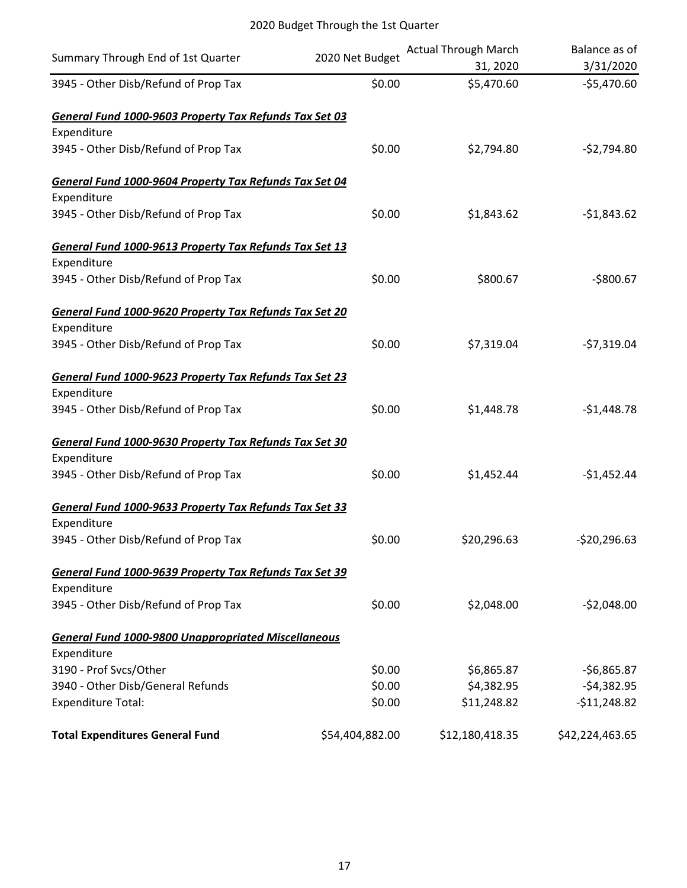| Summary Through End of 1st Quarter                         | 2020 Net Budget | <b>Actual Through March</b><br>31, 2020 | Balance as of<br>3/31/2020 |
|------------------------------------------------------------|-----------------|-----------------------------------------|----------------------------|
| 3945 - Other Disb/Refund of Prop Tax                       | \$0.00          | \$5,470.60                              | $-$5,470.60$               |
| General Fund 1000-9603 Property Tax Refunds Tax Set 03     |                 |                                         |                            |
| Expenditure                                                |                 |                                         |                            |
| 3945 - Other Disb/Refund of Prop Tax                       | \$0.00          | \$2,794.80                              | $-52,794.80$               |
| General Fund 1000-9604 Property Tax Refunds Tax Set 04     |                 |                                         |                            |
| Expenditure                                                |                 |                                         |                            |
| 3945 - Other Disb/Refund of Prop Tax                       | \$0.00          | \$1,843.62                              | $-$1,843.62$               |
| General Fund 1000-9613 Property Tax Refunds Tax Set 13     |                 |                                         |                            |
| Expenditure                                                |                 |                                         |                            |
| 3945 - Other Disb/Refund of Prop Tax                       | \$0.00          | \$800.67                                | $-$800.67$                 |
| General Fund 1000-9620 Property Tax Refunds Tax Set 20     |                 |                                         |                            |
| Expenditure                                                |                 |                                         |                            |
| 3945 - Other Disb/Refund of Prop Tax                       | \$0.00          | \$7,319.04                              | $-57,319.04$               |
| General Fund 1000-9623 Property Tax Refunds Tax Set 23     |                 |                                         |                            |
| Expenditure                                                |                 |                                         |                            |
| 3945 - Other Disb/Refund of Prop Tax                       | \$0.00          | \$1,448.78                              | $-$1,448.78$               |
| General Fund 1000-9630 Property Tax Refunds Tax Set 30     |                 |                                         |                            |
| Expenditure                                                |                 |                                         |                            |
| 3945 - Other Disb/Refund of Prop Tax                       | \$0.00          | \$1,452.44                              | $-$1,452.44$               |
| General Fund 1000-9633 Property Tax Refunds Tax Set 33     |                 |                                         |                            |
| Expenditure                                                |                 |                                         |                            |
| 3945 - Other Disb/Refund of Prop Tax                       | \$0.00          | \$20,296.63                             | $-$ \$20,296.63            |
| General Fund 1000-9639 Property Tax Refunds Tax Set 39     |                 |                                         |                            |
| Expenditure                                                |                 |                                         |                            |
| 3945 - Other Disb/Refund of Prop Tax                       | \$0.00          | \$2,048.00                              | $-52,048.00$               |
| <b>General Fund 1000-9800 Unappropriated Miscellaneous</b> |                 |                                         |                            |
| Expenditure                                                |                 |                                         |                            |
| 3190 - Prof Svcs/Other                                     | \$0.00          | \$6,865.87                              | $-56,865.87$               |
| 3940 - Other Disb/General Refunds                          | \$0.00          | \$4,382.95                              | $-54,382.95$               |
| <b>Expenditure Total:</b>                                  | \$0.00          | \$11,248.82                             | $-511,248.82$              |
| <b>Total Expenditures General Fund</b>                     | \$54,404,882.00 | \$12,180,418.35                         | \$42,224,463.65            |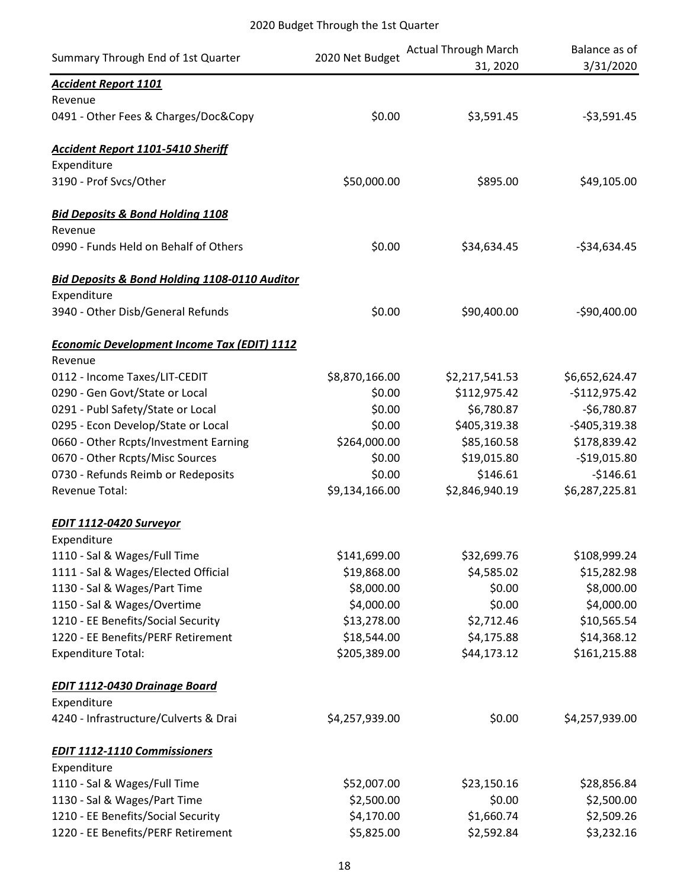|                                                          |                 | <b>Actual Through March</b> | Balance as of  |
|----------------------------------------------------------|-----------------|-----------------------------|----------------|
| Summary Through End of 1st Quarter                       | 2020 Net Budget | 31, 2020                    | 3/31/2020      |
| <b>Accident Report 1101</b>                              |                 |                             |                |
| Revenue                                                  |                 |                             |                |
| 0491 - Other Fees & Charges/Doc&Copy                     | \$0.00          | \$3,591.45                  | $-53,591.45$   |
| <b>Accident Report 1101-5410 Sheriff</b>                 |                 |                             |                |
| Expenditure                                              |                 |                             |                |
| 3190 - Prof Svcs/Other                                   | \$50,000.00     | \$895.00                    | \$49,105.00    |
| <b>Bid Deposits &amp; Bond Holding 1108</b>              |                 |                             |                |
| Revenue                                                  |                 |                             |                |
| 0990 - Funds Held on Behalf of Others                    | \$0.00          | \$34,634.45                 | $-$34,634.45$  |
| <b>Bid Deposits &amp; Bond Holding 1108-0110 Auditor</b> |                 |                             |                |
| Expenditure                                              |                 |                             |                |
| 3940 - Other Disb/General Refunds                        | \$0.00          | \$90,400.00                 | $-$90,400.00$  |
| <b>Economic Development Income Tax (EDIT) 1112</b>       |                 |                             |                |
| Revenue                                                  |                 |                             |                |
| 0112 - Income Taxes/LIT-CEDIT                            | \$8,870,166.00  | \$2,217,541.53              | \$6,652,624.47 |
| 0290 - Gen Govt/State or Local                           | \$0.00          | \$112,975.42                | $-$112,975.42$ |
| 0291 - Publ Safety/State or Local                        | \$0.00          | \$6,780.87                  | $-56,780.87$   |
| 0295 - Econ Develop/State or Local                       | \$0.00          | \$405,319.38                | $-$405,319.38$ |
| 0660 - Other Rcpts/Investment Earning                    | \$264,000.00    | \$85,160.58                 | \$178,839.42   |
| 0670 - Other Rcpts/Misc Sources                          | \$0.00          | \$19,015.80                 | $-$19,015.80$  |
| 0730 - Refunds Reimb or Redeposits                       | \$0.00          | \$146.61                    | $-$146.61$     |
| Revenue Total:                                           | \$9,134,166.00  | \$2,846,940.19              | \$6,287,225.81 |
| <b>EDIT 1112-0420 Surveyor</b>                           |                 |                             |                |
| Expenditure                                              |                 |                             |                |
| 1110 - Sal & Wages/Full Time                             | \$141,699.00    | \$32,699.76                 | \$108,999.24   |
| 1111 - Sal & Wages/Elected Official                      | \$19,868.00     | \$4,585.02                  | \$15,282.98    |
| 1130 - Sal & Wages/Part Time                             | \$8,000.00      | \$0.00                      | \$8,000.00     |
| 1150 - Sal & Wages/Overtime                              | \$4,000.00      | \$0.00                      | \$4,000.00     |
| 1210 - EE Benefits/Social Security                       | \$13,278.00     | \$2,712.46                  | \$10,565.54    |
| 1220 - EE Benefits/PERF Retirement                       | \$18,544.00     | \$4,175.88                  | \$14,368.12    |
| <b>Expenditure Total:</b>                                | \$205,389.00    | \$44,173.12                 | \$161,215.88   |
| <b>EDIT 1112-0430 Drainage Board</b>                     |                 |                             |                |
| Expenditure                                              |                 |                             |                |
| 4240 - Infrastructure/Culverts & Drai                    | \$4,257,939.00  | \$0.00                      | \$4,257,939.00 |
| <b>EDIT 1112-1110 Commissioners</b>                      |                 |                             |                |
| Expenditure                                              |                 |                             |                |
| 1110 - Sal & Wages/Full Time                             | \$52,007.00     | \$23,150.16                 | \$28,856.84    |
| 1130 - Sal & Wages/Part Time                             | \$2,500.00      | \$0.00                      | \$2,500.00     |
| 1210 - EE Benefits/Social Security                       | \$4,170.00      | \$1,660.74                  | \$2,509.26     |
| 1220 - EE Benefits/PERF Retirement                       | \$5,825.00      | \$2,592.84                  | \$3,232.16     |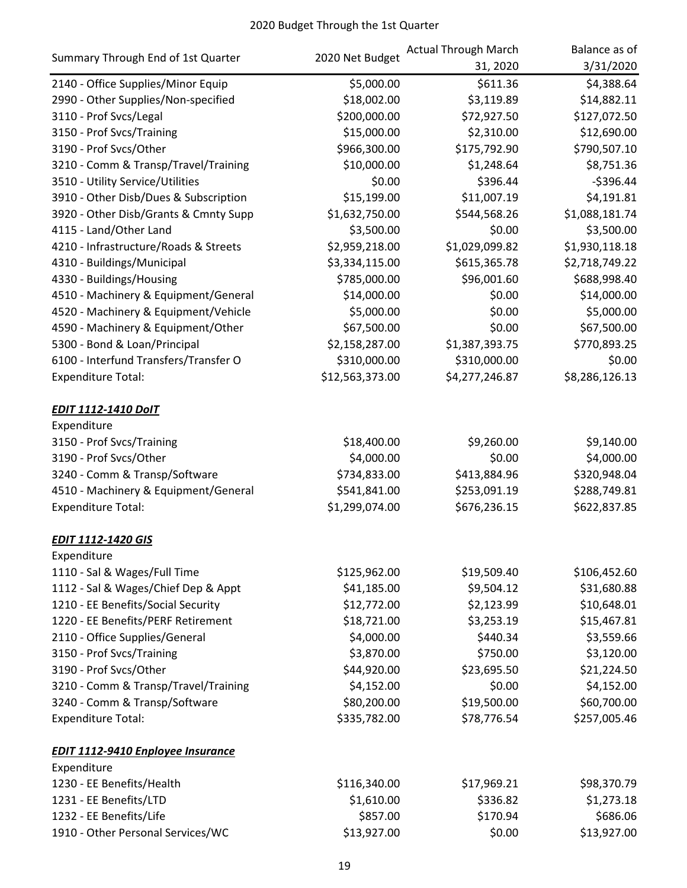| Summary Through End of 1st Quarter       | 2020 Net Budget | <b>Actual Through March</b> | Balance as of  |
|------------------------------------------|-----------------|-----------------------------|----------------|
|                                          |                 | 31, 2020                    | 3/31/2020      |
| 2140 - Office Supplies/Minor Equip       | \$5,000.00      | \$611.36                    | \$4,388.64     |
| 2990 - Other Supplies/Non-specified      | \$18,002.00     | \$3,119.89                  | \$14,882.11    |
| 3110 - Prof Svcs/Legal                   | \$200,000.00    | \$72,927.50                 | \$127,072.50   |
| 3150 - Prof Svcs/Training                | \$15,000.00     | \$2,310.00                  | \$12,690.00    |
| 3190 - Prof Svcs/Other                   | \$966,300.00    | \$175,792.90                | \$790,507.10   |
| 3210 - Comm & Transp/Travel/Training     | \$10,000.00     | \$1,248.64                  | \$8,751.36     |
| 3510 - Utility Service/Utilities         | \$0.00          | \$396.44                    | $-$396.44$     |
| 3910 - Other Disb/Dues & Subscription    | \$15,199.00     | \$11,007.19                 | \$4,191.81     |
| 3920 - Other Disb/Grants & Cmnty Supp    | \$1,632,750.00  | \$544,568.26                | \$1,088,181.74 |
| 4115 - Land/Other Land                   | \$3,500.00      | \$0.00                      | \$3,500.00     |
| 4210 - Infrastructure/Roads & Streets    | \$2,959,218.00  | \$1,029,099.82              | \$1,930,118.18 |
| 4310 - Buildings/Municipal               | \$3,334,115.00  | \$615,365.78                | \$2,718,749.22 |
| 4330 - Buildings/Housing                 | \$785,000.00    | \$96,001.60                 | \$688,998.40   |
| 4510 - Machinery & Equipment/General     | \$14,000.00     | \$0.00                      | \$14,000.00    |
| 4520 - Machinery & Equipment/Vehicle     | \$5,000.00      | \$0.00                      | \$5,000.00     |
| 4590 - Machinery & Equipment/Other       | \$67,500.00     | \$0.00                      | \$67,500.00    |
| 5300 - Bond & Loan/Principal             | \$2,158,287.00  | \$1,387,393.75              | \$770,893.25   |
| 6100 - Interfund Transfers/Transfer O    | \$310,000.00    | \$310,000.00                | \$0.00         |
| <b>Expenditure Total:</b>                | \$12,563,373.00 | \$4,277,246.87              | \$8,286,126.13 |
| <b>EDIT 1112-1410 DoIT</b>               |                 |                             |                |
| Expenditure                              |                 |                             |                |
| 3150 - Prof Svcs/Training                | \$18,400.00     | \$9,260.00                  | \$9,140.00     |
| 3190 - Prof Svcs/Other                   | \$4,000.00      | \$0.00                      | \$4,000.00     |
| 3240 - Comm & Transp/Software            | \$734,833.00    | \$413,884.96                | \$320,948.04   |
| 4510 - Machinery & Equipment/General     | \$541,841.00    | \$253,091.19                | \$288,749.81   |
| <b>Expenditure Total:</b>                | \$1,299,074.00  | \$676,236.15                | \$622,837.85   |
| <b>EDIT 1112-1420 GIS</b>                |                 |                             |                |
| Expenditure                              |                 |                             |                |
| 1110 - Sal & Wages/Full Time             | \$125,962.00    | \$19,509.40                 | \$106,452.60   |
| 1112 - Sal & Wages/Chief Dep & Appt      | \$41,185.00     | \$9,504.12                  | \$31,680.88    |
| 1210 - EE Benefits/Social Security       | \$12,772.00     | \$2,123.99                  | \$10,648.01    |
| 1220 - EE Benefits/PERF Retirement       | \$18,721.00     | \$3,253.19                  | \$15,467.81    |
| 2110 - Office Supplies/General           | \$4,000.00      | \$440.34                    | \$3,559.66     |
| 3150 - Prof Svcs/Training                | \$3,870.00      | \$750.00                    | \$3,120.00     |
| 3190 - Prof Svcs/Other                   | \$44,920.00     | \$23,695.50                 | \$21,224.50    |
| 3210 - Comm & Transp/Travel/Training     | \$4,152.00      | \$0.00                      | \$4,152.00     |
| 3240 - Comm & Transp/Software            | \$80,200.00     | \$19,500.00                 | \$60,700.00    |
| <b>Expenditure Total:</b>                | \$335,782.00    | \$78,776.54                 | \$257,005.46   |
| <b>EDIT 1112-9410 Enployee Insurance</b> |                 |                             |                |
| Expenditure                              |                 |                             |                |
| 1230 - EE Benefits/Health                | \$116,340.00    | \$17,969.21                 | \$98,370.79    |
| 1231 - EE Benefits/LTD                   | \$1,610.00      | \$336.82                    | \$1,273.18     |
| 1232 - EE Benefits/Life                  | \$857.00        | \$170.94                    | \$686.06       |
| 1910 - Other Personal Services/WC        | \$13,927.00     | \$0.00                      | \$13,927.00    |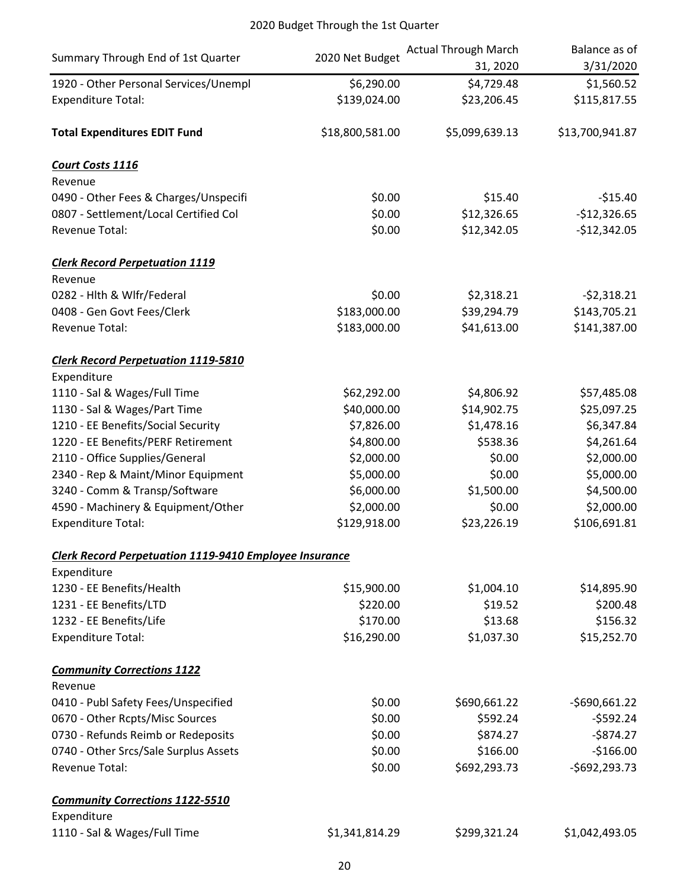| Summary Through End of 1st Quarter                            | 2020 Net Budget | <b>Actual Through March</b><br>31, 2020 | Balance as of<br>3/31/2020 |
|---------------------------------------------------------------|-----------------|-----------------------------------------|----------------------------|
| 1920 - Other Personal Services/Unempl                         | \$6,290.00      | \$4,729.48                              | \$1,560.52                 |
| <b>Expenditure Total:</b>                                     | \$139,024.00    | \$23,206.45                             | \$115,817.55               |
| <b>Total Expenditures EDIT Fund</b>                           | \$18,800,581.00 | \$5,099,639.13                          | \$13,700,941.87            |
| Court Costs 1116                                              |                 |                                         |                            |
| Revenue                                                       |                 |                                         |                            |
| 0490 - Other Fees & Charges/Unspecifi                         | \$0.00          | \$15.40                                 | $-$15.40$                  |
| 0807 - Settlement/Local Certified Col                         | \$0.00          | \$12,326.65                             | $-$12,326.65$              |
| Revenue Total:                                                | \$0.00          | \$12,342.05                             | $-$12,342.05$              |
| <b>Clerk Record Perpetuation 1119</b>                         |                 |                                         |                            |
| Revenue                                                       |                 |                                         |                            |
| 0282 - Hlth & Wlfr/Federal                                    | \$0.00          | \$2,318.21                              | $-52,318.21$               |
| 0408 - Gen Govt Fees/Clerk                                    | \$183,000.00    | \$39,294.79                             | \$143,705.21               |
| Revenue Total:                                                | \$183,000.00    | \$41,613.00                             | \$141,387.00               |
| <b>Clerk Record Perpetuation 1119-5810</b>                    |                 |                                         |                            |
| Expenditure                                                   |                 |                                         |                            |
| 1110 - Sal & Wages/Full Time                                  | \$62,292.00     | \$4,806.92                              | \$57,485.08                |
| 1130 - Sal & Wages/Part Time                                  | \$40,000.00     | \$14,902.75                             | \$25,097.25                |
| 1210 - EE Benefits/Social Security                            | \$7,826.00      | \$1,478.16                              | \$6,347.84                 |
| 1220 - EE Benefits/PERF Retirement                            | \$4,800.00      | \$538.36                                | \$4,261.64                 |
| 2110 - Office Supplies/General                                | \$2,000.00      | \$0.00                                  | \$2,000.00                 |
| 2340 - Rep & Maint/Minor Equipment                            | \$5,000.00      | \$0.00                                  | \$5,000.00                 |
| 3240 - Comm & Transp/Software                                 | \$6,000.00      | \$1,500.00                              | \$4,500.00                 |
| 4590 - Machinery & Equipment/Other                            | \$2,000.00      | \$0.00                                  | \$2,000.00                 |
| <b>Expenditure Total:</b>                                     | \$129,918.00    | \$23,226.19                             | \$106,691.81               |
| <b>Clerk Record Perpetuation 1119-9410 Employee Insurance</b> |                 |                                         |                            |
| Expenditure                                                   |                 |                                         |                            |
| 1230 - EE Benefits/Health                                     | \$15,900.00     | \$1,004.10                              | \$14,895.90                |
| 1231 - EE Benefits/LTD                                        | \$220.00        | \$19.52                                 | \$200.48                   |
| 1232 - EE Benefits/Life                                       | \$170.00        | \$13.68                                 | \$156.32                   |
| <b>Expenditure Total:</b>                                     | \$16,290.00     | \$1,037.30                              | \$15,252.70                |
| <b>Community Corrections 1122</b>                             |                 |                                         |                            |
| Revenue                                                       |                 |                                         |                            |
| 0410 - Publ Safety Fees/Unspecified                           | \$0.00          | \$690,661.22                            | $-5690,661.22$             |
| 0670 - Other Rcpts/Misc Sources                               | \$0.00          | \$592.24                                | $-5592.24$                 |
| 0730 - Refunds Reimb or Redeposits                            | \$0.00          | \$874.27                                | $-$874.27$                 |
| 0740 - Other Srcs/Sale Surplus Assets                         | \$0.00          | \$166.00                                | $-$166.00$                 |
| Revenue Total:                                                | \$0.00          | \$692,293.73                            | $-5692,293.73$             |
| <b>Community Corrections 1122-5510</b>                        |                 |                                         |                            |
| Expenditure                                                   |                 |                                         |                            |
| 1110 - Sal & Wages/Full Time                                  | \$1,341,814.29  | \$299,321.24                            | \$1,042,493.05             |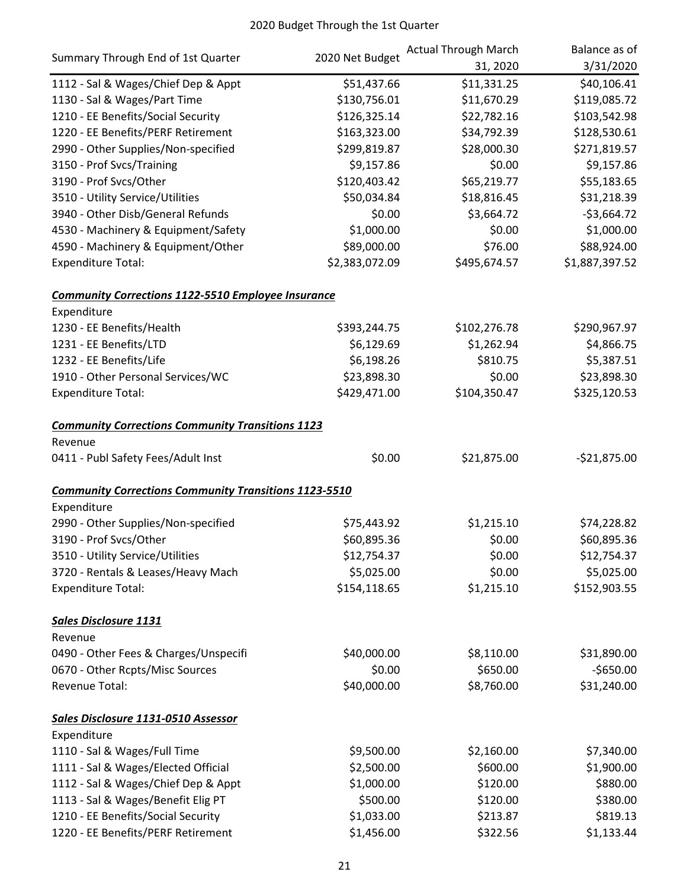|                                                              | 2020 Net Budget | <b>Actual Through March</b> | Balance as of  |
|--------------------------------------------------------------|-----------------|-----------------------------|----------------|
| Summary Through End of 1st Quarter                           |                 | 31, 2020                    | 3/31/2020      |
| 1112 - Sal & Wages/Chief Dep & Appt                          | \$51,437.66     | \$11,331.25                 | \$40,106.41    |
| 1130 - Sal & Wages/Part Time                                 | \$130,756.01    | \$11,670.29                 | \$119,085.72   |
| 1210 - EE Benefits/Social Security                           | \$126,325.14    | \$22,782.16                 | \$103,542.98   |
| 1220 - EE Benefits/PERF Retirement                           | \$163,323.00    | \$34,792.39                 | \$128,530.61   |
| 2990 - Other Supplies/Non-specified                          | \$299,819.87    | \$28,000.30                 | \$271,819.57   |
| 3150 - Prof Svcs/Training                                    | \$9,157.86      | \$0.00                      | \$9,157.86     |
| 3190 - Prof Svcs/Other                                       | \$120,403.42    | \$65,219.77                 | \$55,183.65    |
| 3510 - Utility Service/Utilities                             | \$50,034.84     | \$18,816.45                 | \$31,218.39    |
| 3940 - Other Disb/General Refunds                            | \$0.00          | \$3,664.72                  | $-53,664.72$   |
| 4530 - Machinery & Equipment/Safety                          | \$1,000.00      | \$0.00                      | \$1,000.00     |
| 4590 - Machinery & Equipment/Other                           | \$89,000.00     | \$76.00                     | \$88,924.00    |
| <b>Expenditure Total:</b>                                    | \$2,383,072.09  | \$495,674.57                | \$1,887,397.52 |
| <b>Community Corrections 1122-5510 Employee Insurance</b>    |                 |                             |                |
| Expenditure                                                  |                 |                             |                |
| 1230 - EE Benefits/Health                                    | \$393,244.75    | \$102,276.78                | \$290,967.97   |
| 1231 - EE Benefits/LTD                                       | \$6,129.69      | \$1,262.94                  | \$4,866.75     |
| 1232 - EE Benefits/Life                                      | \$6,198.26      | \$810.75                    | \$5,387.51     |
| 1910 - Other Personal Services/WC                            | \$23,898.30     | \$0.00                      | \$23,898.30    |
| <b>Expenditure Total:</b>                                    | \$429,471.00    | \$104,350.47                | \$325,120.53   |
| <b>Community Corrections Community Transitions 1123</b>      |                 |                             |                |
| Revenue                                                      |                 |                             |                |
| 0411 - Publ Safety Fees/Adult Inst                           | \$0.00          | \$21,875.00                 | $-521,875.00$  |
| <b>Community Corrections Community Transitions 1123-5510</b> |                 |                             |                |
| Expenditure                                                  |                 |                             |                |
| 2990 - Other Supplies/Non-specified                          | \$75,443.92     | \$1,215.10                  | \$74,228.82    |
| 3190 - Prof Svcs/Other                                       | \$60,895.36     | \$0.00                      | \$60,895.36    |
| 3510 - Utility Service/Utilities                             | \$12,754.37     | \$0.00                      | \$12,754.37    |
| 3720 - Rentals & Leases/Heavy Mach                           | \$5,025.00      | \$0.00                      | \$5,025.00     |
| <b>Expenditure Total:</b>                                    | \$154,118.65    | \$1,215.10                  | \$152,903.55   |
| <b>Sales Disclosure 1131</b>                                 |                 |                             |                |
| Revenue                                                      |                 |                             |                |
| 0490 - Other Fees & Charges/Unspecifi                        | \$40,000.00     | \$8,110.00                  | \$31,890.00    |
| 0670 - Other Rcpts/Misc Sources                              | \$0.00          | \$650.00                    | $-$650.00$     |
| Revenue Total:                                               | \$40,000.00     | \$8,760.00                  | \$31,240.00    |
| Sales Disclosure 1131-0510 Assessor                          |                 |                             |                |
| Expenditure                                                  |                 |                             |                |
| 1110 - Sal & Wages/Full Time                                 | \$9,500.00      | \$2,160.00                  | \$7,340.00     |
| 1111 - Sal & Wages/Elected Official                          | \$2,500.00      | \$600.00                    | \$1,900.00     |
| 1112 - Sal & Wages/Chief Dep & Appt                          | \$1,000.00      | \$120.00                    | \$880.00       |
| 1113 - Sal & Wages/Benefit Elig PT                           | \$500.00        | \$120.00                    | \$380.00       |
| 1210 - EE Benefits/Social Security                           | \$1,033.00      | \$213.87                    | \$819.13       |
| 1220 - EE Benefits/PERF Retirement                           | \$1,456.00      | \$322.56                    | \$1,133.44     |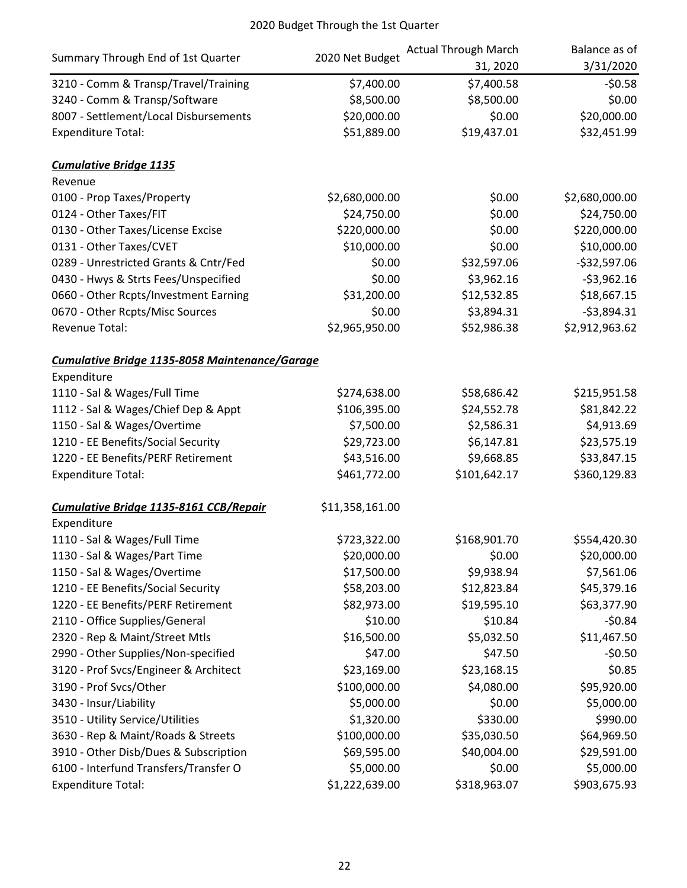|                                                       | 2020 Net Budget | <b>Actual Through March</b> | Balance as of  |
|-------------------------------------------------------|-----------------|-----------------------------|----------------|
| Summary Through End of 1st Quarter                    |                 | 31, 2020                    | 3/31/2020      |
| 3210 - Comm & Transp/Travel/Training                  | \$7,400.00      | \$7,400.58                  | $-50.58$       |
| 3240 - Comm & Transp/Software                         | \$8,500.00      | \$8,500.00                  | \$0.00         |
| 8007 - Settlement/Local Disbursements                 | \$20,000.00     | \$0.00                      | \$20,000.00    |
| <b>Expenditure Total:</b>                             | \$51,889.00     | \$19,437.01                 | \$32,451.99    |
| <b>Cumulative Bridge 1135</b>                         |                 |                             |                |
| Revenue                                               |                 |                             |                |
| 0100 - Prop Taxes/Property                            | \$2,680,000.00  | \$0.00                      | \$2,680,000.00 |
| 0124 - Other Taxes/FIT                                | \$24,750.00     | \$0.00                      | \$24,750.00    |
| 0130 - Other Taxes/License Excise                     | \$220,000.00    | \$0.00                      | \$220,000.00   |
| 0131 - Other Taxes/CVET                               | \$10,000.00     | \$0.00                      | \$10,000.00    |
| 0289 - Unrestricted Grants & Cntr/Fed                 | \$0.00          | \$32,597.06                 | $-$32,597.06$  |
| 0430 - Hwys & Strts Fees/Unspecified                  | \$0.00          | \$3,962.16                  | $-53,962.16$   |
| 0660 - Other Rcpts/Investment Earning                 | \$31,200.00     | \$12,532.85                 | \$18,667.15    |
| 0670 - Other Rcpts/Misc Sources                       | \$0.00          | \$3,894.31                  | $-53,894.31$   |
| Revenue Total:                                        | \$2,965,950.00  | \$52,986.38                 | \$2,912,963.62 |
| <b>Cumulative Bridge 1135-8058 Maintenance/Garage</b> |                 |                             |                |
| Expenditure                                           |                 |                             |                |
| 1110 - Sal & Wages/Full Time                          | \$274,638.00    | \$58,686.42                 | \$215,951.58   |
| 1112 - Sal & Wages/Chief Dep & Appt                   | \$106,395.00    | \$24,552.78                 | \$81,842.22    |
| 1150 - Sal & Wages/Overtime                           | \$7,500.00      | \$2,586.31                  | \$4,913.69     |
| 1210 - EE Benefits/Social Security                    | \$29,723.00     | \$6,147.81                  | \$23,575.19    |
| 1220 - EE Benefits/PERF Retirement                    | \$43,516.00     | \$9,668.85                  | \$33,847.15    |
| <b>Expenditure Total:</b>                             | \$461,772.00    | \$101,642.17                | \$360,129.83   |
| Cumulative Bridge 1135-8161 CCB/Repair                | \$11,358,161.00 |                             |                |
| Expenditure                                           |                 |                             |                |
| 1110 - Sal & Wages/Full Time                          | \$723,322.00    | \$168,901.70                | \$554,420.30   |
| 1130 - Sal & Wages/Part Time                          | \$20,000.00     | \$0.00                      | \$20,000.00    |
| 1150 - Sal & Wages/Overtime                           | \$17,500.00     | \$9,938.94                  | \$7,561.06     |
| 1210 - EE Benefits/Social Security                    | \$58,203.00     | \$12,823.84                 | \$45,379.16    |
| 1220 - EE Benefits/PERF Retirement                    | \$82,973.00     | \$19,595.10                 | \$63,377.90    |
| 2110 - Office Supplies/General                        | \$10.00         | \$10.84                     | $-50.84$       |
| 2320 - Rep & Maint/Street Mtls                        | \$16,500.00     | \$5,032.50                  | \$11,467.50    |
| 2990 - Other Supplies/Non-specified                   | \$47.00         | \$47.50                     | $-50.50$       |
| 3120 - Prof Svcs/Engineer & Architect                 | \$23,169.00     | \$23,168.15                 | \$0.85         |
| 3190 - Prof Svcs/Other                                | \$100,000.00    | \$4,080.00                  | \$95,920.00    |
| 3430 - Insur/Liability                                | \$5,000.00      | \$0.00                      | \$5,000.00     |
| 3510 - Utility Service/Utilities                      | \$1,320.00      | \$330.00                    | \$990.00       |
| 3630 - Rep & Maint/Roads & Streets                    | \$100,000.00    | \$35,030.50                 | \$64,969.50    |
| 3910 - Other Disb/Dues & Subscription                 | \$69,595.00     | \$40,004.00                 | \$29,591.00    |
| 6100 - Interfund Transfers/Transfer O                 | \$5,000.00      | \$0.00                      | \$5,000.00     |
| <b>Expenditure Total:</b>                             | \$1,222,639.00  | \$318,963.07                | \$903,675.93   |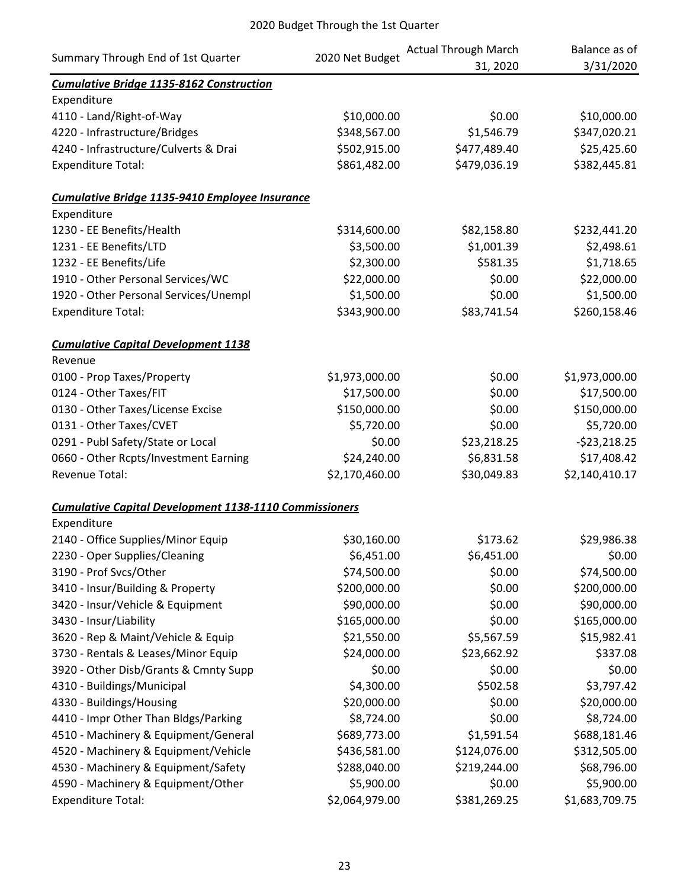| Summary Through End of 1st Quarter                            |                 | <b>Actual Through March</b> | Balance as of  |
|---------------------------------------------------------------|-----------------|-----------------------------|----------------|
|                                                               | 2020 Net Budget | 31, 2020                    | 3/31/2020      |
| <b>Cumulative Bridge 1135-8162 Construction</b>               |                 |                             |                |
| Expenditure                                                   |                 |                             |                |
| 4110 - Land/Right-of-Way                                      | \$10,000.00     | \$0.00                      | \$10,000.00    |
| 4220 - Infrastructure/Bridges                                 | \$348,567.00    | \$1,546.79                  | \$347,020.21   |
| 4240 - Infrastructure/Culverts & Drai                         | \$502,915.00    | \$477,489.40                | \$25,425.60    |
| <b>Expenditure Total:</b>                                     | \$861,482.00    | \$479,036.19                | \$382,445.81   |
| Cumulative Bridge 1135-9410 Employee Insurance                |                 |                             |                |
| Expenditure                                                   |                 |                             |                |
| 1230 - EE Benefits/Health                                     | \$314,600.00    | \$82,158.80                 | \$232,441.20   |
| 1231 - EE Benefits/LTD                                        | \$3,500.00      | \$1,001.39                  | \$2,498.61     |
| 1232 - EE Benefits/Life                                       | \$2,300.00      | \$581.35                    | \$1,718.65     |
| 1910 - Other Personal Services/WC                             | \$22,000.00     | \$0.00                      | \$22,000.00    |
| 1920 - Other Personal Services/Unempl                         | \$1,500.00      | \$0.00                      | \$1,500.00     |
| <b>Expenditure Total:</b>                                     | \$343,900.00    | \$83,741.54                 | \$260,158.46   |
| <b>Cumulative Capital Development 1138</b>                    |                 |                             |                |
| Revenue                                                       |                 |                             |                |
| 0100 - Prop Taxes/Property                                    | \$1,973,000.00  | \$0.00                      | \$1,973,000.00 |
| 0124 - Other Taxes/FIT                                        | \$17,500.00     | \$0.00                      | \$17,500.00    |
| 0130 - Other Taxes/License Excise                             | \$150,000.00    | \$0.00                      | \$150,000.00   |
| 0131 - Other Taxes/CVET                                       | \$5,720.00      | \$0.00                      | \$5,720.00     |
| 0291 - Publ Safety/State or Local                             | \$0.00          | \$23,218.25                 | $-523,218.25$  |
| 0660 - Other Rcpts/Investment Earning                         | \$24,240.00     | \$6,831.58                  | \$17,408.42    |
| Revenue Total:                                                | \$2,170,460.00  | \$30,049.83                 | \$2,140,410.17 |
| <b>Cumulative Capital Development 1138-1110 Commissioners</b> |                 |                             |                |
| Expenditure                                                   |                 |                             |                |
| 2140 - Office Supplies/Minor Equip                            | \$30,160.00     | \$173.62                    | \$29,986.38    |
| 2230 - Oper Supplies/Cleaning                                 | \$6,451.00      | \$6,451.00                  | \$0.00         |
| 3190 - Prof Svcs/Other                                        | \$74,500.00     | \$0.00                      | \$74,500.00    |
| 3410 - Insur/Building & Property                              | \$200,000.00    | \$0.00                      | \$200,000.00   |
| 3420 - Insur/Vehicle & Equipment                              | \$90,000.00     | \$0.00                      | \$90,000.00    |
| 3430 - Insur/Liability                                        | \$165,000.00    | \$0.00                      | \$165,000.00   |
| 3620 - Rep & Maint/Vehicle & Equip                            | \$21,550.00     | \$5,567.59                  | \$15,982.41    |
| 3730 - Rentals & Leases/Minor Equip                           | \$24,000.00     | \$23,662.92                 | \$337.08       |
| 3920 - Other Disb/Grants & Cmnty Supp                         | \$0.00          | \$0.00                      | \$0.00         |
| 4310 - Buildings/Municipal                                    | \$4,300.00      | \$502.58                    | \$3,797.42     |
| 4330 - Buildings/Housing                                      | \$20,000.00     | \$0.00                      | \$20,000.00    |
| 4410 - Impr Other Than Bldgs/Parking                          | \$8,724.00      | \$0.00                      | \$8,724.00     |
| 4510 - Machinery & Equipment/General                          | \$689,773.00    | \$1,591.54                  | \$688,181.46   |
| 4520 - Machinery & Equipment/Vehicle                          | \$436,581.00    | \$124,076.00                | \$312,505.00   |
| 4530 - Machinery & Equipment/Safety                           | \$288,040.00    | \$219,244.00                | \$68,796.00    |
| 4590 - Machinery & Equipment/Other                            | \$5,900.00      | \$0.00                      | \$5,900.00     |
| <b>Expenditure Total:</b>                                     | \$2,064,979.00  | \$381,269.25                | \$1,683,709.75 |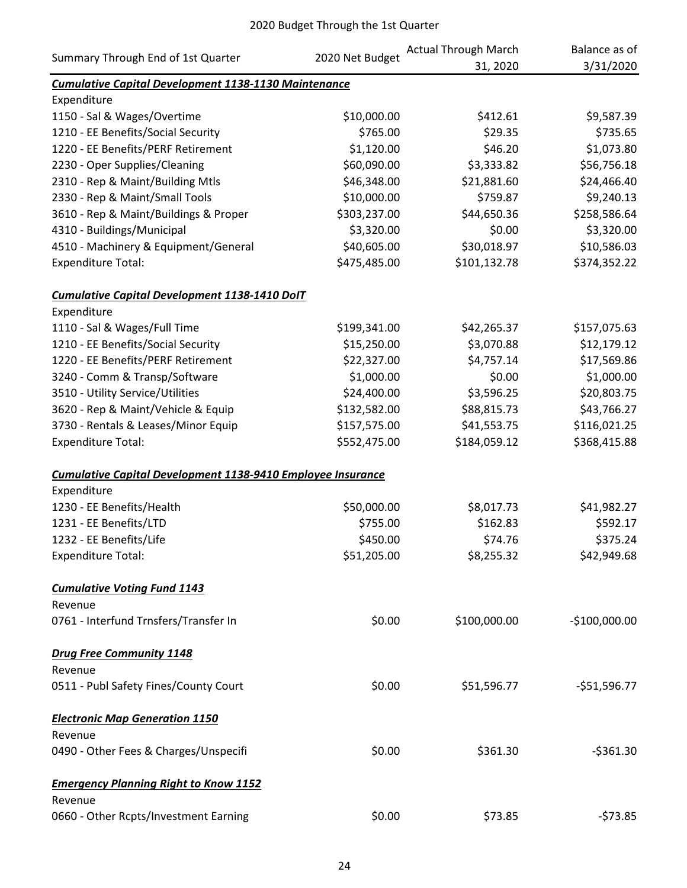| Summary Through End of 1st Quarter                          | 2020 Net Budget | <b>Actual Through March</b><br>31, 2020 | Balance as of<br>3/31/2020 |
|-------------------------------------------------------------|-----------------|-----------------------------------------|----------------------------|
| <b>Cumulative Capital Development 1138-1130 Maintenance</b> |                 |                                         |                            |
| Expenditure                                                 |                 |                                         |                            |
| 1150 - Sal & Wages/Overtime                                 | \$10,000.00     | \$412.61                                | \$9,587.39                 |
| 1210 - EE Benefits/Social Security                          | \$765.00        | \$29.35                                 | \$735.65                   |
| 1220 - EE Benefits/PERF Retirement                          | \$1,120.00      | \$46.20                                 | \$1,073.80                 |
| 2230 - Oper Supplies/Cleaning                               | \$60,090.00     | \$3,333.82                              | \$56,756.18                |
| 2310 - Rep & Maint/Building Mtls                            | \$46,348.00     | \$21,881.60                             | \$24,466.40                |
| 2330 - Rep & Maint/Small Tools                              | \$10,000.00     | \$759.87                                | \$9,240.13                 |
| 3610 - Rep & Maint/Buildings & Proper                       | \$303,237.00    | \$44,650.36                             | \$258,586.64               |
| 4310 - Buildings/Municipal                                  | \$3,320.00      | \$0.00                                  | \$3,320.00                 |
| 4510 - Machinery & Equipment/General                        | \$40,605.00     | \$30,018.97                             | \$10,586.03                |
| <b>Expenditure Total:</b>                                   | \$475,485.00    | \$101,132.78                            | \$374,352.22               |
| Cumulative Capital Development 1138-1410 DolT               |                 |                                         |                            |
| Expenditure                                                 |                 |                                         |                            |
| 1110 - Sal & Wages/Full Time                                | \$199,341.00    | \$42,265.37                             | \$157,075.63               |
| 1210 - EE Benefits/Social Security                          | \$15,250.00     | \$3,070.88                              | \$12,179.12                |
| 1220 - EE Benefits/PERF Retirement                          | \$22,327.00     | \$4,757.14                              | \$17,569.86                |
| 3240 - Comm & Transp/Software                               | \$1,000.00      | \$0.00                                  | \$1,000.00                 |
| 3510 - Utility Service/Utilities                            | \$24,400.00     | \$3,596.25                              | \$20,803.75                |
| 3620 - Rep & Maint/Vehicle & Equip                          | \$132,582.00    | \$88,815.73                             | \$43,766.27                |
| 3730 - Rentals & Leases/Minor Equip                         | \$157,575.00    | \$41,553.75                             | \$116,021.25               |
| <b>Expenditure Total:</b>                                   | \$552,475.00    | \$184,059.12                            | \$368,415.88               |
| Cumulative Capital Development 1138-9410 Employee Insurance |                 |                                         |                            |
| Expenditure                                                 |                 |                                         |                            |
| 1230 - EE Benefits/Health                                   | \$50,000.00     | \$8,017.73                              | \$41,982.27                |
| 1231 - EE Benefits/LTD                                      | \$755.00        | \$162.83                                | \$592.17                   |
| 1232 - EE Benefits/Life                                     | \$450.00        | \$74.76                                 | \$375.24                   |
| <b>Expenditure Total:</b>                                   | \$51,205.00     | \$8,255.32                              | \$42,949.68                |
| <b>Cumulative Voting Fund 1143</b>                          |                 |                                         |                            |
| Revenue                                                     |                 |                                         |                            |
| 0761 - Interfund Trnsfers/Transfer In                       | \$0.00          | \$100,000.00                            | $-$100,000.00$             |
| <b>Drug Free Community 1148</b>                             |                 |                                         |                            |
| Revenue                                                     |                 |                                         |                            |
| 0511 - Publ Safety Fines/County Court                       | \$0.00          | \$51,596.77                             | $-551,596.77$              |
| <b>Electronic Map Generation 1150</b>                       |                 |                                         |                            |
| Revenue                                                     |                 |                                         |                            |
| 0490 - Other Fees & Charges/Unspecifi                       | \$0.00          | \$361.30                                | $-5361.30$                 |
| <b>Emergency Planning Right to Know 1152</b>                |                 |                                         |                            |
| Revenue                                                     |                 |                                         |                            |
| 0660 - Other Rcpts/Investment Earning                       | \$0.00          | \$73.85                                 | $-573.85$                  |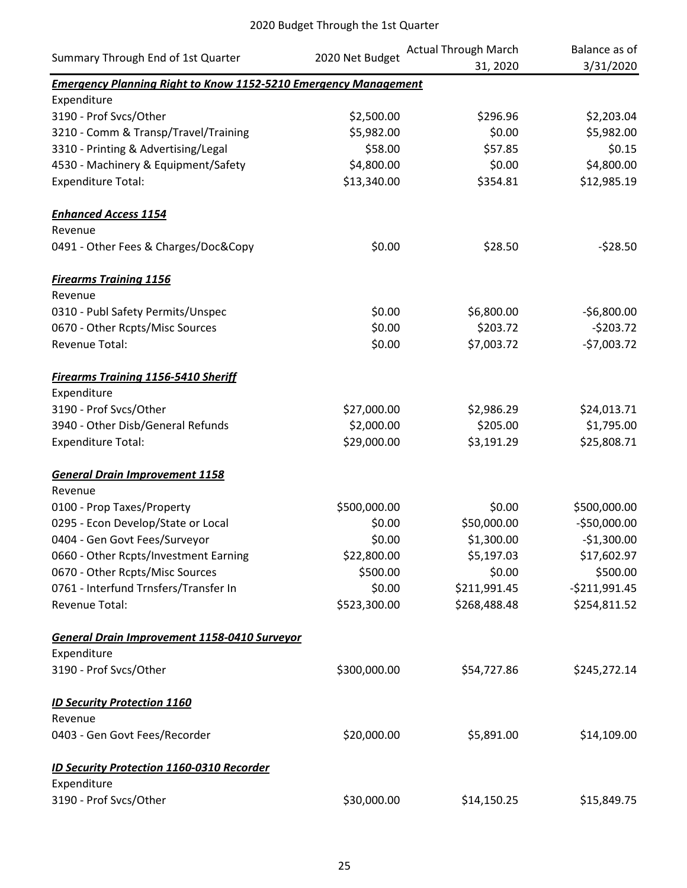| Summary Through End of 1st Quarter                                     | 2020 Net Budget | <b>Actual Through March</b> | Balance as of  |  |
|------------------------------------------------------------------------|-----------------|-----------------------------|----------------|--|
|                                                                        |                 | 31, 2020                    | 3/31/2020      |  |
| <b>Emergency Planning Right to Know 1152-5210 Emergency Management</b> |                 |                             |                |  |
| Expenditure                                                            |                 |                             |                |  |
| 3190 - Prof Svcs/Other                                                 | \$2,500.00      | \$296.96                    | \$2,203.04     |  |
| 3210 - Comm & Transp/Travel/Training                                   | \$5,982.00      | \$0.00                      | \$5,982.00     |  |
| 3310 - Printing & Advertising/Legal                                    | \$58.00         | \$57.85                     | \$0.15         |  |
| 4530 - Machinery & Equipment/Safety                                    | \$4,800.00      | \$0.00                      | \$4,800.00     |  |
| <b>Expenditure Total:</b>                                              | \$13,340.00     | \$354.81                    | \$12,985.19    |  |
| <b>Enhanced Access 1154</b>                                            |                 |                             |                |  |
| Revenue                                                                |                 |                             |                |  |
| 0491 - Other Fees & Charges/Doc&Copy                                   | \$0.00          | \$28.50                     | $-528.50$      |  |
| <b>Firearms Training 1156</b>                                          |                 |                             |                |  |
| Revenue                                                                |                 |                             |                |  |
| 0310 - Publ Safety Permits/Unspec                                      | \$0.00          | \$6,800.00                  | $-$6,800.00$   |  |
| 0670 - Other Rcpts/Misc Sources                                        | \$0.00          | \$203.72                    | $-5203.72$     |  |
| Revenue Total:                                                         | \$0.00          | \$7,003.72                  | $-57,003.72$   |  |
| <b>Firearms Training 1156-5410 Sheriff</b>                             |                 |                             |                |  |
| Expenditure                                                            |                 |                             |                |  |
| 3190 - Prof Svcs/Other                                                 | \$27,000.00     | \$2,986.29                  | \$24,013.71    |  |
| 3940 - Other Disb/General Refunds                                      | \$2,000.00      | \$205.00                    | \$1,795.00     |  |
| <b>Expenditure Total:</b>                                              | \$29,000.00     | \$3,191.29                  | \$25,808.71    |  |
| <b>General Drain Improvement 1158</b>                                  |                 |                             |                |  |
| Revenue                                                                |                 |                             |                |  |
| 0100 - Prop Taxes/Property                                             | \$500,000.00    | \$0.00                      | \$500,000.00   |  |
| 0295 - Econ Develop/State or Local                                     | \$0.00          | \$50,000.00                 | $-$50,000.00$  |  |
| 0404 - Gen Govt Fees/Surveyor                                          | \$0.00          | \$1,300.00                  | $-$1,300.00$   |  |
| 0660 - Other Rcpts/Investment Earning                                  | \$22,800.00     | \$5,197.03                  | \$17,602.97    |  |
| 0670 - Other Rcpts/Misc Sources                                        | \$500.00        | \$0.00                      | \$500.00       |  |
| 0761 - Interfund Trnsfers/Transfer In                                  | \$0.00          | \$211,991.45                | $-5211,991.45$ |  |
| Revenue Total:                                                         | \$523,300.00    | \$268,488.48                | \$254,811.52   |  |
| <b>General Drain Improvement 1158-0410 Surveyor</b>                    |                 |                             |                |  |
| Expenditure                                                            |                 |                             |                |  |
| 3190 - Prof Svcs/Other                                                 | \$300,000.00    | \$54,727.86                 | \$245,272.14   |  |
| <b>ID Security Protection 1160</b>                                     |                 |                             |                |  |
| Revenue                                                                |                 |                             |                |  |
| 0403 - Gen Govt Fees/Recorder                                          | \$20,000.00     | \$5,891.00                  | \$14,109.00    |  |
| <b>ID Security Protection 1160-0310 Recorder</b>                       |                 |                             |                |  |
| Expenditure                                                            |                 |                             |                |  |
| 3190 - Prof Svcs/Other                                                 | \$30,000.00     | \$14,150.25                 | \$15,849.75    |  |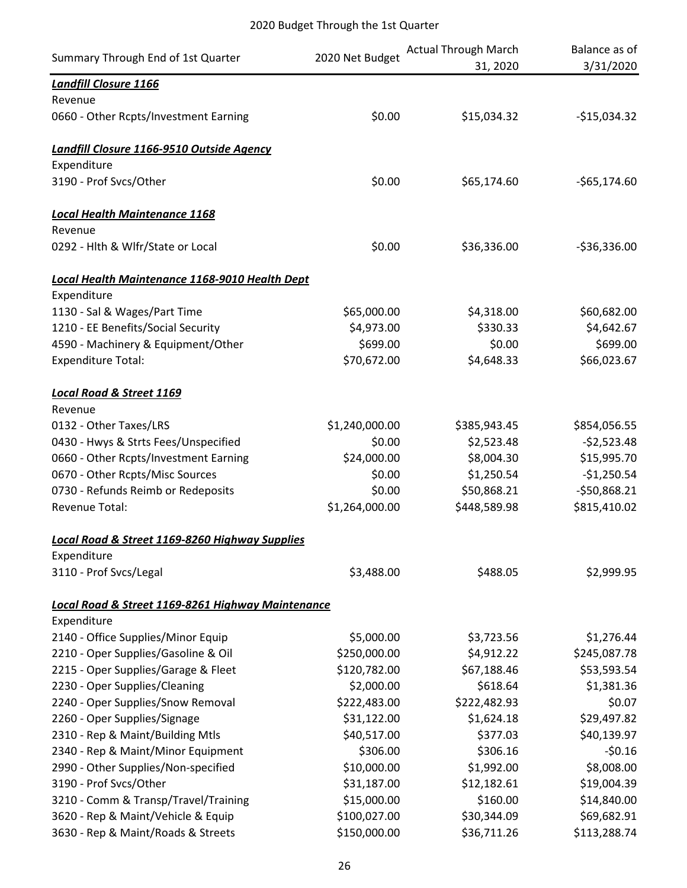| Summary Through End of 1st Quarter                        | 2020 Net Budget | <b>Actual Through March</b><br>31, 2020 | Balance as of<br>3/31/2020 |
|-----------------------------------------------------------|-----------------|-----------------------------------------|----------------------------|
| <b>Landfill Closure 1166</b>                              |                 |                                         |                            |
| Revenue                                                   |                 |                                         |                            |
| 0660 - Other Rcpts/Investment Earning                     | \$0.00          | \$15,034.32                             | $-$15,034.32$              |
| Landfill Closure 1166-9510 Outside Agency                 |                 |                                         |                            |
| Expenditure                                               |                 |                                         |                            |
| 3190 - Prof Svcs/Other                                    | \$0.00          | \$65,174.60                             | $-565,174.60$              |
| <b>Local Health Maintenance 1168</b>                      |                 |                                         |                            |
| Revenue                                                   |                 |                                         |                            |
| 0292 - Hlth & Wlfr/State or Local                         | \$0.00          | \$36,336.00                             | $-536,336.00$              |
| Local Health Maintenance 1168-9010 Health Dept            |                 |                                         |                            |
| Expenditure                                               |                 |                                         |                            |
| 1130 - Sal & Wages/Part Time                              | \$65,000.00     | \$4,318.00                              | \$60,682.00                |
| 1210 - EE Benefits/Social Security                        | \$4,973.00      | \$330.33                                | \$4,642.67                 |
| 4590 - Machinery & Equipment/Other                        | \$699.00        | \$0.00                                  | \$699.00                   |
| <b>Expenditure Total:</b>                                 | \$70,672.00     | \$4,648.33                              | \$66,023.67                |
| <b>Local Road &amp; Street 1169</b>                       |                 |                                         |                            |
| Revenue                                                   |                 |                                         |                            |
| 0132 - Other Taxes/LRS                                    | \$1,240,000.00  | \$385,943.45                            | \$854,056.55               |
| 0430 - Hwys & Strts Fees/Unspecified                      | \$0.00          | \$2,523.48                              | $-52,523.48$               |
| 0660 - Other Rcpts/Investment Earning                     | \$24,000.00     | \$8,004.30                              | \$15,995.70                |
| 0670 - Other Rcpts/Misc Sources                           | \$0.00          | \$1,250.54                              | $-$1,250.54$               |
| 0730 - Refunds Reimb or Redeposits                        | \$0.00          | \$50,868.21                             | $-550,868.21$              |
| <b>Revenue Total:</b>                                     | \$1,264,000.00  | \$448,589.98                            | \$815,410.02               |
| <b>Local Road &amp; Street 1169-8260 Highway Supplies</b> |                 |                                         |                            |
| Expenditure                                               |                 |                                         |                            |
| 3110 - Prof Svcs/Legal                                    | \$3,488.00      | \$488.05                                | \$2,999.95                 |
| Local Road & Street 1169-8261 Highway Maintenance         |                 |                                         |                            |
| Expenditure                                               |                 |                                         |                            |
| 2140 - Office Supplies/Minor Equip                        | \$5,000.00      | \$3,723.56                              | \$1,276.44                 |
| 2210 - Oper Supplies/Gasoline & Oil                       | \$250,000.00    | \$4,912.22                              | \$245,087.78               |
| 2215 - Oper Supplies/Garage & Fleet                       | \$120,782.00    | \$67,188.46                             | \$53,593.54                |
| 2230 - Oper Supplies/Cleaning                             | \$2,000.00      | \$618.64                                | \$1,381.36                 |
| 2240 - Oper Supplies/Snow Removal                         | \$222,483.00    | \$222,482.93                            | \$0.07                     |
| 2260 - Oper Supplies/Signage                              | \$31,122.00     | \$1,624.18                              | \$29,497.82                |
| 2310 - Rep & Maint/Building Mtls                          | \$40,517.00     | \$377.03                                | \$40,139.97                |
| 2340 - Rep & Maint/Minor Equipment                        | \$306.00        | \$306.16                                | $-50.16$                   |
| 2990 - Other Supplies/Non-specified                       | \$10,000.00     | \$1,992.00                              | \$8,008.00                 |
| 3190 - Prof Svcs/Other                                    | \$31,187.00     | \$12,182.61                             | \$19,004.39                |
| 3210 - Comm & Transp/Travel/Training                      | \$15,000.00     | \$160.00                                | \$14,840.00                |
| 3620 - Rep & Maint/Vehicle & Equip                        | \$100,027.00    | \$30,344.09                             | \$69,682.91                |
| 3630 - Rep & Maint/Roads & Streets                        | \$150,000.00    | \$36,711.26                             | \$113,288.74               |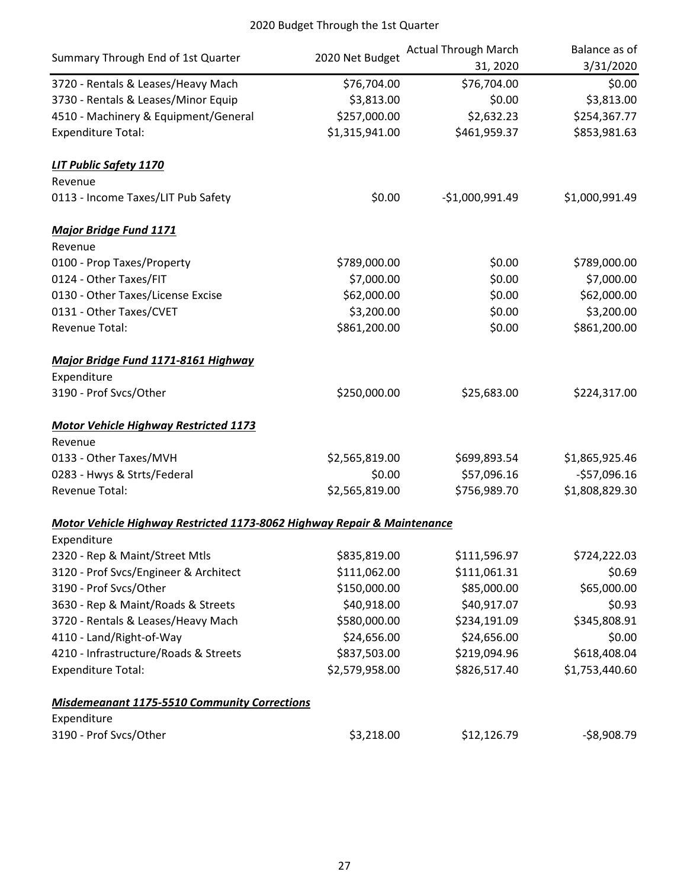| Summary Through End of 1st Quarter                                      | 2020 Net Budget | <b>Actual Through March</b><br>31, 2020 | Balance as of<br>3/31/2020 |
|-------------------------------------------------------------------------|-----------------|-----------------------------------------|----------------------------|
| 3720 - Rentals & Leases/Heavy Mach                                      | \$76,704.00     | \$76,704.00                             | \$0.00                     |
| 3730 - Rentals & Leases/Minor Equip                                     | \$3,813.00      | \$0.00                                  | \$3,813.00                 |
| 4510 - Machinery & Equipment/General                                    | \$257,000.00    | \$2,632.23                              | \$254,367.77               |
| <b>Expenditure Total:</b>                                               | \$1,315,941.00  | \$461,959.37                            | \$853,981.63               |
| <b>LIT Public Safety 1170</b>                                           |                 |                                         |                            |
| Revenue                                                                 |                 |                                         |                            |
| 0113 - Income Taxes/LIT Pub Safety                                      | \$0.00          | $-$1,000,991.49$                        | \$1,000,991.49             |
| <b>Major Bridge Fund 1171</b>                                           |                 |                                         |                            |
| Revenue                                                                 |                 |                                         |                            |
| 0100 - Prop Taxes/Property                                              | \$789,000.00    | \$0.00                                  | \$789,000.00               |
| 0124 - Other Taxes/FIT                                                  | \$7,000.00      | \$0.00                                  | \$7,000.00                 |
| 0130 - Other Taxes/License Excise                                       | \$62,000.00     | \$0.00                                  | \$62,000.00                |
| 0131 - Other Taxes/CVET                                                 | \$3,200.00      | \$0.00                                  | \$3,200.00                 |
| Revenue Total:                                                          | \$861,200.00    | \$0.00                                  | \$861,200.00               |
| Major Bridge Fund 1171-8161 Highway                                     |                 |                                         |                            |
| Expenditure                                                             |                 |                                         |                            |
| 3190 - Prof Svcs/Other                                                  | \$250,000.00    | \$25,683.00                             | \$224,317.00               |
| <b>Motor Vehicle Highway Restricted 1173</b>                            |                 |                                         |                            |
| Revenue                                                                 |                 |                                         |                            |
| 0133 - Other Taxes/MVH                                                  | \$2,565,819.00  | \$699,893.54                            | \$1,865,925.46             |
| 0283 - Hwys & Strts/Federal                                             | \$0.00          | \$57,096.16                             | $-$57,096.16$              |
| <b>Revenue Total:</b>                                                   | \$2,565,819.00  | \$756,989.70                            | \$1,808,829.30             |
| Motor Vehicle Highway Restricted 1173-8062 Highway Repair & Maintenance |                 |                                         |                            |
| Expenditure                                                             |                 |                                         |                            |
| 2320 - Rep & Maint/Street Mtls                                          | \$835,819.00    | \$111,596.97                            | \$724,222.03               |
| 3120 - Prof Svcs/Engineer & Architect                                   | \$111,062.00    | \$111,061.31                            | \$0.69                     |
| 3190 - Prof Svcs/Other                                                  | \$150,000.00    | \$85,000.00                             | \$65,000.00                |
| 3630 - Rep & Maint/Roads & Streets                                      | \$40,918.00     | \$40,917.07                             | \$0.93                     |
| 3720 - Rentals & Leases/Heavy Mach                                      | \$580,000.00    | \$234,191.09                            | \$345,808.91               |
| 4110 - Land/Right-of-Way                                                | \$24,656.00     | \$24,656.00                             | \$0.00                     |
| 4210 - Infrastructure/Roads & Streets                                   | \$837,503.00    | \$219,094.96                            | \$618,408.04               |
| <b>Expenditure Total:</b>                                               | \$2,579,958.00  | \$826,517.40                            | \$1,753,440.60             |
| <b>Misdemeanant 1175-5510 Community Corrections</b>                     |                 |                                         |                            |
| Expenditure                                                             |                 |                                         |                            |
| 3190 - Prof Svcs/Other                                                  | \$3,218.00      | \$12,126.79                             | $-58,908.79$               |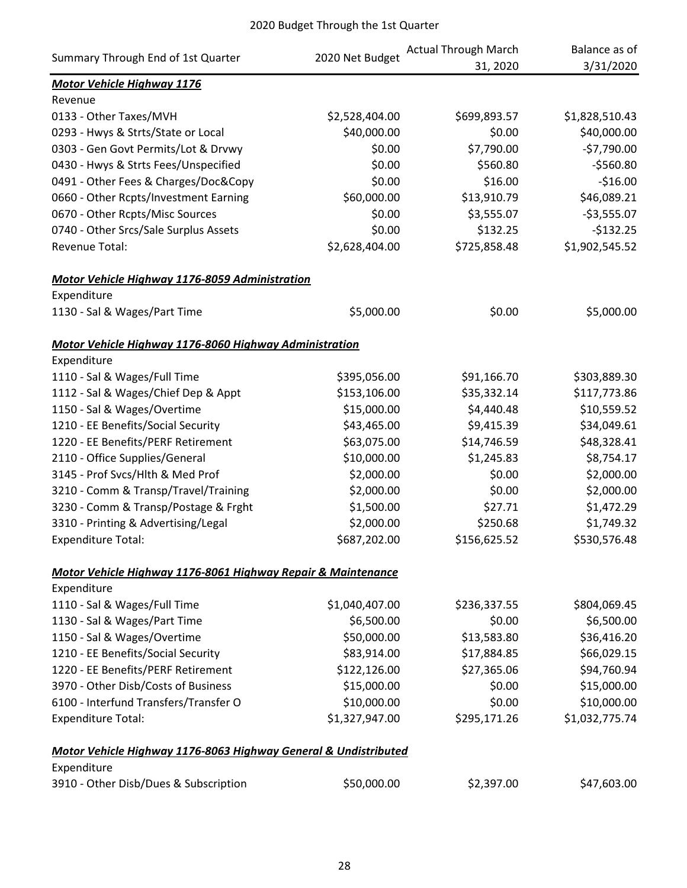| Summary Through End of 1st Quarter                              | 2020 Net Budget | <b>Actual Through March</b><br>31, 2020 | Balance as of<br>3/31/2020 |
|-----------------------------------------------------------------|-----------------|-----------------------------------------|----------------------------|
| <b>Motor Vehicle Highway 1176</b>                               |                 |                                         |                            |
| Revenue                                                         |                 |                                         |                            |
| 0133 - Other Taxes/MVH                                          | \$2,528,404.00  | \$699,893.57                            | \$1,828,510.43             |
| 0293 - Hwys & Strts/State or Local                              | \$40,000.00     | \$0.00                                  | \$40,000.00                |
| 0303 - Gen Govt Permits/Lot & Drvwy                             | \$0.00          | \$7,790.00                              | $-57,790.00$               |
| 0430 - Hwys & Strts Fees/Unspecified                            | \$0.00          | \$560.80                                | $-$560.80$                 |
| 0491 - Other Fees & Charges/Doc&Copy                            | \$0.00          | \$16.00                                 | $-$16.00$                  |
| 0660 - Other Rcpts/Investment Earning                           | \$60,000.00     | \$13,910.79                             | \$46,089.21                |
| 0670 - Other Rcpts/Misc Sources                                 | \$0.00          | \$3,555.07                              | $-53,555.07$               |
| 0740 - Other Srcs/Sale Surplus Assets                           | \$0.00          | \$132.25                                | $-$132.25$                 |
| Revenue Total:                                                  | \$2,628,404.00  | \$725,858.48                            | \$1,902,545.52             |
| Motor Vehicle Highway 1176-8059 Administration                  |                 |                                         |                            |
| Expenditure                                                     |                 |                                         |                            |
| 1130 - Sal & Wages/Part Time                                    | \$5,000.00      | \$0.00                                  | \$5,000.00                 |
| Motor Vehicle Highway 1176-8060 Highway Administration          |                 |                                         |                            |
| Expenditure                                                     |                 |                                         |                            |
| 1110 - Sal & Wages/Full Time                                    | \$395,056.00    | \$91,166.70                             | \$303,889.30               |
| 1112 - Sal & Wages/Chief Dep & Appt                             | \$153,106.00    | \$35,332.14                             | \$117,773.86               |
| 1150 - Sal & Wages/Overtime                                     | \$15,000.00     | \$4,440.48                              | \$10,559.52                |
| 1210 - EE Benefits/Social Security                              | \$43,465.00     | \$9,415.39                              | \$34,049.61                |
| 1220 - EE Benefits/PERF Retirement                              | \$63,075.00     | \$14,746.59                             | \$48,328.41                |
| 2110 - Office Supplies/General                                  | \$10,000.00     | \$1,245.83                              | \$8,754.17                 |
| 3145 - Prof Svcs/Hlth & Med Prof                                | \$2,000.00      | \$0.00                                  | \$2,000.00                 |
| 3210 - Comm & Transp/Travel/Training                            | \$2,000.00      | \$0.00                                  | \$2,000.00                 |
| 3230 - Comm & Transp/Postage & Frght                            | \$1,500.00      | \$27.71                                 | \$1,472.29                 |
| 3310 - Printing & Advertising/Legal                             | \$2,000.00      | \$250.68                                | \$1,749.32                 |
| <b>Expenditure Total:</b>                                       | \$687,202.00    | \$156,625.52                            | \$530,576.48               |
| Motor Vehicle Highway 1176-8061 Highway Repair & Maintenance    |                 |                                         |                            |
| Expenditure                                                     |                 |                                         |                            |
| 1110 - Sal & Wages/Full Time                                    | \$1,040,407.00  | \$236,337.55                            | \$804,069.45               |
| 1130 - Sal & Wages/Part Time                                    | \$6,500.00      | \$0.00                                  | \$6,500.00                 |
| 1150 - Sal & Wages/Overtime                                     | \$50,000.00     | \$13,583.80                             | \$36,416.20                |
| 1210 - EE Benefits/Social Security                              | \$83,914.00     | \$17,884.85                             | \$66,029.15                |
| 1220 - EE Benefits/PERF Retirement                              | \$122,126.00    | \$27,365.06                             | \$94,760.94                |
| 3970 - Other Disb/Costs of Business                             | \$15,000.00     | \$0.00                                  | \$15,000.00                |
| 6100 - Interfund Transfers/Transfer O                           | \$10,000.00     | \$0.00                                  | \$10,000.00                |
| <b>Expenditure Total:</b>                                       | \$1,327,947.00  | \$295,171.26                            | \$1,032,775.74             |
| Motor Vehicle Highway 1176-8063 Highway General & Undistributed |                 |                                         |                            |
| Expenditure                                                     |                 |                                         |                            |
| 3910 - Other Disb/Dues & Subscription                           | \$50,000.00     | \$2,397.00                              | \$47,603.00                |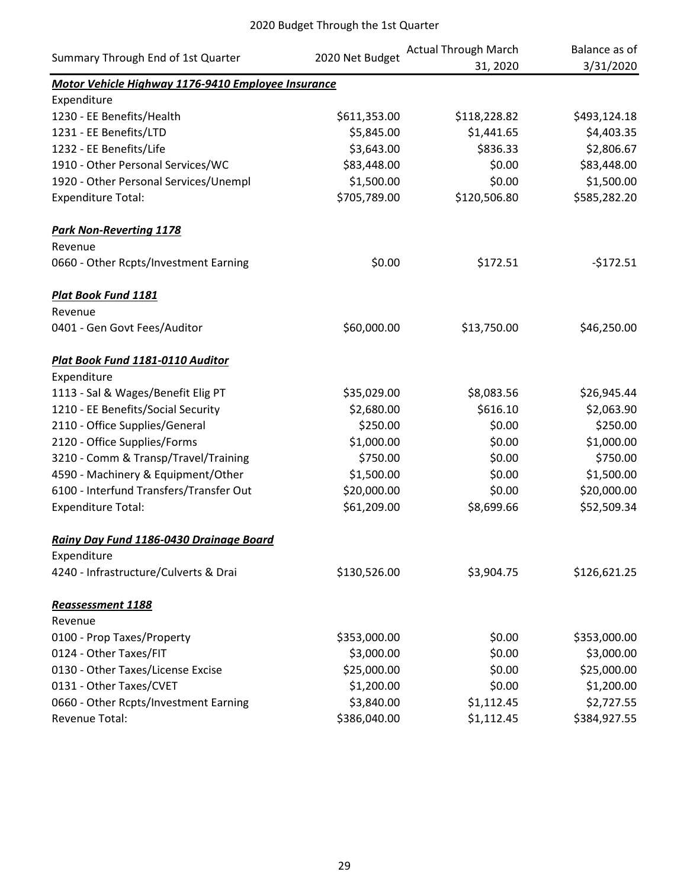|                                                    |                 | <b>Actual Through March</b> | Balance as of |
|----------------------------------------------------|-----------------|-----------------------------|---------------|
| Summary Through End of 1st Quarter                 | 2020 Net Budget | 31, 2020                    | 3/31/2020     |
| Motor Vehicle Highway 1176-9410 Employee Insurance |                 |                             |               |
| Expenditure                                        |                 |                             |               |
| 1230 - EE Benefits/Health                          | \$611,353.00    | \$118,228.82                | \$493,124.18  |
| 1231 - EE Benefits/LTD                             | \$5,845.00      | \$1,441.65                  | \$4,403.35    |
| 1232 - EE Benefits/Life                            | \$3,643.00      | \$836.33                    | \$2,806.67    |
| 1910 - Other Personal Services/WC                  | \$83,448.00     | \$0.00                      | \$83,448.00   |
| 1920 - Other Personal Services/Unempl              | \$1,500.00      | \$0.00                      | \$1,500.00    |
| <b>Expenditure Total:</b>                          | \$705,789.00    | \$120,506.80                | \$585,282.20  |
| <b>Park Non-Reverting 1178</b>                     |                 |                             |               |
| Revenue                                            |                 |                             |               |
| 0660 - Other Rcpts/Investment Earning              | \$0.00          | \$172.51                    | $-5172.51$    |
| Plat Book Fund 1181                                |                 |                             |               |
| Revenue                                            |                 |                             |               |
| 0401 - Gen Govt Fees/Auditor                       | \$60,000.00     | \$13,750.00                 | \$46,250.00   |
| Plat Book Fund 1181-0110 Auditor                   |                 |                             |               |
| Expenditure                                        |                 |                             |               |
| 1113 - Sal & Wages/Benefit Elig PT                 | \$35,029.00     | \$8,083.56                  | \$26,945.44   |
| 1210 - EE Benefits/Social Security                 | \$2,680.00      | \$616.10                    | \$2,063.90    |
| 2110 - Office Supplies/General                     | \$250.00        | \$0.00                      | \$250.00      |
| 2120 - Office Supplies/Forms                       | \$1,000.00      | \$0.00                      | \$1,000.00    |
| 3210 - Comm & Transp/Travel/Training               | \$750.00        | \$0.00                      | \$750.00      |
| 4590 - Machinery & Equipment/Other                 | \$1,500.00      | \$0.00                      | \$1,500.00    |
| 6100 - Interfund Transfers/Transfer Out            | \$20,000.00     | \$0.00                      | \$20,000.00   |
| <b>Expenditure Total:</b>                          | \$61,209.00     | \$8,699.66                  | \$52,509.34   |
| Rainy Day Fund 1186-0430 Drainage Board            |                 |                             |               |
| Expenditure                                        |                 |                             |               |
| 4240 - Infrastructure/Culverts & Drai              | \$130,526.00    | \$3,904.75                  | \$126,621.25  |
| <b>Reassessment 1188</b>                           |                 |                             |               |
| Revenue                                            |                 |                             |               |
| 0100 - Prop Taxes/Property                         | \$353,000.00    | \$0.00                      | \$353,000.00  |
| 0124 - Other Taxes/FIT                             | \$3,000.00      | \$0.00                      | \$3,000.00    |
| 0130 - Other Taxes/License Excise                  | \$25,000.00     | \$0.00                      | \$25,000.00   |
| 0131 - Other Taxes/CVET                            | \$1,200.00      | \$0.00                      | \$1,200.00    |
| 0660 - Other Rcpts/Investment Earning              | \$3,840.00      | \$1,112.45                  | \$2,727.55    |
| Revenue Total:                                     | \$386,040.00    | \$1,112.45                  | \$384,927.55  |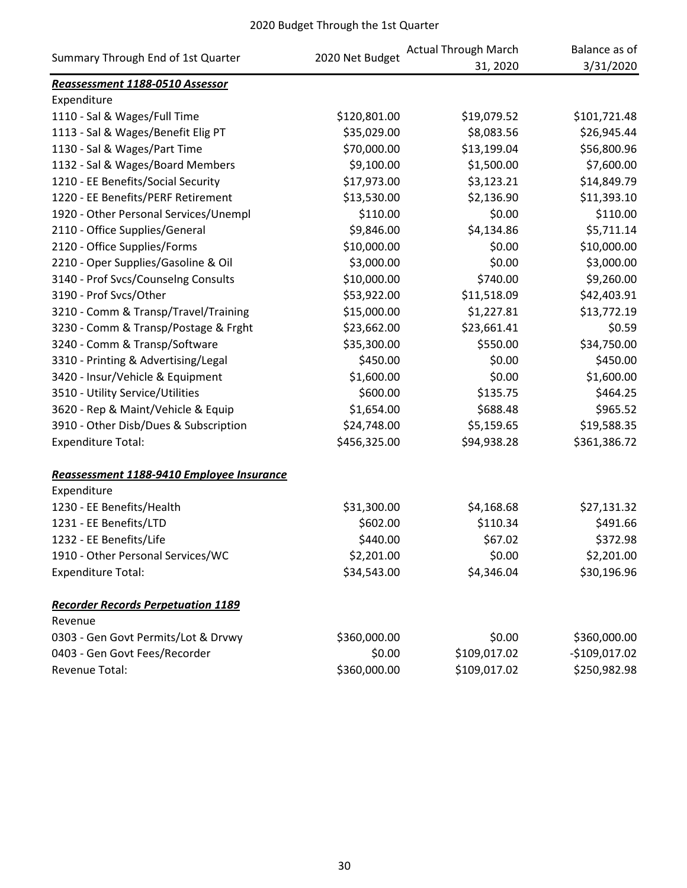| Summary Through End of 1st Quarter        | 2020 Net Budget | <b>Actual Through March</b><br>31, 2020 | Balance as of<br>3/31/2020 |
|-------------------------------------------|-----------------|-----------------------------------------|----------------------------|
| Reassessment 1188-0510 Assessor           |                 |                                         |                            |
| Expenditure                               |                 |                                         |                            |
| 1110 - Sal & Wages/Full Time              | \$120,801.00    | \$19,079.52                             | \$101,721.48               |
| 1113 - Sal & Wages/Benefit Elig PT        | \$35,029.00     | \$8,083.56                              | \$26,945.44                |
| 1130 - Sal & Wages/Part Time              | \$70,000.00     | \$13,199.04                             | \$56,800.96                |
| 1132 - Sal & Wages/Board Members          | \$9,100.00      | \$1,500.00                              | \$7,600.00                 |
| 1210 - EE Benefits/Social Security        | \$17,973.00     | \$3,123.21                              | \$14,849.79                |
| 1220 - EE Benefits/PERF Retirement        | \$13,530.00     | \$2,136.90                              | \$11,393.10                |
| 1920 - Other Personal Services/Unempl     | \$110.00        | \$0.00                                  | \$110.00                   |
| 2110 - Office Supplies/General            | \$9,846.00      | \$4,134.86                              | \$5,711.14                 |
| 2120 - Office Supplies/Forms              | \$10,000.00     | \$0.00                                  | \$10,000.00                |
| 2210 - Oper Supplies/Gasoline & Oil       | \$3,000.00      | \$0.00                                  | \$3,000.00                 |
| 3140 - Prof Svcs/Counselng Consults       | \$10,000.00     | \$740.00                                | \$9,260.00                 |
| 3190 - Prof Svcs/Other                    | \$53,922.00     | \$11,518.09                             | \$42,403.91                |
| 3210 - Comm & Transp/Travel/Training      | \$15,000.00     | \$1,227.81                              | \$13,772.19                |
| 3230 - Comm & Transp/Postage & Frght      | \$23,662.00     | \$23,661.41                             | \$0.59                     |
| 3240 - Comm & Transp/Software             | \$35,300.00     | \$550.00                                | \$34,750.00                |
| 3310 - Printing & Advertising/Legal       | \$450.00        | \$0.00                                  | \$450.00                   |
| 3420 - Insur/Vehicle & Equipment          | \$1,600.00      | \$0.00                                  | \$1,600.00                 |
| 3510 - Utility Service/Utilities          | \$600.00        | \$135.75                                | \$464.25                   |
| 3620 - Rep & Maint/Vehicle & Equip        | \$1,654.00      | \$688.48                                | \$965.52                   |
| 3910 - Other Disb/Dues & Subscription     | \$24,748.00     | \$5,159.65                              | \$19,588.35                |
| <b>Expenditure Total:</b>                 | \$456,325.00    | \$94,938.28                             | \$361,386.72               |
| Reassessment 1188-9410 Employee Insurance |                 |                                         |                            |
| Expenditure                               |                 |                                         |                            |
| 1230 - EE Benefits/Health                 | \$31,300.00     | \$4,168.68                              | \$27,131.32                |
| 1231 - EE Benefits/LTD                    | \$602.00        | \$110.34                                | \$491.66                   |
| 1232 - EE Benefits/Life                   | \$440.00        | \$67.02                                 | \$372.98                   |
| 1910 - Other Personal Services/WC         | \$2,201.00      | \$0.00                                  | \$2,201.00                 |
| <b>Expenditure Total:</b>                 | \$34,543.00     | \$4,346.04                              | \$30,196.96                |
| <b>Recorder Records Perpetuation 1189</b> |                 |                                         |                            |
| Revenue                                   |                 |                                         |                            |
| 0303 - Gen Govt Permits/Lot & Drvwy       | \$360,000.00    | \$0.00                                  | \$360,000.00               |
| 0403 - Gen Govt Fees/Recorder             | \$0.00          | \$109,017.02                            | $-$109,017.02$             |
| Revenue Total:                            | \$360,000.00    | \$109,017.02                            | \$250,982.98               |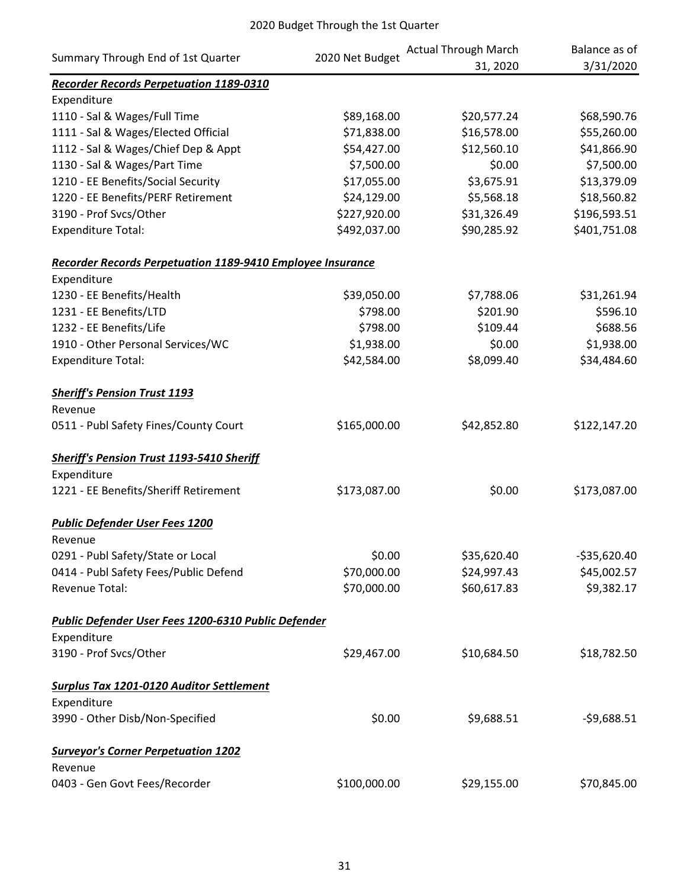|                                                                   |                 | <b>Actual Through March</b> | Balance as of |
|-------------------------------------------------------------------|-----------------|-----------------------------|---------------|
| Summary Through End of 1st Quarter                                | 2020 Net Budget | 31, 2020                    | 3/31/2020     |
| <b>Recorder Records Perpetuation 1189-0310</b>                    |                 |                             |               |
| Expenditure                                                       |                 |                             |               |
| 1110 - Sal & Wages/Full Time                                      | \$89,168.00     | \$20,577.24                 | \$68,590.76   |
| 1111 - Sal & Wages/Elected Official                               | \$71,838.00     | \$16,578.00                 | \$55,260.00   |
| 1112 - Sal & Wages/Chief Dep & Appt                               | \$54,427.00     | \$12,560.10                 | \$41,866.90   |
| 1130 - Sal & Wages/Part Time                                      | \$7,500.00      | \$0.00                      | \$7,500.00    |
| 1210 - EE Benefits/Social Security                                | \$17,055.00     | \$3,675.91                  | \$13,379.09   |
| 1220 - EE Benefits/PERF Retirement                                | \$24,129.00     | \$5,568.18                  | \$18,560.82   |
| 3190 - Prof Svcs/Other                                            | \$227,920.00    | \$31,326.49                 | \$196,593.51  |
| <b>Expenditure Total:</b>                                         | \$492,037.00    | \$90,285.92                 | \$401,751.08  |
| <b>Recorder Records Perpetuation 1189-9410 Employee Insurance</b> |                 |                             |               |
| Expenditure                                                       |                 |                             |               |
| 1230 - EE Benefits/Health                                         | \$39,050.00     | \$7,788.06                  | \$31,261.94   |
| 1231 - EE Benefits/LTD                                            | \$798.00        | \$201.90                    | \$596.10      |
| 1232 - EE Benefits/Life                                           | \$798.00        | \$109.44                    | \$688.56      |
| 1910 - Other Personal Services/WC                                 | \$1,938.00      | \$0.00                      | \$1,938.00    |
| <b>Expenditure Total:</b>                                         | \$42,584.00     | \$8,099.40                  | \$34,484.60   |
| <b>Sheriff's Pension Trust 1193</b>                               |                 |                             |               |
| Revenue                                                           |                 |                             |               |
| 0511 - Publ Safety Fines/County Court                             | \$165,000.00    | \$42,852.80                 | \$122,147.20  |
| <b>Sheriff's Pension Trust 1193-5410 Sheriff</b>                  |                 |                             |               |
| Expenditure                                                       |                 |                             |               |
| 1221 - EE Benefits/Sheriff Retirement                             | \$173,087.00    | \$0.00                      | \$173,087.00  |
| <b>Public Defender User Fees 1200</b>                             |                 |                             |               |
| Revenue<br>0291 - Publ Safety/State or Local                      | \$0.00          | \$35,620.40                 | $-535,620.40$ |
| 0414 - Publ Safety Fees/Public Defend                             | \$70,000.00     | \$24,997.43                 | \$45,002.57   |
| Revenue Total:                                                    | \$70,000.00     | \$60,617.83                 | \$9,382.17    |
|                                                                   |                 |                             |               |
| Public Defender User Fees 1200-6310 Public Defender               |                 |                             |               |
| Expenditure                                                       |                 |                             |               |
| 3190 - Prof Svcs/Other                                            | \$29,467.00     | \$10,684.50                 | \$18,782.50   |
| <b>Surplus Tax 1201-0120 Auditor Settlement</b>                   |                 |                             |               |
| Expenditure                                                       |                 |                             |               |
| 3990 - Other Disb/Non-Specified                                   | \$0.00          | \$9,688.51                  | $-59,688.51$  |
| <b>Surveyor's Corner Perpetuation 1202</b>                        |                 |                             |               |
| Revenue                                                           |                 |                             |               |
| 0403 - Gen Govt Fees/Recorder                                     | \$100,000.00    | \$29,155.00                 | \$70,845.00   |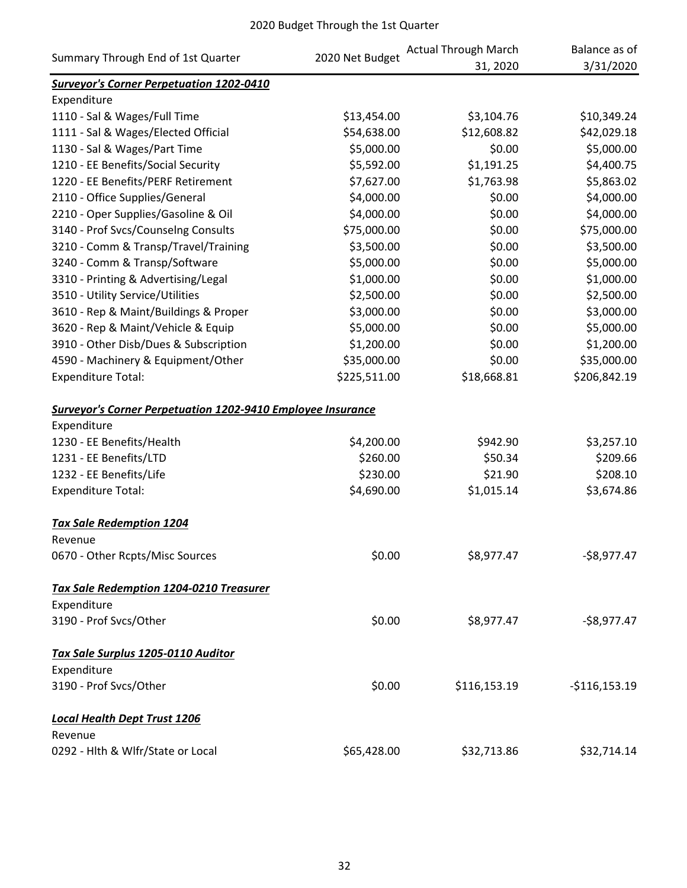|                                                                    | 2020 Net Budget | <b>Actual Through March</b> | Balance as of  |
|--------------------------------------------------------------------|-----------------|-----------------------------|----------------|
| Summary Through End of 1st Quarter                                 |                 | 31, 2020                    | 3/31/2020      |
| <b>Surveyor's Corner Perpetuation 1202-0410</b>                    |                 |                             |                |
| Expenditure                                                        |                 |                             |                |
| 1110 - Sal & Wages/Full Time                                       | \$13,454.00     | \$3,104.76                  | \$10,349.24    |
| 1111 - Sal & Wages/Elected Official                                | \$54,638.00     | \$12,608.82                 | \$42,029.18    |
| 1130 - Sal & Wages/Part Time                                       | \$5,000.00      | \$0.00                      | \$5,000.00     |
| 1210 - EE Benefits/Social Security                                 | \$5,592.00      | \$1,191.25                  | \$4,400.75     |
| 1220 - EE Benefits/PERF Retirement                                 | \$7,627.00      | \$1,763.98                  | \$5,863.02     |
| 2110 - Office Supplies/General                                     | \$4,000.00      | \$0.00                      | \$4,000.00     |
| 2210 - Oper Supplies/Gasoline & Oil                                | \$4,000.00      | \$0.00                      | \$4,000.00     |
| 3140 - Prof Svcs/Counselng Consults                                | \$75,000.00     | \$0.00                      | \$75,000.00    |
| 3210 - Comm & Transp/Travel/Training                               | \$3,500.00      | \$0.00                      | \$3,500.00     |
| 3240 - Comm & Transp/Software                                      | \$5,000.00      | \$0.00                      | \$5,000.00     |
| 3310 - Printing & Advertising/Legal                                | \$1,000.00      | \$0.00                      | \$1,000.00     |
| 3510 - Utility Service/Utilities                                   | \$2,500.00      | \$0.00                      | \$2,500.00     |
| 3610 - Rep & Maint/Buildings & Proper                              | \$3,000.00      | \$0.00                      | \$3,000.00     |
| 3620 - Rep & Maint/Vehicle & Equip                                 | \$5,000.00      | \$0.00                      | \$5,000.00     |
| 3910 - Other Disb/Dues & Subscription                              | \$1,200.00      | \$0.00                      | \$1,200.00     |
| 4590 - Machinery & Equipment/Other                                 | \$35,000.00     | \$0.00                      | \$35,000.00    |
| <b>Expenditure Total:</b>                                          | \$225,511.00    | \$18,668.81                 | \$206,842.19   |
| <b>Surveyor's Corner Perpetuation 1202-9410 Employee Insurance</b> |                 |                             |                |
| Expenditure                                                        |                 |                             |                |
| 1230 - EE Benefits/Health                                          | \$4,200.00      | \$942.90                    | \$3,257.10     |
| 1231 - EE Benefits/LTD                                             | \$260.00        | \$50.34                     | \$209.66       |
| 1232 - EE Benefits/Life                                            | \$230.00        | \$21.90                     | \$208.10       |
| <b>Expenditure Total:</b>                                          | \$4,690.00      | \$1,015.14                  | \$3,674.86     |
| <b>Tax Sale Redemption 1204</b>                                    |                 |                             |                |
| Revenue                                                            |                 |                             |                |
| 0670 - Other Rcpts/Misc Sources                                    | \$0.00          | \$8,977.47                  | $-$8,977.47$   |
| <b>Tax Sale Redemption 1204-0210 Treasurer</b>                     |                 |                             |                |
| Expenditure                                                        |                 |                             |                |
| 3190 - Prof Svcs/Other                                             | \$0.00          | \$8,977.47                  | $-$8,977.47$   |
| Tax Sale Surplus 1205-0110 Auditor                                 |                 |                             |                |
| Expenditure                                                        |                 |                             |                |
| 3190 - Prof Svcs/Other                                             | \$0.00          | \$116,153.19                | $-$116,153.19$ |
| <b>Local Health Dept Trust 1206</b>                                |                 |                             |                |
| Revenue                                                            |                 |                             |                |
| 0292 - Hlth & Wlfr/State or Local                                  | \$65,428.00     | \$32,713.86                 | \$32,714.14    |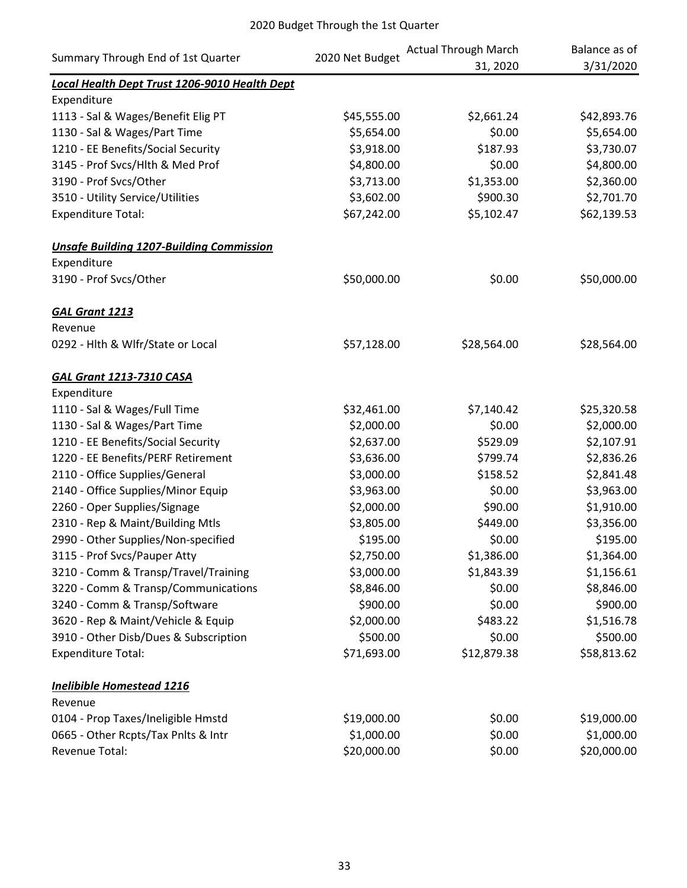| Summary Through End of 1st Quarter              | 2020 Net Budget | <b>Actual Through March</b> | Balance as of |
|-------------------------------------------------|-----------------|-----------------------------|---------------|
|                                                 |                 | 31, 2020                    | 3/31/2020     |
| Local Health Dept Trust 1206-9010 Health Dept   |                 |                             |               |
| Expenditure                                     |                 |                             |               |
| 1113 - Sal & Wages/Benefit Elig PT              | \$45,555.00     | \$2,661.24                  | \$42,893.76   |
| 1130 - Sal & Wages/Part Time                    | \$5,654.00      | \$0.00                      | \$5,654.00    |
| 1210 - EE Benefits/Social Security              | \$3,918.00      | \$187.93                    | \$3,730.07    |
| 3145 - Prof Svcs/Hlth & Med Prof                | \$4,800.00      | \$0.00                      | \$4,800.00    |
| 3190 - Prof Svcs/Other                          | \$3,713.00      | \$1,353.00                  | \$2,360.00    |
| 3510 - Utility Service/Utilities                | \$3,602.00      | \$900.30                    | \$2,701.70    |
| <b>Expenditure Total:</b>                       | \$67,242.00     | \$5,102.47                  | \$62,139.53   |
| <b>Unsafe Building 1207-Building Commission</b> |                 |                             |               |
| Expenditure                                     |                 |                             |               |
| 3190 - Prof Svcs/Other                          | \$50,000.00     | \$0.00                      | \$50,000.00   |
| <b>GAL Grant 1213</b>                           |                 |                             |               |
| Revenue                                         |                 |                             |               |
| 0292 - Hlth & Wlfr/State or Local               | \$57,128.00     | \$28,564.00                 | \$28,564.00   |
| <b>GAL Grant 1213-7310 CASA</b>                 |                 |                             |               |
| Expenditure                                     |                 |                             |               |
| 1110 - Sal & Wages/Full Time                    | \$32,461.00     | \$7,140.42                  | \$25,320.58   |
| 1130 - Sal & Wages/Part Time                    | \$2,000.00      | \$0.00                      | \$2,000.00    |
| 1210 - EE Benefits/Social Security              | \$2,637.00      | \$529.09                    | \$2,107.91    |
| 1220 - EE Benefits/PERF Retirement              | \$3,636.00      | \$799.74                    | \$2,836.26    |
| 2110 - Office Supplies/General                  | \$3,000.00      | \$158.52                    | \$2,841.48    |
| 2140 - Office Supplies/Minor Equip              | \$3,963.00      | \$0.00                      | \$3,963.00    |
| 2260 - Oper Supplies/Signage                    | \$2,000.00      | \$90.00                     | \$1,910.00    |
| 2310 - Rep & Maint/Building Mtls                | \$3,805.00      | \$449.00                    | \$3,356.00    |
| 2990 - Other Supplies/Non-specified             | \$195.00        | \$0.00                      | \$195.00      |
| 3115 - Prof Svcs/Pauper Atty                    | \$2,750.00      | \$1,386.00                  | \$1,364.00    |
| 3210 - Comm & Transp/Travel/Training            | \$3,000.00      | \$1,843.39                  | \$1,156.61    |
| 3220 - Comm & Transp/Communications             | \$8,846.00      | \$0.00                      | \$8,846.00    |
| 3240 - Comm & Transp/Software                   | \$900.00        | \$0.00                      | \$900.00      |
| 3620 - Rep & Maint/Vehicle & Equip              | \$2,000.00      | \$483.22                    | \$1,516.78    |
| 3910 - Other Disb/Dues & Subscription           | \$500.00        | \$0.00                      | \$500.00      |
| <b>Expenditure Total:</b>                       | \$71,693.00     | \$12,879.38                 | \$58,813.62   |
| <b>Inelibible Homestead 1216</b>                |                 |                             |               |
| Revenue                                         |                 |                             |               |
| 0104 - Prop Taxes/Ineligible Hmstd              | \$19,000.00     | \$0.00                      | \$19,000.00   |
| 0665 - Other Rcpts/Tax Pnlts & Intr             | \$1,000.00      | \$0.00                      | \$1,000.00    |
| Revenue Total:                                  | \$20,000.00     | \$0.00                      | \$20,000.00   |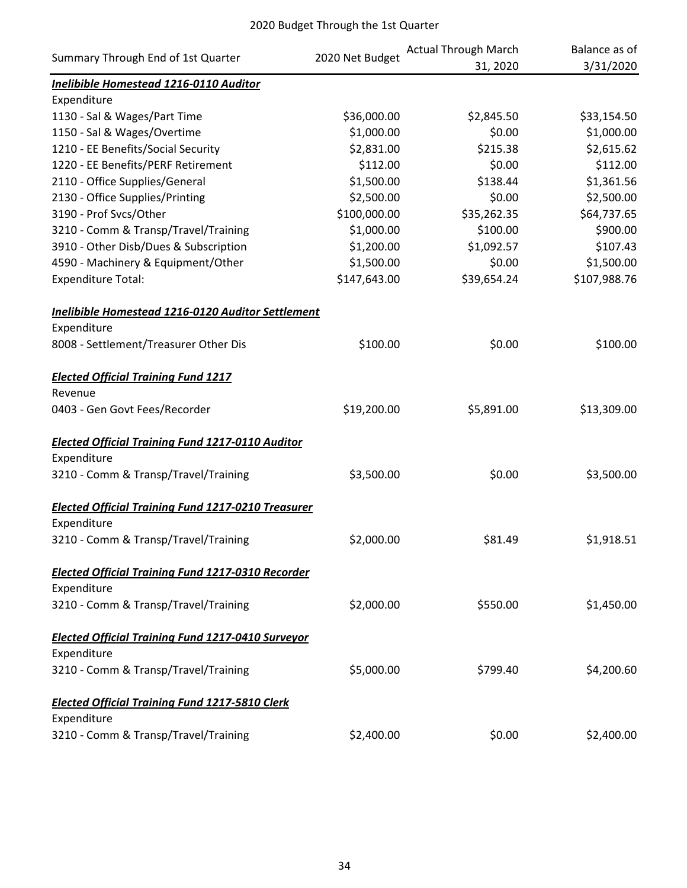| Summary Through End of 1st Quarter                        | 2020 Net Budget | <b>Actual Through March</b> | Balance as of |
|-----------------------------------------------------------|-----------------|-----------------------------|---------------|
|                                                           |                 | 31, 2020                    | 3/31/2020     |
| Inelibible Homestead 1216-0110 Auditor                    |                 |                             |               |
| Expenditure                                               |                 |                             |               |
| 1130 - Sal & Wages/Part Time                              | \$36,000.00     | \$2,845.50                  | \$33,154.50   |
| 1150 - Sal & Wages/Overtime                               | \$1,000.00      | \$0.00                      | \$1,000.00    |
| 1210 - EE Benefits/Social Security                        | \$2,831.00      | \$215.38                    | \$2,615.62    |
| 1220 - EE Benefits/PERF Retirement                        | \$112.00        | \$0.00                      | \$112.00      |
| 2110 - Office Supplies/General                            | \$1,500.00      | \$138.44                    | \$1,361.56    |
| 2130 - Office Supplies/Printing                           | \$2,500.00      | \$0.00                      | \$2,500.00    |
| 3190 - Prof Svcs/Other                                    | \$100,000.00    | \$35,262.35                 | \$64,737.65   |
| 3210 - Comm & Transp/Travel/Training                      | \$1,000.00      | \$100.00                    | \$900.00      |
| 3910 - Other Disb/Dues & Subscription                     | \$1,200.00      | \$1,092.57                  | \$107.43      |
| 4590 - Machinery & Equipment/Other                        | \$1,500.00      | \$0.00                      | \$1,500.00    |
| <b>Expenditure Total:</b>                                 | \$147,643.00    | \$39,654.24                 | \$107,988.76  |
| Inelibible Homestead 1216-0120 Auditor Settlement         |                 |                             |               |
| Expenditure                                               |                 |                             |               |
| 8008 - Settlement/Treasurer Other Dis                     | \$100.00        | \$0.00                      | \$100.00      |
| <b>Elected Official Training Fund 1217</b>                |                 |                             |               |
| Revenue                                                   |                 |                             |               |
| 0403 - Gen Govt Fees/Recorder                             | \$19,200.00     | \$5,891.00                  | \$13,309.00   |
| <b>Elected Official Training Fund 1217-0110 Auditor</b>   |                 |                             |               |
| Expenditure                                               |                 |                             |               |
| 3210 - Comm & Transp/Travel/Training                      | \$3,500.00      | \$0.00                      | \$3,500.00    |
| <b>Elected Official Training Fund 1217-0210 Treasurer</b> |                 |                             |               |
| Expenditure                                               |                 |                             |               |
| 3210 - Comm & Transp/Travel/Training                      | \$2,000.00      | \$81.49                     | \$1,918.51    |
| <b>Elected Official Training Fund 1217-0310 Recorder</b>  |                 |                             |               |
| Expenditure                                               |                 |                             |               |
| 3210 - Comm & Transp/Travel/Training                      | \$2,000.00      | \$550.00                    | \$1,450.00    |
| <b>Elected Official Training Fund 1217-0410 Surveyor</b>  |                 |                             |               |
| Expenditure                                               |                 |                             |               |
| 3210 - Comm & Transp/Travel/Training                      | \$5,000.00      | \$799.40                    | \$4,200.60    |
| <b>Elected Official Training Fund 1217-5810 Clerk</b>     |                 |                             |               |
| Expenditure                                               |                 |                             |               |
| 3210 - Comm & Transp/Travel/Training                      | \$2,400.00      | \$0.00                      | \$2,400.00    |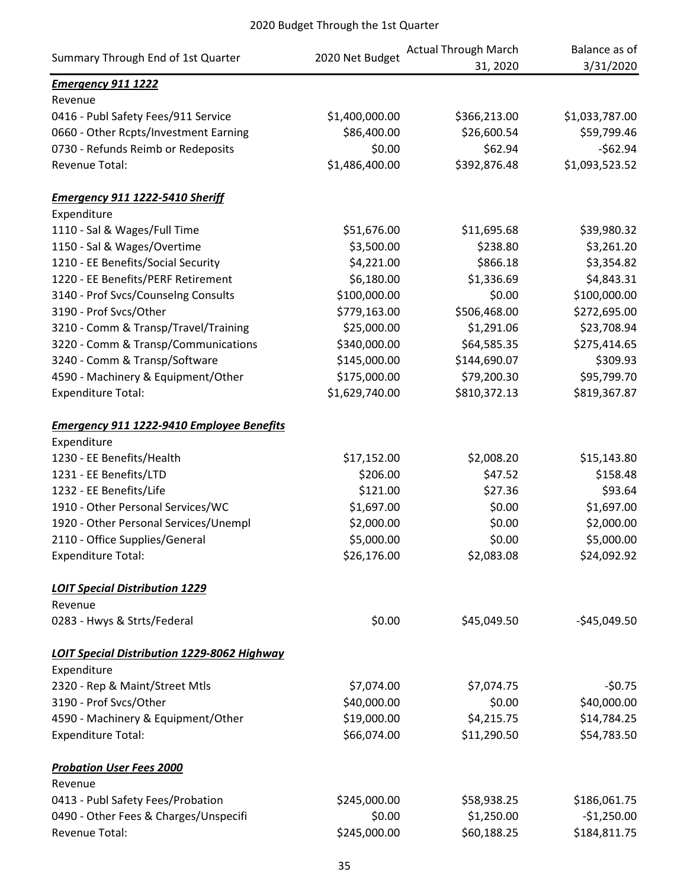| Summary Through End of 1st Quarter               | 2020 Net Budget | <b>Actual Through March</b> | Balance as of   |
|--------------------------------------------------|-----------------|-----------------------------|-----------------|
|                                                  |                 | 31, 2020                    | 3/31/2020       |
| <b>Emergency 911 1222</b>                        |                 |                             |                 |
| Revenue                                          |                 |                             |                 |
| 0416 - Publ Safety Fees/911 Service              | \$1,400,000.00  | \$366,213.00                | \$1,033,787.00  |
| 0660 - Other Rcpts/Investment Earning            | \$86,400.00     | \$26,600.54                 | \$59,799.46     |
| 0730 - Refunds Reimb or Redeposits               | \$0.00          | \$62.94                     | $-562.94$       |
| Revenue Total:                                   | \$1,486,400.00  | \$392,876.48                | \$1,093,523.52  |
| <b>Emergency 911 1222-5410 Sheriff</b>           |                 |                             |                 |
| Expenditure                                      |                 |                             |                 |
| 1110 - Sal & Wages/Full Time                     | \$51,676.00     | \$11,695.68                 | \$39,980.32     |
| 1150 - Sal & Wages/Overtime                      | \$3,500.00      | \$238.80                    | \$3,261.20      |
| 1210 - EE Benefits/Social Security               | \$4,221.00      | \$866.18                    | \$3,354.82      |
| 1220 - EE Benefits/PERF Retirement               | \$6,180.00      | \$1,336.69                  | \$4,843.31      |
| 3140 - Prof Svcs/Counselng Consults              | \$100,000.00    | \$0.00                      | \$100,000.00    |
| 3190 - Prof Svcs/Other                           | \$779,163.00    | \$506,468.00                | \$272,695.00    |
| 3210 - Comm & Transp/Travel/Training             | \$25,000.00     | \$1,291.06                  | \$23,708.94     |
| 3220 - Comm & Transp/Communications              | \$340,000.00    | \$64,585.35                 | \$275,414.65    |
| 3240 - Comm & Transp/Software                    | \$145,000.00    | \$144,690.07                | \$309.93        |
| 4590 - Machinery & Equipment/Other               | \$175,000.00    | \$79,200.30                 | \$95,799.70     |
| <b>Expenditure Total:</b>                        | \$1,629,740.00  | \$810,372.13                | \$819,367.87    |
| <b>Emergency 911 1222-9410 Employee Benefits</b> |                 |                             |                 |
| Expenditure                                      |                 |                             |                 |
| 1230 - EE Benefits/Health                        | \$17,152.00     | \$2,008.20                  | \$15,143.80     |
| 1231 - EE Benefits/LTD                           | \$206.00        | \$47.52                     | \$158.48        |
| 1232 - EE Benefits/Life                          | \$121.00        | \$27.36                     | \$93.64         |
| 1910 - Other Personal Services/WC                | \$1,697.00      | \$0.00                      | \$1,697.00      |
| 1920 - Other Personal Services/Unempl            | \$2,000.00      | \$0.00                      | \$2,000.00      |
| 2110 - Office Supplies/General                   | \$5,000.00      | \$0.00                      | \$5,000.00      |
| <b>Expenditure Total:</b>                        | \$26,176.00     | \$2,083.08                  | \$24,092.92     |
| <b>LOIT Special Distribution 1229</b>            |                 |                             |                 |
| Revenue                                          |                 |                             |                 |
| 0283 - Hwys & Strts/Federal                      | \$0.00          | \$45,049.50                 | $-$ \$45,049.50 |
| LOIT Special Distribution 1229-8062 Highway      |                 |                             |                 |
| Expenditure                                      |                 |                             |                 |
| 2320 - Rep & Maint/Street Mtls                   | \$7,074.00      | \$7,074.75                  | -\$0.75         |
| 3190 - Prof Svcs/Other                           | \$40,000.00     | \$0.00                      | \$40,000.00     |
| 4590 - Machinery & Equipment/Other               | \$19,000.00     | \$4,215.75                  | \$14,784.25     |
| <b>Expenditure Total:</b>                        | \$66,074.00     | \$11,290.50                 | \$54,783.50     |
| <b>Probation User Fees 2000</b>                  |                 |                             |                 |
| Revenue                                          |                 |                             |                 |
| 0413 - Publ Safety Fees/Probation                | \$245,000.00    | \$58,938.25                 | \$186,061.75    |
| 0490 - Other Fees & Charges/Unspecifi            | \$0.00          | \$1,250.00                  | $-$1,250.00$    |
| Revenue Total:                                   | \$245,000.00    | \$60,188.25                 | \$184,811.75    |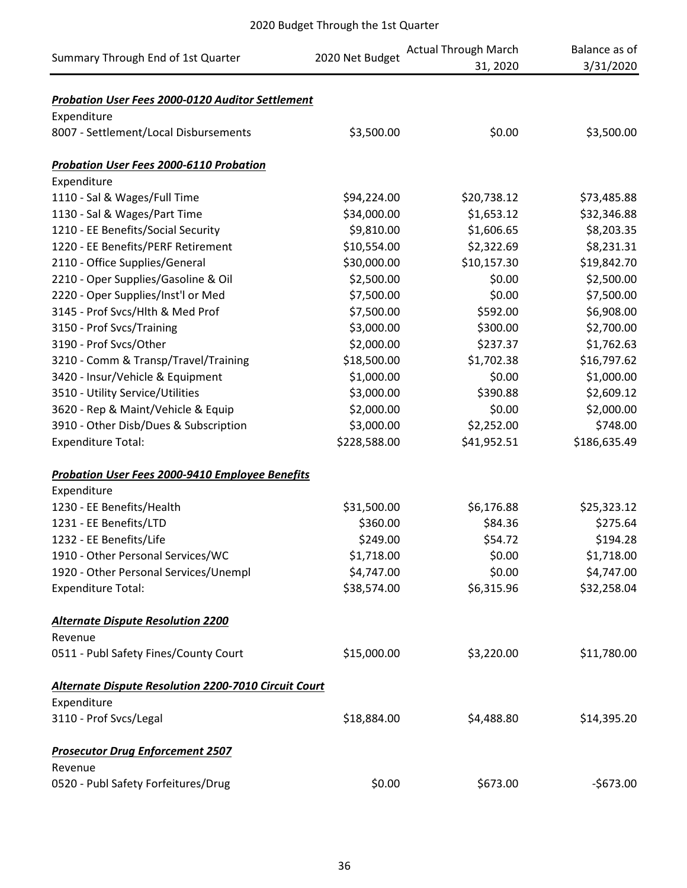|                                                             |                 | <b>Actual Through March</b> | Balance as of |
|-------------------------------------------------------------|-----------------|-----------------------------|---------------|
| Summary Through End of 1st Quarter                          | 2020 Net Budget | 31, 2020                    | 3/31/2020     |
|                                                             |                 |                             |               |
| Probation User Fees 2000-0120 Auditor Settlement            |                 |                             |               |
| Expenditure                                                 |                 |                             |               |
| 8007 - Settlement/Local Disbursements                       | \$3,500.00      | \$0.00                      | \$3,500.00    |
| <b>Probation User Fees 2000-6110 Probation</b>              |                 |                             |               |
| Expenditure                                                 |                 |                             |               |
| 1110 - Sal & Wages/Full Time                                | \$94,224.00     | \$20,738.12                 | \$73,485.88   |
| 1130 - Sal & Wages/Part Time                                | \$34,000.00     | \$1,653.12                  | \$32,346.88   |
| 1210 - EE Benefits/Social Security                          | \$9,810.00      | \$1,606.65                  | \$8,203.35    |
| 1220 - EE Benefits/PERF Retirement                          | \$10,554.00     | \$2,322.69                  | \$8,231.31    |
| 2110 - Office Supplies/General                              | \$30,000.00     | \$10,157.30                 | \$19,842.70   |
| 2210 - Oper Supplies/Gasoline & Oil                         | \$2,500.00      | \$0.00                      | \$2,500.00    |
| 2220 - Oper Supplies/Inst'l or Med                          | \$7,500.00      | \$0.00                      | \$7,500.00    |
| 3145 - Prof Svcs/Hlth & Med Prof                            | \$7,500.00      | \$592.00                    | \$6,908.00    |
| 3150 - Prof Svcs/Training                                   | \$3,000.00      | \$300.00                    | \$2,700.00    |
| 3190 - Prof Svcs/Other                                      | \$2,000.00      | \$237.37                    | \$1,762.63    |
| 3210 - Comm & Transp/Travel/Training                        | \$18,500.00     | \$1,702.38                  | \$16,797.62   |
| 3420 - Insur/Vehicle & Equipment                            | \$1,000.00      | \$0.00                      | \$1,000.00    |
| 3510 - Utility Service/Utilities                            | \$3,000.00      | \$390.88                    | \$2,609.12    |
| 3620 - Rep & Maint/Vehicle & Equip                          | \$2,000.00      | \$0.00                      | \$2,000.00    |
| 3910 - Other Disb/Dues & Subscription                       | \$3,000.00      | \$2,252.00                  | \$748.00      |
| <b>Expenditure Total:</b>                                   | \$228,588.00    | \$41,952.51                 | \$186,635.49  |
| <b>Probation User Fees 2000-9410 Employee Benefits</b>      |                 |                             |               |
| Expenditure                                                 |                 |                             |               |
| 1230 - EE Benefits/Health                                   | \$31,500.00     | \$6,176.88                  | \$25,323.12   |
| 1231 - EE Benefits/LTD                                      | \$360.00        | \$84.36                     | \$275.64      |
| 1232 - EE Benefits/Life                                     | \$249.00        | \$54.72                     | \$194.28      |
| 1910 - Other Personal Services/WC                           | \$1,718.00      | \$0.00                      | \$1,718.00    |
| 1920 - Other Personal Services/Unempl                       | \$4,747.00      | \$0.00                      | \$4,747.00    |
| <b>Expenditure Total:</b>                                   | \$38,574.00     | \$6,315.96                  | \$32,258.04   |
| <b>Alternate Dispute Resolution 2200</b>                    |                 |                             |               |
| Revenue                                                     |                 |                             |               |
| 0511 - Publ Safety Fines/County Court                       | \$15,000.00     | \$3,220.00                  | \$11,780.00   |
|                                                             |                 |                             |               |
| <b>Alternate Dispute Resolution 2200-7010 Circuit Court</b> |                 |                             |               |
| Expenditure                                                 |                 |                             |               |
| 3110 - Prof Svcs/Legal                                      | \$18,884.00     | \$4,488.80                  | \$14,395.20   |
| <b>Prosecutor Drug Enforcement 2507</b>                     |                 |                             |               |
| Revenue                                                     |                 |                             |               |
| 0520 - Publ Safety Forfeitures/Drug                         | \$0.00          | \$673.00                    | $-$673.00$    |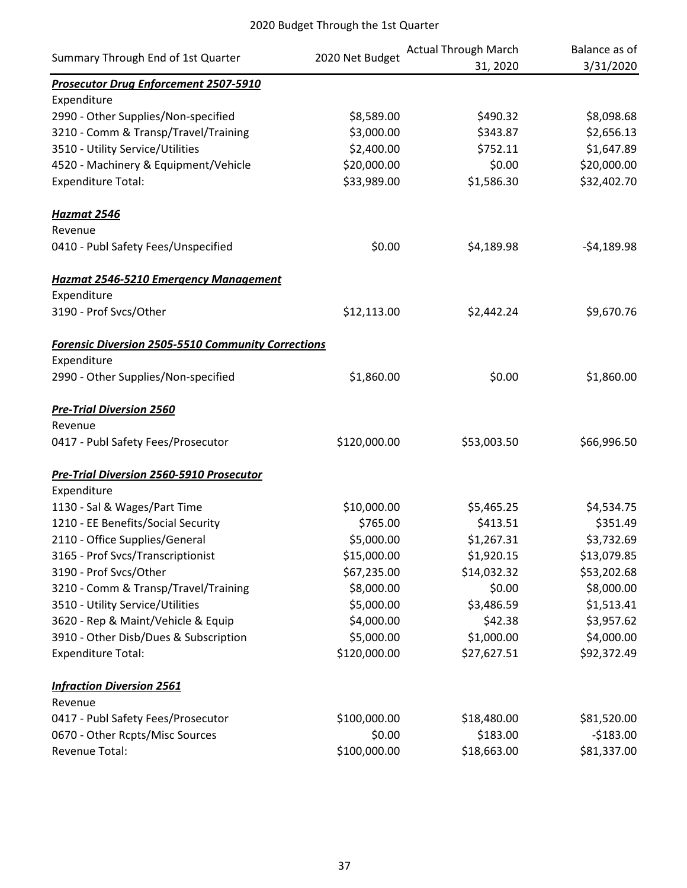|                                                           |                 | <b>Actual Through March</b> | Balance as of |
|-----------------------------------------------------------|-----------------|-----------------------------|---------------|
| Summary Through End of 1st Quarter                        | 2020 Net Budget | 31, 2020                    | 3/31/2020     |
| <b>Prosecutor Drug Enforcement 2507-5910</b>              |                 |                             |               |
| Expenditure                                               |                 |                             |               |
| 2990 - Other Supplies/Non-specified                       | \$8,589.00      | \$490.32                    | \$8,098.68    |
| 3210 - Comm & Transp/Travel/Training                      | \$3,000.00      | \$343.87                    | \$2,656.13    |
| 3510 - Utility Service/Utilities                          | \$2,400.00      | \$752.11                    | \$1,647.89    |
| 4520 - Machinery & Equipment/Vehicle                      | \$20,000.00     | \$0.00                      | \$20,000.00   |
| <b>Expenditure Total:</b>                                 | \$33,989.00     | \$1,586.30                  | \$32,402.70   |
| Hazmat 2546                                               |                 |                             |               |
| Revenue                                                   |                 |                             |               |
| 0410 - Publ Safety Fees/Unspecified                       | \$0.00          | \$4,189.98                  | $-54,189.98$  |
| <b>Hazmat 2546-5210 Emergency Management</b>              |                 |                             |               |
| Expenditure                                               |                 |                             |               |
| 3190 - Prof Svcs/Other                                    | \$12,113.00     | \$2,442.24                  | \$9,670.76    |
| <b>Forensic Diversion 2505-5510 Community Corrections</b> |                 |                             |               |
| Expenditure                                               |                 |                             |               |
| 2990 - Other Supplies/Non-specified                       | \$1,860.00      | \$0.00                      | \$1,860.00    |
| <b>Pre-Trial Diversion 2560</b>                           |                 |                             |               |
| Revenue                                                   |                 |                             |               |
| 0417 - Publ Safety Fees/Prosecutor                        | \$120,000.00    | \$53,003.50                 | \$66,996.50   |
| <b>Pre-Trial Diversion 2560-5910 Prosecutor</b>           |                 |                             |               |
| Expenditure                                               |                 |                             |               |
| 1130 - Sal & Wages/Part Time                              | \$10,000.00     | \$5,465.25                  | \$4,534.75    |
| 1210 - EE Benefits/Social Security                        | \$765.00        | \$413.51                    | \$351.49      |
| 2110 - Office Supplies/General                            | \$5,000.00      | \$1,267.31                  | \$3,732.69    |
| 3165 - Prof Svcs/Transcriptionist                         | \$15,000.00     | \$1,920.15                  | \$13,079.85   |
| 3190 - Prof Svcs/Other                                    | \$67,235.00     | \$14,032.32                 | \$53,202.68   |
| 3210 - Comm & Transp/Travel/Training                      | \$8,000.00      | \$0.00                      | \$8,000.00    |
| 3510 - Utility Service/Utilities                          | \$5,000.00      | \$3,486.59                  | \$1,513.41    |
| 3620 - Rep & Maint/Vehicle & Equip                        | \$4,000.00      | \$42.38                     | \$3,957.62    |
| 3910 - Other Disb/Dues & Subscription                     | \$5,000.00      | \$1,000.00                  | \$4,000.00    |
| <b>Expenditure Total:</b>                                 | \$120,000.00    | \$27,627.51                 | \$92,372.49   |
| <b>Infraction Diversion 2561</b>                          |                 |                             |               |
| Revenue                                                   |                 |                             |               |
| 0417 - Publ Safety Fees/Prosecutor                        | \$100,000.00    | \$18,480.00                 | \$81,520.00   |
| 0670 - Other Rcpts/Misc Sources                           | \$0.00          | \$183.00                    | $-$183.00$    |
| Revenue Total:                                            | \$100,000.00    | \$18,663.00                 | \$81,337.00   |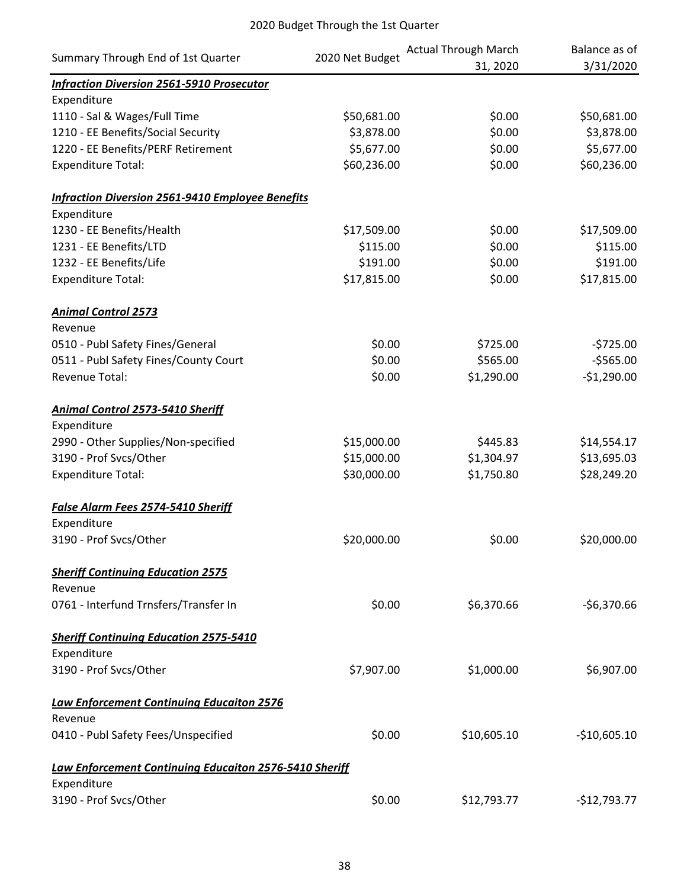|                                                               | 2020 Net Budget | <b>Actual Through March</b> | Balance as of |
|---------------------------------------------------------------|-----------------|-----------------------------|---------------|
| Summary Through End of 1st Quarter                            |                 | 31, 2020                    | 3/31/2020     |
| <b>Infraction Diversion 2561-5910 Prosecutor</b>              |                 |                             |               |
| Expenditure                                                   |                 |                             |               |
| 1110 - Sal & Wages/Full Time                                  | \$50,681.00     | \$0.00                      | \$50,681.00   |
| 1210 - EE Benefits/Social Security                            | \$3,878.00      | \$0.00                      | \$3,878.00    |
| 1220 - EE Benefits/PERF Retirement                            | \$5,677.00      | \$0.00                      | \$5,677.00    |
| <b>Expenditure Total:</b>                                     | \$60,236.00     | \$0.00                      | \$60,236.00   |
| <b>Infraction Diversion 2561-9410 Employee Benefits</b>       |                 |                             |               |
| Expenditure                                                   |                 |                             |               |
| 1230 - EE Benefits/Health                                     | \$17,509.00     | \$0.00                      | \$17,509.00   |
| 1231 - EE Benefits/LTD                                        | \$115.00        | \$0.00                      | \$115.00      |
| 1232 - EE Benefits/Life                                       | \$191.00        | \$0.00                      | \$191.00      |
| <b>Expenditure Total:</b>                                     | \$17,815.00     | \$0.00                      | \$17,815.00   |
| <b>Animal Control 2573</b>                                    |                 |                             |               |
| Revenue                                                       |                 |                             |               |
| 0510 - Publ Safety Fines/General                              | \$0.00          | \$725.00                    | $-5725.00$    |
| 0511 - Publ Safety Fines/County Court                         | \$0.00          | \$565.00                    | $-5565.00$    |
| Revenue Total:                                                | \$0.00          | \$1,290.00                  | $-$1,290.00$  |
| <b>Animal Control 2573-5410 Sheriff</b>                       |                 |                             |               |
| Expenditure                                                   |                 |                             |               |
| 2990 - Other Supplies/Non-specified                           | \$15,000.00     | \$445.83                    | \$14,554.17   |
| 3190 - Prof Svcs/Other                                        | \$15,000.00     | \$1,304.97                  | \$13,695.03   |
| <b>Expenditure Total:</b>                                     | \$30,000.00     | \$1,750.80                  | \$28,249.20   |
| <b>False Alarm Fees 2574-5410 Sheriff</b>                     |                 |                             |               |
| Expenditure                                                   |                 |                             |               |
| 3190 - Prof Svcs/Other                                        | \$20,000.00     | \$0.00                      | \$20,000.00   |
| <b>Sheriff Continuing Education 2575</b>                      |                 |                             |               |
| Revenue                                                       |                 |                             |               |
| 0761 - Interfund Trnsfers/Transfer In                         | \$0.00          | \$6,370.66                  | $-56,370.66$  |
| <b>Sheriff Continuing Education 2575-5410</b>                 |                 |                             |               |
| Expenditure                                                   |                 |                             |               |
| 3190 - Prof Svcs/Other                                        | \$7,907.00      | \$1,000.00                  | \$6,907.00    |
| <b>Law Enforcement Continuing Educaiton 2576</b>              |                 |                             |               |
| Revenue                                                       |                 |                             |               |
| 0410 - Publ Safety Fees/Unspecified                           | \$0.00          | \$10,605.10                 | $-$10,605.10$ |
| <b>Law Enforcement Continuing Educaiton 2576-5410 Sheriff</b> |                 |                             |               |
| Expenditure                                                   |                 |                             |               |
| 3190 - Prof Svcs/Other                                        | \$0.00          | \$12,793.77                 | $-$12,793.77$ |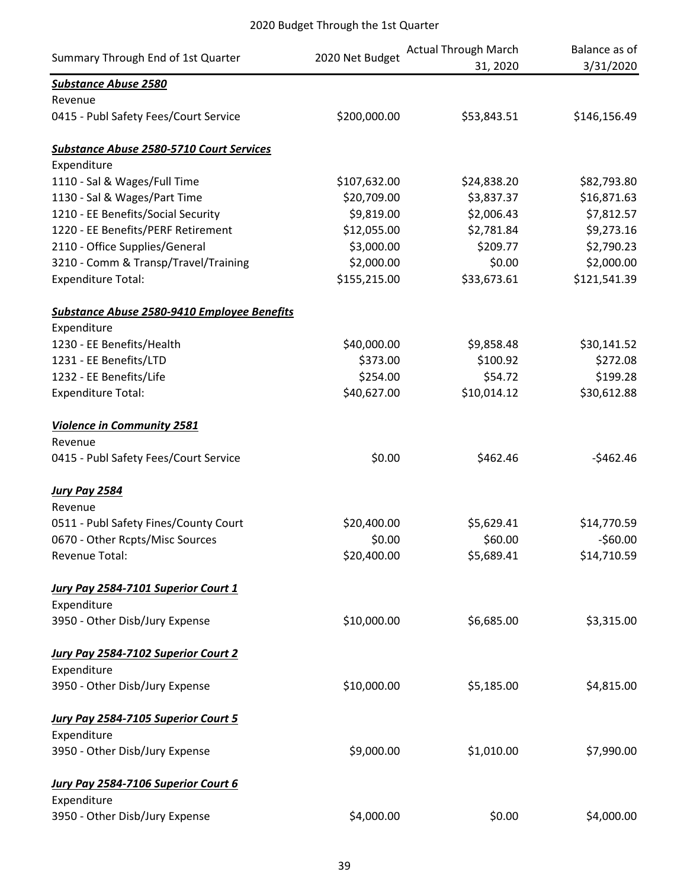| Summary Through End of 1st Quarter              | 2020 Net Budget | <b>Actual Through March</b><br>31, 2020 | Balance as of<br>3/31/2020 |
|-------------------------------------------------|-----------------|-----------------------------------------|----------------------------|
| <b>Substance Abuse 2580</b>                     |                 |                                         |                            |
| Revenue                                         |                 |                                         |                            |
| 0415 - Publ Safety Fees/Court Service           | \$200,000.00    | \$53,843.51                             | \$146,156.49               |
| <b>Substance Abuse 2580-5710 Court Services</b> |                 |                                         |                            |
| Expenditure                                     |                 |                                         |                            |
| 1110 - Sal & Wages/Full Time                    | \$107,632.00    | \$24,838.20                             | \$82,793.80                |
| 1130 - Sal & Wages/Part Time                    | \$20,709.00     | \$3,837.37                              | \$16,871.63                |
| 1210 - EE Benefits/Social Security              | \$9,819.00      | \$2,006.43                              | \$7,812.57                 |
| 1220 - EE Benefits/PERF Retirement              | \$12,055.00     | \$2,781.84                              | \$9,273.16                 |
| 2110 - Office Supplies/General                  | \$3,000.00      | \$209.77                                | \$2,790.23                 |
| 3210 - Comm & Transp/Travel/Training            | \$2,000.00      | \$0.00                                  | \$2,000.00                 |
| <b>Expenditure Total:</b>                       | \$155,215.00    | \$33,673.61                             | \$121,541.39               |
| Substance Abuse 2580-9410 Employee Benefits     |                 |                                         |                            |
| Expenditure                                     |                 |                                         |                            |
| 1230 - EE Benefits/Health                       | \$40,000.00     | \$9,858.48                              | \$30,141.52                |
| 1231 - EE Benefits/LTD                          | \$373.00        | \$100.92                                | \$272.08                   |
| 1232 - EE Benefits/Life                         | \$254.00        | \$54.72                                 | \$199.28                   |
| <b>Expenditure Total:</b>                       | \$40,627.00     | \$10,014.12                             | \$30,612.88                |
| <b>Violence in Community 2581</b>               |                 |                                         |                            |
| Revenue                                         |                 |                                         |                            |
| 0415 - Publ Safety Fees/Court Service           | \$0.00          | \$462.46                                | $-$462.46$                 |
| <b>Jury Pay 2584</b>                            |                 |                                         |                            |
| Revenue                                         |                 |                                         |                            |
| 0511 - Publ Safety Fines/County Court           | \$20,400.00     | \$5,629.41                              | \$14,770.59                |
| 0670 - Other Rcpts/Misc Sources                 | \$0.00          | \$60.00                                 | $-560.00$                  |
| Revenue Total:                                  | \$20,400.00     | \$5,689.41                              | \$14,710.59                |
| Jury Pay 2584-7101 Superior Court 1             |                 |                                         |                            |
| Expenditure                                     |                 |                                         |                            |
| 3950 - Other Disb/Jury Expense                  | \$10,000.00     | \$6,685.00                              | \$3,315.00                 |
| Jury Pay 2584-7102 Superior Court 2             |                 |                                         |                            |
| Expenditure                                     |                 |                                         |                            |
| 3950 - Other Disb/Jury Expense                  | \$10,000.00     | \$5,185.00                              | \$4,815.00                 |
|                                                 |                 |                                         |                            |
| Jury Pay 2584-7105 Superior Court 5             |                 |                                         |                            |
| Expenditure                                     |                 |                                         |                            |
| 3950 - Other Disb/Jury Expense                  | \$9,000.00      | \$1,010.00                              | \$7,990.00                 |
| Jury Pay 2584-7106 Superior Court 6             |                 |                                         |                            |
| Expenditure                                     |                 |                                         |                            |
| 3950 - Other Disb/Jury Expense                  | \$4,000.00      | \$0.00                                  | \$4,000.00                 |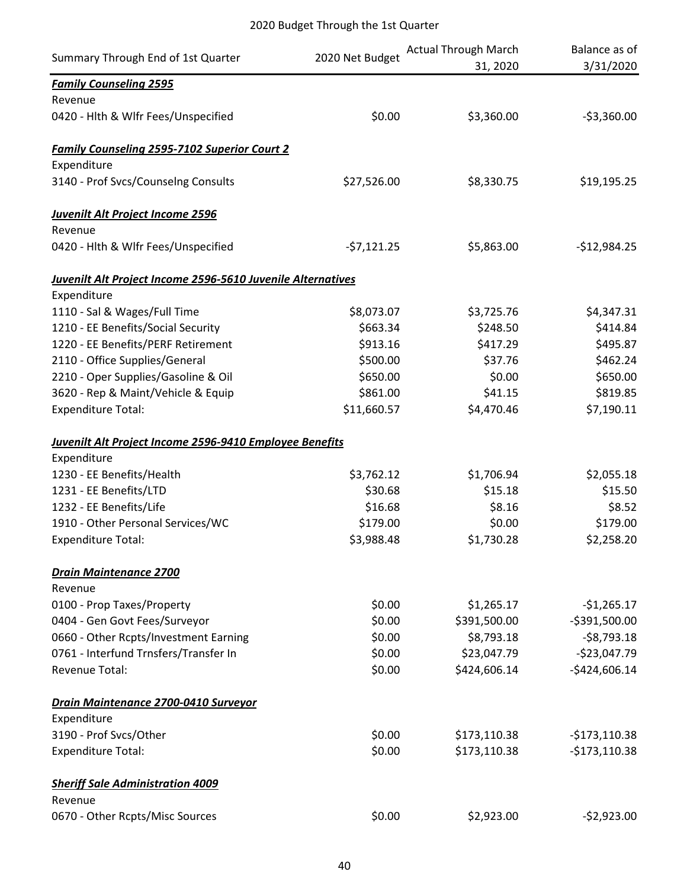| Summary Through End of 1st Quarter                          | 2020 Net Budget | <b>Actual Through March</b> | Balance as of  |
|-------------------------------------------------------------|-----------------|-----------------------------|----------------|
|                                                             |                 | 31, 2020                    | 3/31/2020      |
| <b>Family Counseling 2595</b>                               |                 |                             |                |
| Revenue                                                     |                 |                             |                |
| 0420 - Hlth & Wlfr Fees/Unspecified                         | \$0.00          | \$3,360.00                  | $-53,360.00$   |
| <b>Family Counseling 2595-7102 Superior Court 2</b>         |                 |                             |                |
| Expenditure                                                 |                 |                             |                |
| 3140 - Prof Svcs/Counselng Consults                         | \$27,526.00     | \$8,330.75                  | \$19,195.25    |
| Juvenilt Alt Project Income 2596                            |                 |                             |                |
| Revenue                                                     |                 |                             |                |
| 0420 - Hlth & Wlfr Fees/Unspecified                         | $-57,121.25$    | \$5,863.00                  | $-$12,984.25$  |
| Juvenilt Alt Project Income 2596-5610 Juvenile Alternatives |                 |                             |                |
| Expenditure                                                 |                 |                             |                |
| 1110 - Sal & Wages/Full Time                                | \$8,073.07      | \$3,725.76                  | \$4,347.31     |
| 1210 - EE Benefits/Social Security                          | \$663.34        | \$248.50                    | \$414.84       |
| 1220 - EE Benefits/PERF Retirement                          | \$913.16        | \$417.29                    | \$495.87       |
| 2110 - Office Supplies/General                              | \$500.00        | \$37.76                     | \$462.24       |
| 2210 - Oper Supplies/Gasoline & Oil                         | \$650.00        | \$0.00                      | \$650.00       |
| 3620 - Rep & Maint/Vehicle & Equip                          | \$861.00        | \$41.15                     | \$819.85       |
| <b>Expenditure Total:</b>                                   | \$11,660.57     | \$4,470.46                  | \$7,190.11     |
| Juvenilt Alt Project Income 2596-9410 Employee Benefits     |                 |                             |                |
| Expenditure                                                 |                 |                             |                |
| 1230 - EE Benefits/Health                                   | \$3,762.12      | \$1,706.94                  | \$2,055.18     |
| 1231 - EE Benefits/LTD                                      | \$30.68         | \$15.18                     | \$15.50        |
| 1232 - EE Benefits/Life                                     | \$16.68         | \$8.16                      | \$8.52         |
| 1910 - Other Personal Services/WC                           | \$179.00        | \$0.00                      | \$179.00       |
| <b>Expenditure Total:</b>                                   | \$3,988.48      | \$1,730.28                  | \$2,258.20     |
| <b>Drain Maintenance 2700</b>                               |                 |                             |                |
| Revenue                                                     |                 |                             |                |
| 0100 - Prop Taxes/Property                                  | \$0.00          | \$1,265.17                  | $-$1,265.17$   |
| 0404 - Gen Govt Fees/Surveyor                               | \$0.00          | \$391,500.00                | $-5391,500.00$ |
| 0660 - Other Rcpts/Investment Earning                       | \$0.00          | \$8,793.18                  | $-58,793.18$   |
| 0761 - Interfund Trnsfers/Transfer In                       | \$0.00          | \$23,047.79                 | $-$23,047.79$  |
| <b>Revenue Total:</b>                                       | \$0.00          | \$424,606.14                | $-$424,606.14$ |
| Drain Maintenance 2700-0410 Surveyor                        |                 |                             |                |
| Expenditure                                                 |                 |                             |                |
| 3190 - Prof Svcs/Other                                      | \$0.00          | \$173,110.38                | $-$173,110.38$ |
| <b>Expenditure Total:</b>                                   | \$0.00          | \$173,110.38                | $-$173,110.38$ |
| <b>Sheriff Sale Administration 4009</b>                     |                 |                             |                |
| Revenue                                                     |                 |                             |                |
| 0670 - Other Rcpts/Misc Sources                             | \$0.00          | \$2,923.00                  | $-52,923.00$   |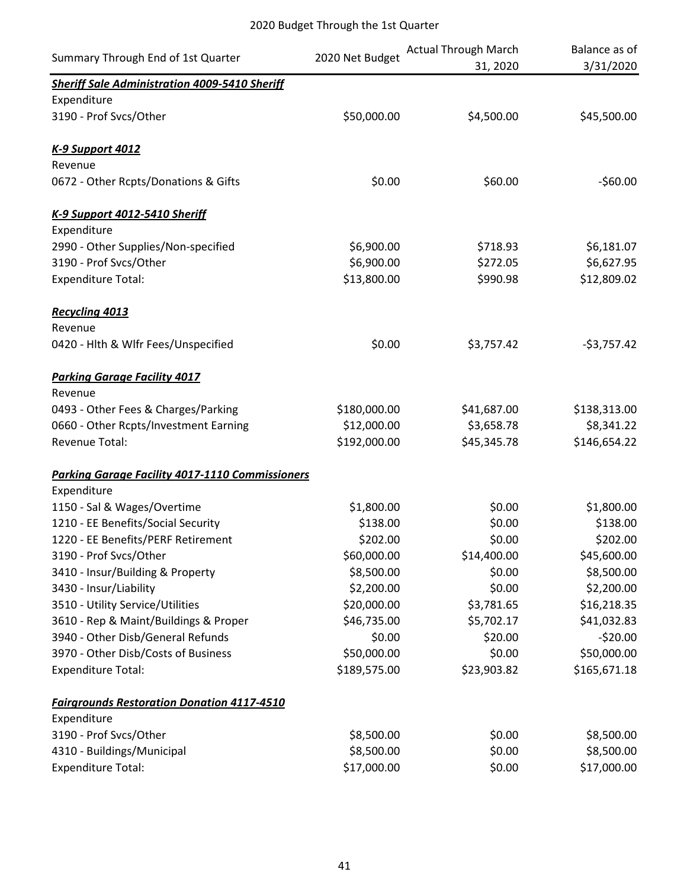| Summary Through End of 1st Quarter                     | 2020 Net Budget | <b>Actual Through March</b><br>31, 2020 | Balance as of<br>3/31/2020 |
|--------------------------------------------------------|-----------------|-----------------------------------------|----------------------------|
| <b>Sheriff Sale Administration 4009-5410 Sheriff</b>   |                 |                                         |                            |
| Expenditure                                            |                 |                                         |                            |
| 3190 - Prof Svcs/Other                                 | \$50,000.00     | \$4,500.00                              | \$45,500.00                |
| <b>K-9 Support 4012</b>                                |                 |                                         |                            |
| Revenue                                                |                 |                                         |                            |
| 0672 - Other Rcpts/Donations & Gifts                   | \$0.00          | \$60.00                                 | $-$60.00$                  |
| K-9 Support 4012-5410 Sheriff                          |                 |                                         |                            |
| Expenditure                                            |                 |                                         |                            |
| 2990 - Other Supplies/Non-specified                    | \$6,900.00      | \$718.93                                | \$6,181.07                 |
| 3190 - Prof Svcs/Other                                 | \$6,900.00      | \$272.05                                | \$6,627.95                 |
| <b>Expenditure Total:</b>                              | \$13,800.00     | \$990.98                                | \$12,809.02                |
| <b>Recycling 4013</b>                                  |                 |                                         |                            |
| Revenue                                                |                 |                                         |                            |
| 0420 - Hlth & Wlfr Fees/Unspecified                    | \$0.00          | \$3,757.42                              | $-53,757.42$               |
| <b>Parking Garage Facility 4017</b>                    |                 |                                         |                            |
| Revenue                                                |                 |                                         |                            |
| 0493 - Other Fees & Charges/Parking                    | \$180,000.00    | \$41,687.00                             | \$138,313.00               |
| 0660 - Other Rcpts/Investment Earning                  | \$12,000.00     | \$3,658.78                              | \$8,341.22                 |
| Revenue Total:                                         | \$192,000.00    | \$45,345.78                             | \$146,654.22               |
| <b>Parking Garage Facility 4017-1110 Commissioners</b> |                 |                                         |                            |
| Expenditure                                            |                 |                                         |                            |
| 1150 - Sal & Wages/Overtime                            | \$1,800.00      | \$0.00                                  | \$1,800.00                 |
| 1210 - EE Benefits/Social Security                     | \$138.00        | \$0.00                                  | \$138.00                   |
| 1220 - EE Benefits/PERF Retirement                     | \$202.00        | \$0.00                                  | \$202.00                   |
| 3190 - Prof Svcs/Other                                 | \$60,000.00     | \$14,400.00                             | \$45,600.00                |
| 3410 - Insur/Building & Property                       | \$8,500.00      | \$0.00                                  | \$8,500.00                 |
| 3430 - Insur/Liability                                 | \$2,200.00      | \$0.00                                  | \$2,200.00                 |
| 3510 - Utility Service/Utilities                       | \$20,000.00     | \$3,781.65                              | \$16,218.35                |
| 3610 - Rep & Maint/Buildings & Proper                  | \$46,735.00     | \$5,702.17                              | \$41,032.83                |
| 3940 - Other Disb/General Refunds                      | \$0.00          | \$20.00                                 | $-520.00$                  |
| 3970 - Other Disb/Costs of Business                    | \$50,000.00     | \$0.00                                  | \$50,000.00                |
| <b>Expenditure Total:</b>                              | \$189,575.00    | \$23,903.82                             | \$165,671.18               |
| <b>Fairgrounds Restoration Donation 4117-4510</b>      |                 |                                         |                            |
| Expenditure                                            |                 |                                         |                            |
| 3190 - Prof Svcs/Other                                 | \$8,500.00      | \$0.00                                  | \$8,500.00                 |
| 4310 - Buildings/Municipal                             | \$8,500.00      | \$0.00                                  | \$8,500.00                 |
| <b>Expenditure Total:</b>                              | \$17,000.00     | \$0.00                                  | \$17,000.00                |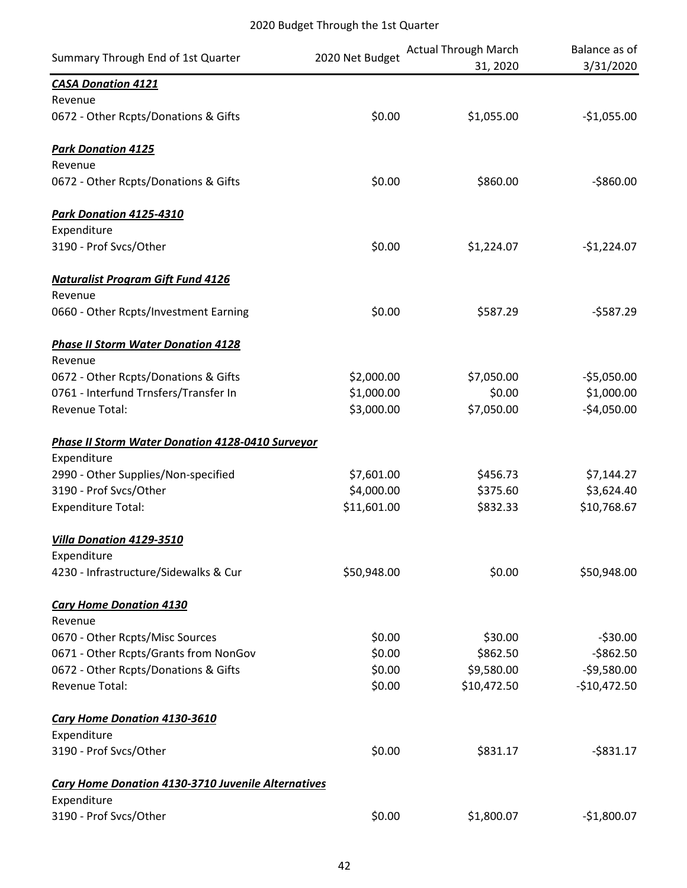| Summary Through End of 1st Quarter                            | 2020 Net Budget | <b>Actual Through March</b><br>31, 2020 | Balance as of<br>3/31/2020 |
|---------------------------------------------------------------|-----------------|-----------------------------------------|----------------------------|
| <b>CASA Donation 4121</b>                                     |                 |                                         |                            |
| Revenue                                                       |                 |                                         |                            |
| 0672 - Other Rcpts/Donations & Gifts                          | \$0.00          | \$1,055.00                              | $-$1,055.00$               |
| <b>Park Donation 4125</b>                                     |                 |                                         |                            |
| Revenue                                                       |                 |                                         |                            |
| 0672 - Other Rcpts/Donations & Gifts                          | \$0.00          | \$860.00                                | $-$860.00$                 |
| Park Donation 4125-4310                                       |                 |                                         |                            |
| Expenditure                                                   |                 |                                         |                            |
| 3190 - Prof Svcs/Other                                        | \$0.00          | \$1,224.07                              | $-$1,224.07$               |
| <b>Naturalist Program Gift Fund 4126</b><br>Revenue           |                 |                                         |                            |
| 0660 - Other Rcpts/Investment Earning                         | \$0.00          | \$587.29                                | $-5587.29$                 |
| <b>Phase II Storm Water Donation 4128</b><br>Revenue          |                 |                                         |                            |
| 0672 - Other Rcpts/Donations & Gifts                          | \$2,000.00      | \$7,050.00                              | $-55,050.00$               |
| 0761 - Interfund Trnsfers/Transfer In                         | \$1,000.00      | \$0.00                                  | \$1,000.00                 |
| Revenue Total:                                                | \$3,000.00      | \$7,050.00                              | $-$4,050.00$               |
| <b>Phase II Storm Water Donation 4128-0410 Surveyor</b>       |                 |                                         |                            |
| Expenditure                                                   | \$7,601.00      | \$456.73                                |                            |
| 2990 - Other Supplies/Non-specified<br>3190 - Prof Svcs/Other | \$4,000.00      | \$375.60                                | \$7,144.27<br>\$3,624.40   |
| <b>Expenditure Total:</b>                                     | \$11,601.00     | \$832.33                                | \$10,768.67                |
|                                                               |                 |                                         |                            |
| Villa Donation 4129-3510                                      |                 |                                         |                            |
| Expenditure<br>4230 - Infrastructure/Sidewalks & Cur          | \$50,948.00     | \$0.00                                  | \$50,948.00                |
| <b>Cary Home Donation 4130</b><br>Revenue                     |                 |                                         |                            |
| 0670 - Other Rcpts/Misc Sources                               | \$0.00          | \$30.00                                 | $-530.00$                  |
| 0671 - Other Rcpts/Grants from NonGov                         | \$0.00          | \$862.50                                | $-5862.50$                 |
| 0672 - Other Rcpts/Donations & Gifts                          | \$0.00          | \$9,580.00                              | $-59,580.00$               |
| Revenue Total:                                                | \$0.00          | \$10,472.50                             | $-$10,472.50$              |
| <b>Cary Home Donation 4130-3610</b>                           |                 |                                         |                            |
| Expenditure                                                   |                 |                                         |                            |
| 3190 - Prof Svcs/Other                                        | \$0.00          | \$831.17                                | $-$ \$831.17               |
| <b>Cary Home Donation 4130-3710 Juvenile Alternatives</b>     |                 |                                         |                            |
| Expenditure                                                   |                 |                                         |                            |
| 3190 - Prof Svcs/Other                                        | \$0.00          | \$1,800.07                              | $-$1,800.07$               |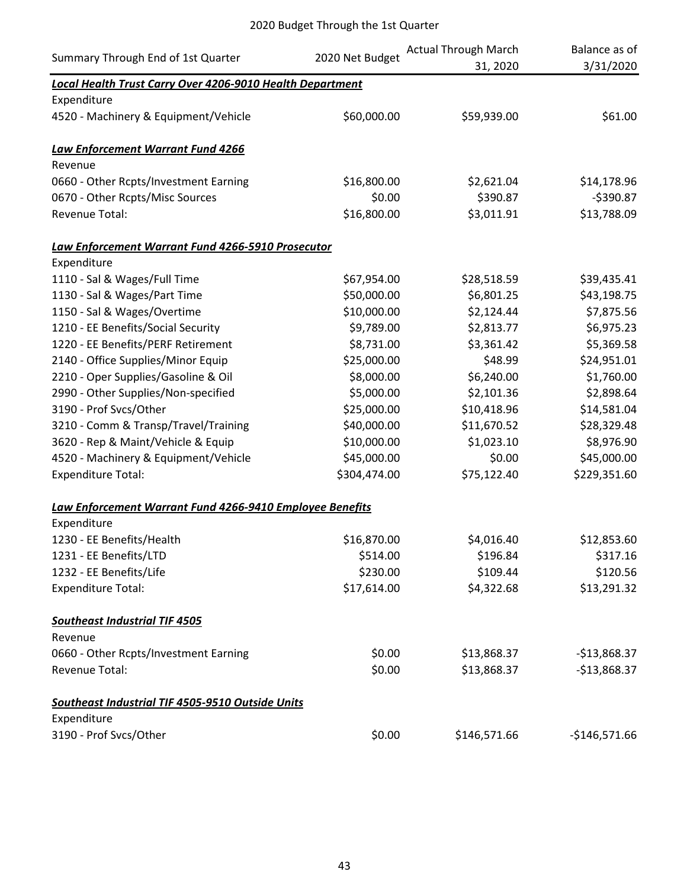| Summary Through End of 1st Quarter                               | 2020 Net Budget | <b>Actual Through March</b><br>31, 2020 | Balance as of<br>3/31/2020 |
|------------------------------------------------------------------|-----------------|-----------------------------------------|----------------------------|
| <b>Local Health Trust Carry Over 4206-9010 Health Department</b> |                 |                                         |                            |
| Expenditure                                                      |                 |                                         |                            |
| 4520 - Machinery & Equipment/Vehicle                             | \$60,000.00     | \$59,939.00                             | \$61.00                    |
| Law Enforcement Warrant Fund 4266                                |                 |                                         |                            |
| Revenue                                                          |                 |                                         |                            |
| 0660 - Other Rcpts/Investment Earning                            | \$16,800.00     | \$2,621.04                              | \$14,178.96                |
| 0670 - Other Rcpts/Misc Sources                                  | \$0.00          | \$390.87                                | $-5390.87$                 |
| <b>Revenue Total:</b>                                            | \$16,800.00     | \$3,011.91                              | \$13,788.09                |
| Law Enforcement Warrant Fund 4266-5910 Prosecutor                |                 |                                         |                            |
| Expenditure                                                      |                 |                                         |                            |
| 1110 - Sal & Wages/Full Time                                     | \$67,954.00     | \$28,518.59                             | \$39,435.41                |
| 1130 - Sal & Wages/Part Time                                     | \$50,000.00     | \$6,801.25                              | \$43,198.75                |
| 1150 - Sal & Wages/Overtime                                      | \$10,000.00     | \$2,124.44                              | \$7,875.56                 |
| 1210 - EE Benefits/Social Security                               | \$9,789.00      | \$2,813.77                              | \$6,975.23                 |
| 1220 - EE Benefits/PERF Retirement                               | \$8,731.00      | \$3,361.42                              | \$5,369.58                 |
| 2140 - Office Supplies/Minor Equip                               | \$25,000.00     | \$48.99                                 | \$24,951.01                |
| 2210 - Oper Supplies/Gasoline & Oil                              | \$8,000.00      | \$6,240.00                              | \$1,760.00                 |
| 2990 - Other Supplies/Non-specified                              | \$5,000.00      | \$2,101.36                              | \$2,898.64                 |
| 3190 - Prof Svcs/Other                                           | \$25,000.00     | \$10,418.96                             | \$14,581.04                |
| 3210 - Comm & Transp/Travel/Training                             | \$40,000.00     | \$11,670.52                             | \$28,329.48                |
| 3620 - Rep & Maint/Vehicle & Equip                               | \$10,000.00     | \$1,023.10                              | \$8,976.90                 |
| 4520 - Machinery & Equipment/Vehicle                             | \$45,000.00     | \$0.00                                  | \$45,000.00                |
| <b>Expenditure Total:</b>                                        | \$304,474.00    | \$75,122.40                             | \$229,351.60               |
| Law Enforcement Warrant Fund 4266-9410 Employee Benefits         |                 |                                         |                            |
| Expenditure                                                      |                 |                                         |                            |
| 1230 - EE Benefits/Health                                        | \$16,870.00     | \$4,016.40                              | \$12,853.60                |
| 1231 - EE Benefits/LTD                                           | \$514.00        | \$196.84                                | \$317.16                   |
| 1232 - EE Benefits/Life                                          | \$230.00        | \$109.44                                | \$120.56                   |
| <b>Expenditure Total:</b>                                        | \$17,614.00     | \$4,322.68                              | \$13,291.32                |
| <b>Southeast Industrial TIF 4505</b>                             |                 |                                         |                            |
| Revenue                                                          |                 |                                         |                            |
| 0660 - Other Rcpts/Investment Earning                            | \$0.00          | \$13,868.37                             | $-$13,868.37$              |
| Revenue Total:                                                   | \$0.00          | \$13,868.37                             | $-$13,868.37$              |
| Southeast Industrial TIF 4505-9510 Outside Units                 |                 |                                         |                            |
| Expenditure                                                      |                 |                                         |                            |
| 3190 - Prof Svcs/Other                                           | \$0.00          | \$146,571.66                            | $-$146,571.66$             |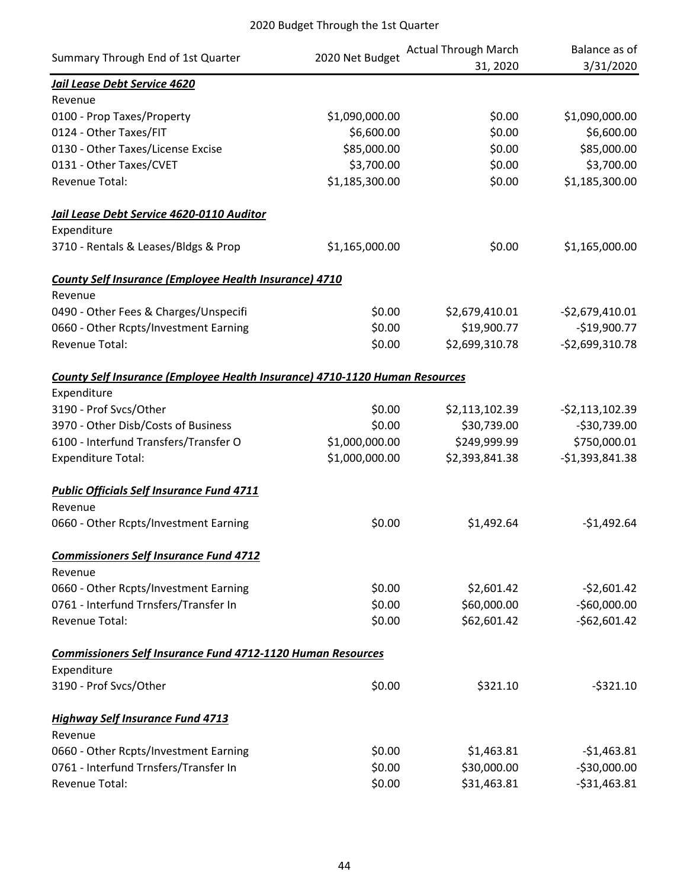| Summary Through End of 1st Quarter                                          | 2020 Net Budget | <b>Actual Through March</b> | Balance as of    |
|-----------------------------------------------------------------------------|-----------------|-----------------------------|------------------|
|                                                                             |                 | 31, 2020                    | 3/31/2020        |
| Jail Lease Debt Service 4620                                                |                 |                             |                  |
| Revenue                                                                     |                 |                             |                  |
| 0100 - Prop Taxes/Property                                                  | \$1,090,000.00  | \$0.00                      | \$1,090,000.00   |
| 0124 - Other Taxes/FIT                                                      | \$6,600.00      | \$0.00                      | \$6,600.00       |
| 0130 - Other Taxes/License Excise                                           | \$85,000.00     | \$0.00                      | \$85,000.00      |
| 0131 - Other Taxes/CVET                                                     | \$3,700.00      | \$0.00                      | \$3,700.00       |
| <b>Revenue Total:</b>                                                       | \$1,185,300.00  | \$0.00                      | \$1,185,300.00   |
| Jail Lease Debt Service 4620-0110 Auditor                                   |                 |                             |                  |
| Expenditure                                                                 |                 |                             |                  |
| 3710 - Rentals & Leases/Bldgs & Prop                                        | \$1,165,000.00  | \$0.00                      | \$1,165,000.00   |
| <b>County Self Insurance (Employee Health Insurance) 4710</b>               |                 |                             |                  |
| Revenue                                                                     |                 |                             |                  |
| 0490 - Other Fees & Charges/Unspecifi                                       | \$0.00          | \$2,679,410.01              | $-$2,679,410.01$ |
| 0660 - Other Rcpts/Investment Earning                                       | \$0.00          | \$19,900.77                 | $-$19,900.77$    |
| <b>Revenue Total:</b>                                                       | \$0.00          | \$2,699,310.78              | $-52,699,310.78$ |
| County Self Insurance (Employee Health Insurance) 4710-1120 Human Resources |                 |                             |                  |
| Expenditure                                                                 |                 |                             |                  |
| 3190 - Prof Svcs/Other                                                      | \$0.00          | \$2,113,102.39              | $-52,113,102.39$ |
| 3970 - Other Disb/Costs of Business                                         | \$0.00          | \$30,739.00                 | $-$30,739.00$    |
| 6100 - Interfund Transfers/Transfer O                                       | \$1,000,000.00  | \$249,999.99                | \$750,000.01     |
| <b>Expenditure Total:</b>                                                   | \$1,000,000.00  | \$2,393,841.38              | $-51,393,841.38$ |
| <b>Public Officials Self Insurance Fund 4711</b>                            |                 |                             |                  |
| Revenue                                                                     |                 |                             |                  |
| 0660 - Other Rcpts/Investment Earning                                       | \$0.00          | \$1,492.64                  | $-$1,492.64$     |
| <b>Commissioners Self Insurance Fund 4712</b>                               |                 |                             |                  |
| Revenue                                                                     |                 |                             |                  |
| 0660 - Other Rcpts/Investment Earning                                       | \$0.00          | \$2,601.42                  | $-52,601.42$     |
| 0761 - Interfund Trnsfers/Transfer In                                       | \$0.00          | \$60,000.00                 | $-$60,000.00$    |
| <b>Revenue Total:</b>                                                       | \$0.00          | \$62,601.42                 | $-$62,601.42$    |
| <b>Commissioners Self Insurance Fund 4712-1120 Human Resources</b>          |                 |                             |                  |
| Expenditure                                                                 |                 |                             |                  |
| 3190 - Prof Svcs/Other                                                      | \$0.00          | \$321.10                    | $-5321.10$       |
| <b>Highway Self Insurance Fund 4713</b>                                     |                 |                             |                  |
| Revenue                                                                     |                 |                             |                  |
| 0660 - Other Rcpts/Investment Earning                                       | \$0.00          | \$1,463.81                  | $-$1,463.81$     |
| 0761 - Interfund Trnsfers/Transfer In                                       | \$0.00          | \$30,000.00                 | $-$30,000.00$    |
| Revenue Total:                                                              | \$0.00          | \$31,463.81                 | $-531,463.81$    |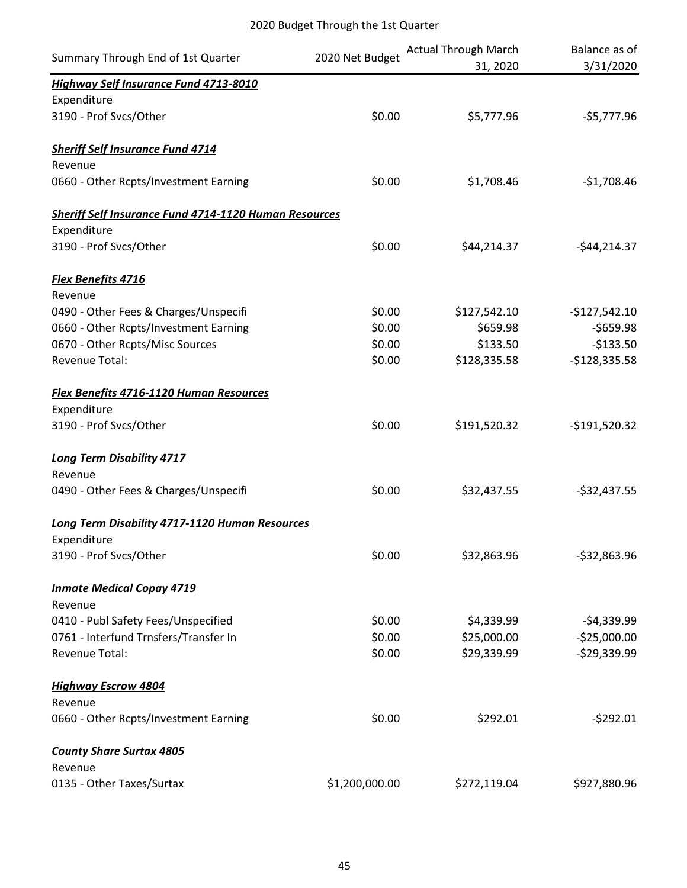| Summary Through End of 1st Quarter                           | 2020 Net Budget | <b>Actual Through March</b><br>31, 2020 | Balance as of<br>3/31/2020 |
|--------------------------------------------------------------|-----------------|-----------------------------------------|----------------------------|
| Highway Self Insurance Fund 4713-8010                        |                 |                                         |                            |
| Expenditure                                                  |                 |                                         |                            |
| 3190 - Prof Svcs/Other                                       | \$0.00          | \$5,777.96                              | $-55,777.96$               |
| <b>Sheriff Self Insurance Fund 4714</b>                      |                 |                                         |                            |
| Revenue                                                      |                 |                                         |                            |
| 0660 - Other Rcpts/Investment Earning                        | \$0.00          | \$1,708.46                              | $-$1,708.46$               |
| <b>Sheriff Self Insurance Fund 4714-1120 Human Resources</b> |                 |                                         |                            |
| Expenditure                                                  |                 |                                         |                            |
| 3190 - Prof Svcs/Other                                       | \$0.00          | \$44,214.37                             | $-$44,214.37$              |
| Flex Benefits 4716                                           |                 |                                         |                            |
| Revenue                                                      |                 |                                         |                            |
| 0490 - Other Fees & Charges/Unspecifi                        | \$0.00          | \$127,542.10                            | $-$127,542.10$             |
| 0660 - Other Rcpts/Investment Earning                        | \$0.00          | \$659.98                                | $-5659.98$                 |
| 0670 - Other Rcpts/Misc Sources                              | \$0.00          | \$133.50                                | $-$133.50$                 |
| <b>Revenue Total:</b>                                        | \$0.00          | \$128,335.58                            | $-$128,335.58$             |
| <b>Flex Benefits 4716-1120 Human Resources</b>               |                 |                                         |                            |
| Expenditure                                                  |                 |                                         |                            |
| 3190 - Prof Svcs/Other                                       | \$0.00          | \$191,520.32                            | $-$191,520.32$             |
| <b>Long Term Disability 4717</b>                             |                 |                                         |                            |
| Revenue                                                      |                 |                                         |                            |
| 0490 - Other Fees & Charges/Unspecifi                        | \$0.00          | \$32,437.55                             | $-532,437.55$              |
| <b>Long Term Disability 4717-1120 Human Resources</b>        |                 |                                         |                            |
| Expenditure                                                  |                 |                                         |                            |
| 3190 - Prof Svcs/Other                                       | \$0.00          | \$32,863.96                             | $-532,863.96$              |
| <b>Inmate Medical Copay 4719</b>                             |                 |                                         |                            |
| Revenue                                                      |                 |                                         |                            |
| 0410 - Publ Safety Fees/Unspecified                          | \$0.00          | \$4,339.99                              | $-54,339.99$               |
| 0761 - Interfund Trnsfers/Transfer In                        | \$0.00          | \$25,000.00                             | $-525,000.00$              |
| Revenue Total:                                               | \$0.00          | \$29,339.99                             | $-529,339.99$              |
| <b>Highway Escrow 4804</b>                                   |                 |                                         |                            |
| Revenue                                                      |                 |                                         |                            |
| 0660 - Other Rcpts/Investment Earning                        | \$0.00          | \$292.01                                | $-5292.01$                 |
| <b>County Share Surtax 4805</b>                              |                 |                                         |                            |
| Revenue                                                      |                 |                                         |                            |
| 0135 - Other Taxes/Surtax                                    | \$1,200,000.00  | \$272,119.04                            | \$927,880.96               |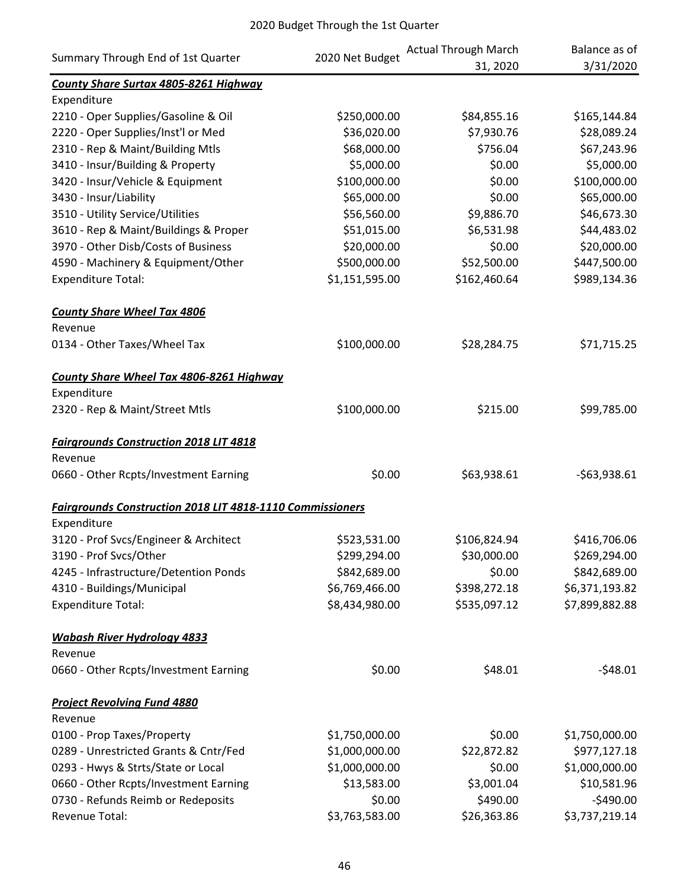| Summary Through End of 1st Quarter                               | 2020 Net Budget | <b>Actual Through March</b> | Balance as of  |
|------------------------------------------------------------------|-----------------|-----------------------------|----------------|
| County Share Surtax 4805-8261 Highway                            |                 | 31, 2020                    | 3/31/2020      |
| Expenditure                                                      |                 |                             |                |
| 2210 - Oper Supplies/Gasoline & Oil                              | \$250,000.00    | \$84,855.16                 | \$165,144.84   |
| 2220 - Oper Supplies/Inst'l or Med                               | \$36,020.00     | \$7,930.76                  | \$28,089.24    |
| 2310 - Rep & Maint/Building Mtls                                 | \$68,000.00     | \$756.04                    | \$67,243.96    |
| 3410 - Insur/Building & Property                                 | \$5,000.00      | \$0.00                      | \$5,000.00     |
| 3420 - Insur/Vehicle & Equipment                                 | \$100,000.00    | \$0.00                      | \$100,000.00   |
| 3430 - Insur/Liability                                           | \$65,000.00     | \$0.00                      | \$65,000.00    |
| 3510 - Utility Service/Utilities                                 | \$56,560.00     | \$9,886.70                  | \$46,673.30    |
| 3610 - Rep & Maint/Buildings & Proper                            | \$51,015.00     | \$6,531.98                  | \$44,483.02    |
| 3970 - Other Disb/Costs of Business                              | \$20,000.00     | \$0.00                      | \$20,000.00    |
| 4590 - Machinery & Equipment/Other                               | \$500,000.00    | \$52,500.00                 | \$447,500.00   |
| <b>Expenditure Total:</b>                                        | \$1,151,595.00  | \$162,460.64                | \$989,134.36   |
| <b>County Share Wheel Tax 4806</b>                               |                 |                             |                |
| Revenue                                                          |                 |                             |                |
| 0134 - Other Taxes/Wheel Tax                                     | \$100,000.00    | \$28,284.75                 | \$71,715.25    |
| <b>County Share Wheel Tax 4806-8261 Highway</b>                  |                 |                             |                |
| Expenditure                                                      |                 |                             |                |
| 2320 - Rep & Maint/Street Mtls                                   | \$100,000.00    | \$215.00                    | \$99,785.00    |
| <b>Fairgrounds Construction 2018 LIT 4818</b>                    |                 |                             |                |
| Revenue                                                          |                 |                             |                |
| 0660 - Other Rcpts/Investment Earning                            | \$0.00          | \$63,938.61                 | $-563,938.61$  |
| <b>Fairgrounds Construction 2018 LIT 4818-1110 Commissioners</b> |                 |                             |                |
| Expenditure                                                      |                 |                             |                |
| 3120 - Prof Svcs/Engineer & Architect                            | \$523,531.00    | \$106,824.94                | \$416,706.06   |
| 3190 - Prof Svcs/Other                                           | \$299,294.00    | \$30,000.00                 | \$269,294.00   |
| 4245 - Infrastructure/Detention Ponds                            | \$842,689.00    | \$0.00                      | \$842,689.00   |
| 4310 - Buildings/Municipal                                       | \$6,769,466.00  | \$398,272.18                | \$6,371,193.82 |
| <b>Expenditure Total:</b>                                        | \$8,434,980.00  | \$535,097.12                | \$7,899,882.88 |
| <b>Wabash River Hydrology 4833</b>                               |                 |                             |                |
| Revenue                                                          |                 |                             |                |
| 0660 - Other Rcpts/Investment Earning                            | \$0.00          | \$48.01                     | $-548.01$      |
| <b>Project Revolving Fund 4880</b>                               |                 |                             |                |
| Revenue                                                          |                 |                             |                |
| 0100 - Prop Taxes/Property                                       | \$1,750,000.00  | \$0.00                      | \$1,750,000.00 |
| 0289 - Unrestricted Grants & Cntr/Fed                            | \$1,000,000.00  | \$22,872.82                 | \$977,127.18   |
| 0293 - Hwys & Strts/State or Local                               | \$1,000,000.00  | \$0.00                      | \$1,000,000.00 |
| 0660 - Other Rcpts/Investment Earning                            | \$13,583.00     | \$3,001.04                  | \$10,581.96    |
| 0730 - Refunds Reimb or Redeposits                               | \$0.00          | \$490.00                    | $-$490.00$     |
| Revenue Total:                                                   | \$3,763,583.00  | \$26,363.86                 | \$3,737,219.14 |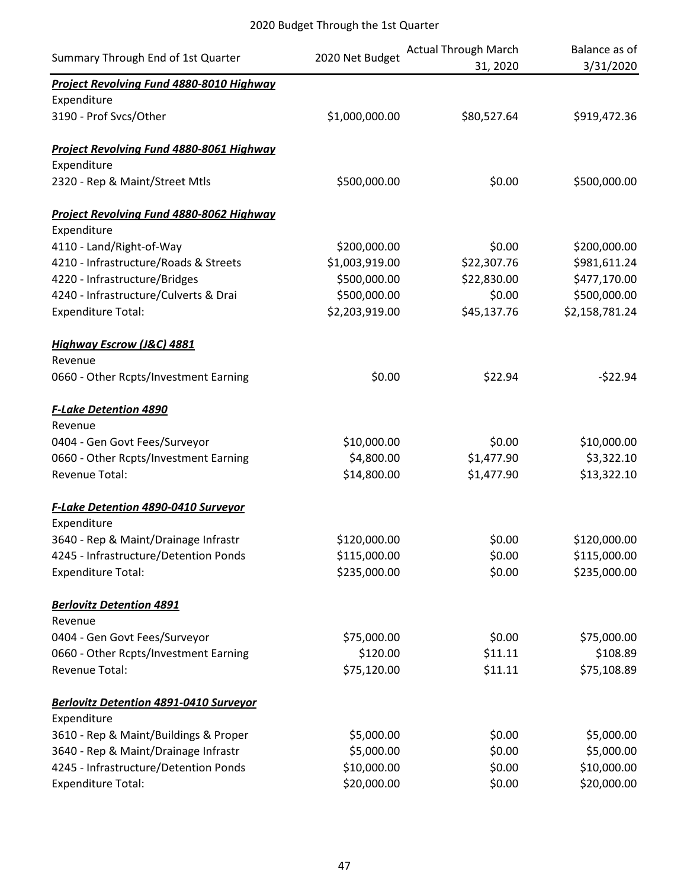| Summary Through End of 1st Quarter              | 2020 Net Budget | <b>Actual Through March</b><br>31, 2020 | Balance as of<br>3/31/2020 |
|-------------------------------------------------|-----------------|-----------------------------------------|----------------------------|
| Project Revolving Fund 4880-8010 Highway        |                 |                                         |                            |
| Expenditure                                     |                 |                                         |                            |
| 3190 - Prof Svcs/Other                          | \$1,000,000.00  | \$80,527.64                             | \$919,472.36               |
| <b>Project Revolving Fund 4880-8061 Highway</b> |                 |                                         |                            |
| Expenditure                                     |                 |                                         |                            |
| 2320 - Rep & Maint/Street Mtls                  | \$500,000.00    | \$0.00                                  | \$500,000.00               |
| <b>Project Revolving Fund 4880-8062 Highway</b> |                 |                                         |                            |
| Expenditure                                     |                 |                                         |                            |
| 4110 - Land/Right-of-Way                        | \$200,000.00    | \$0.00                                  | \$200,000.00               |
| 4210 - Infrastructure/Roads & Streets           | \$1,003,919.00  | \$22,307.76                             | \$981,611.24               |
| 4220 - Infrastructure/Bridges                   | \$500,000.00    | \$22,830.00                             | \$477,170.00               |
| 4240 - Infrastructure/Culverts & Drai           | \$500,000.00    | \$0.00                                  | \$500,000.00               |
| <b>Expenditure Total:</b>                       | \$2,203,919.00  | \$45,137.76                             | \$2,158,781.24             |
| <b>Highway Escrow (J&amp;C) 4881</b>            |                 |                                         |                            |
| Revenue                                         |                 |                                         |                            |
| 0660 - Other Rcpts/Investment Earning           | \$0.00          | \$22.94                                 | $-522.94$                  |
| <b>F-Lake Detention 4890</b>                    |                 |                                         |                            |
| Revenue                                         |                 |                                         |                            |
| 0404 - Gen Govt Fees/Surveyor                   | \$10,000.00     | \$0.00                                  | \$10,000.00                |
| 0660 - Other Rcpts/Investment Earning           | \$4,800.00      | \$1,477.90                              | \$3,322.10                 |
| Revenue Total:                                  | \$14,800.00     | \$1,477.90                              | \$13,322.10                |
| F-Lake Detention 4890-0410 Surveyor             |                 |                                         |                            |
| Expenditure                                     |                 |                                         |                            |
| 3640 - Rep & Maint/Drainage Infrastr            | \$120,000.00    | \$0.00                                  | \$120,000.00               |
| 4245 - Infrastructure/Detention Ponds           | \$115,000.00    | \$0.00                                  | \$115,000.00               |
| <b>Expenditure Total:</b>                       | \$235,000.00    | \$0.00                                  | \$235,000.00               |
| <b>Berlovitz Detention 4891</b>                 |                 |                                         |                            |
| Revenue                                         |                 |                                         |                            |
| 0404 - Gen Govt Fees/Surveyor                   | \$75,000.00     | \$0.00                                  | \$75,000.00                |
| 0660 - Other Rcpts/Investment Earning           | \$120.00        | \$11.11                                 | \$108.89                   |
| Revenue Total:                                  | \$75,120.00     | \$11.11                                 | \$75,108.89                |
| <b>Berlovitz Detention 4891-0410 Surveyor</b>   |                 |                                         |                            |
| Expenditure                                     |                 |                                         |                            |
| 3610 - Rep & Maint/Buildings & Proper           | \$5,000.00      | \$0.00                                  | \$5,000.00                 |
| 3640 - Rep & Maint/Drainage Infrastr            | \$5,000.00      | \$0.00                                  | \$5,000.00                 |
| 4245 - Infrastructure/Detention Ponds           | \$10,000.00     | \$0.00                                  | \$10,000.00                |
| <b>Expenditure Total:</b>                       | \$20,000.00     | \$0.00                                  | \$20,000.00                |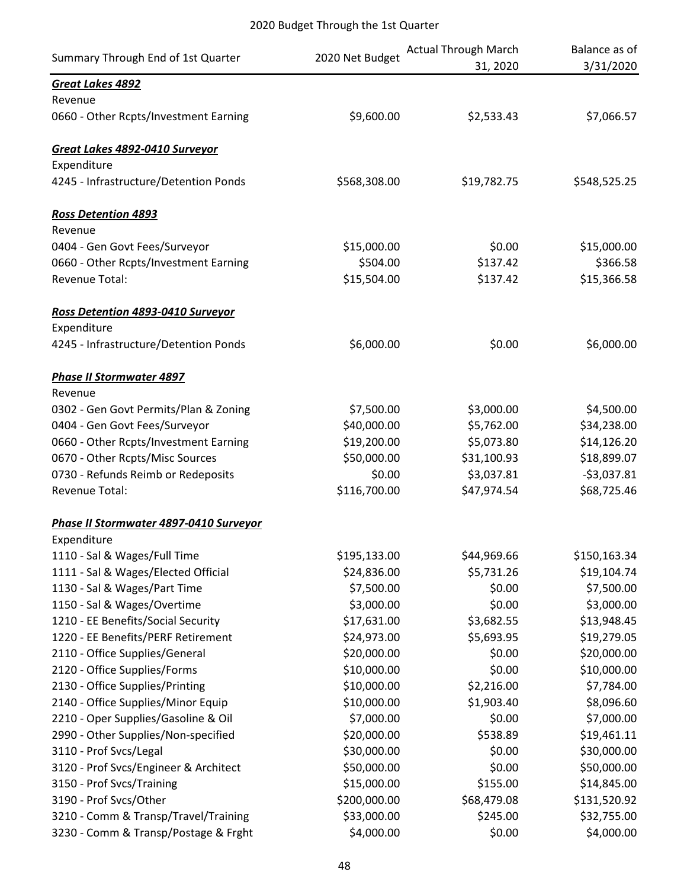| Summary Through End of 1st Quarter     | 2020 Net Budget | <b>Actual Through March</b><br>31, 2020 | Balance as of<br>3/31/2020 |
|----------------------------------------|-----------------|-----------------------------------------|----------------------------|
| Great Lakes 4892                       |                 |                                         |                            |
| Revenue                                |                 |                                         |                            |
| 0660 - Other Rcpts/Investment Earning  | \$9,600.00      | \$2,533.43                              | \$7,066.57                 |
| Great Lakes 4892-0410 Surveyor         |                 |                                         |                            |
| Expenditure                            |                 |                                         |                            |
| 4245 - Infrastructure/Detention Ponds  | \$568,308.00    | \$19,782.75                             | \$548,525.25               |
| <b>Ross Detention 4893</b>             |                 |                                         |                            |
| Revenue                                |                 |                                         |                            |
| 0404 - Gen Govt Fees/Surveyor          | \$15,000.00     | \$0.00                                  | \$15,000.00                |
| 0660 - Other Rcpts/Investment Earning  | \$504.00        | \$137.42                                | \$366.58                   |
| <b>Revenue Total:</b>                  | \$15,504.00     | \$137.42                                | \$15,366.58                |
| Ross Detention 4893-0410 Surveyor      |                 |                                         |                            |
| Expenditure                            |                 |                                         |                            |
| 4245 - Infrastructure/Detention Ponds  | \$6,000.00      | \$0.00                                  | \$6,000.00                 |
| <b>Phase II Stormwater 4897</b>        |                 |                                         |                            |
| Revenue                                |                 |                                         |                            |
| 0302 - Gen Govt Permits/Plan & Zoning  | \$7,500.00      | \$3,000.00                              | \$4,500.00                 |
| 0404 - Gen Govt Fees/Surveyor          | \$40,000.00     | \$5,762.00                              | \$34,238.00                |
| 0660 - Other Rcpts/Investment Earning  | \$19,200.00     | \$5,073.80                              | \$14,126.20                |
| 0670 - Other Rcpts/Misc Sources        | \$50,000.00     | \$31,100.93                             | \$18,899.07                |
| 0730 - Refunds Reimb or Redeposits     | \$0.00          | \$3,037.81                              | $-53,037.81$               |
| <b>Revenue Total:</b>                  | \$116,700.00    | \$47,974.54                             | \$68,725.46                |
| Phase II Stormwater 4897-0410 Surveyor |                 |                                         |                            |
| Expenditure                            |                 |                                         |                            |
| 1110 - Sal & Wages/Full Time           | \$195,133.00    | \$44,969.66                             | \$150,163.34               |
| 1111 - Sal & Wages/Elected Official    | \$24,836.00     | \$5,731.26                              | \$19,104.74                |
| 1130 - Sal & Wages/Part Time           | \$7,500.00      | \$0.00                                  | \$7,500.00                 |
| 1150 - Sal & Wages/Overtime            | \$3,000.00      | \$0.00                                  | \$3,000.00                 |
| 1210 - EE Benefits/Social Security     | \$17,631.00     | \$3,682.55                              | \$13,948.45                |
| 1220 - EE Benefits/PERF Retirement     | \$24,973.00     | \$5,693.95                              | \$19,279.05                |
| 2110 - Office Supplies/General         | \$20,000.00     | \$0.00                                  | \$20,000.00                |
| 2120 - Office Supplies/Forms           | \$10,000.00     | \$0.00                                  | \$10,000.00                |
| 2130 - Office Supplies/Printing        | \$10,000.00     | \$2,216.00                              | \$7,784.00                 |
| 2140 - Office Supplies/Minor Equip     | \$10,000.00     | \$1,903.40                              | \$8,096.60                 |
| 2210 - Oper Supplies/Gasoline & Oil    | \$7,000.00      | \$0.00                                  | \$7,000.00                 |
| 2990 - Other Supplies/Non-specified    | \$20,000.00     | \$538.89                                | \$19,461.11                |
| 3110 - Prof Svcs/Legal                 | \$30,000.00     | \$0.00                                  | \$30,000.00                |
| 3120 - Prof Svcs/Engineer & Architect  | \$50,000.00     | \$0.00                                  | \$50,000.00                |
| 3150 - Prof Svcs/Training              | \$15,000.00     | \$155.00                                | \$14,845.00                |
| 3190 - Prof Svcs/Other                 | \$200,000.00    | \$68,479.08                             | \$131,520.92               |
| 3210 - Comm & Transp/Travel/Training   | \$33,000.00     | \$245.00                                | \$32,755.00                |
| 3230 - Comm & Transp/Postage & Frght   | \$4,000.00      | \$0.00                                  | \$4,000.00                 |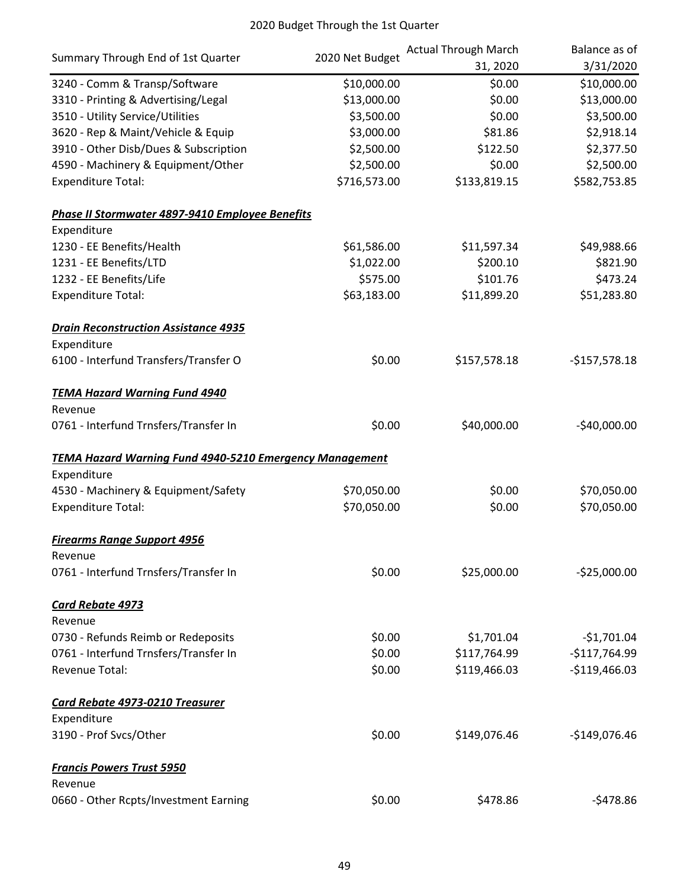|                                                                | 2020 Net Budget | <b>Actual Through March</b> | Balance as of  |
|----------------------------------------------------------------|-----------------|-----------------------------|----------------|
| Summary Through End of 1st Quarter                             |                 | 31, 2020                    | 3/31/2020      |
| 3240 - Comm & Transp/Software                                  | \$10,000.00     | \$0.00                      | \$10,000.00    |
| 3310 - Printing & Advertising/Legal                            | \$13,000.00     | \$0.00                      | \$13,000.00    |
| 3510 - Utility Service/Utilities                               | \$3,500.00      | \$0.00                      | \$3,500.00     |
| 3620 - Rep & Maint/Vehicle & Equip                             | \$3,000.00      | \$81.86                     | \$2,918.14     |
| 3910 - Other Disb/Dues & Subscription                          | \$2,500.00      | \$122.50                    | \$2,377.50     |
| 4590 - Machinery & Equipment/Other                             | \$2,500.00      | \$0.00                      | \$2,500.00     |
| <b>Expenditure Total:</b>                                      | \$716,573.00    | \$133,819.15                | \$582,753.85   |
| Phase II Stormwater 4897-9410 Employee Benefits                |                 |                             |                |
| Expenditure                                                    |                 |                             |                |
| 1230 - EE Benefits/Health                                      | \$61,586.00     | \$11,597.34                 | \$49,988.66    |
| 1231 - EE Benefits/LTD                                         | \$1,022.00      | \$200.10                    | \$821.90       |
| 1232 - EE Benefits/Life                                        | \$575.00        | \$101.76                    | \$473.24       |
| <b>Expenditure Total:</b>                                      | \$63,183.00     | \$11,899.20                 | \$51,283.80    |
| <b>Drain Reconstruction Assistance 4935</b>                    |                 |                             |                |
| Expenditure                                                    |                 |                             |                |
| 6100 - Interfund Transfers/Transfer O                          | \$0.00          | \$157,578.18                | $-$157,578.18$ |
| <b>TEMA Hazard Warning Fund 4940</b>                           |                 |                             |                |
| Revenue                                                        |                 |                             |                |
| 0761 - Interfund Trnsfers/Transfer In                          | \$0.00          | \$40,000.00                 | $-$40,000.00$  |
| <b>TEMA Hazard Warning Fund 4940-5210 Emergency Management</b> |                 |                             |                |
| Expenditure                                                    |                 |                             |                |
| 4530 - Machinery & Equipment/Safety                            | \$70,050.00     | \$0.00                      | \$70,050.00    |
| <b>Expenditure Total:</b>                                      | \$70,050.00     | \$0.00                      | \$70,050.00    |
| <b>Firearms Range Support 4956</b>                             |                 |                             |                |
| Revenue                                                        |                 |                             |                |
| 0761 - Interfund Trnsfers/Transfer In                          | \$0.00          | \$25,000.00                 | $-$25,000.00$  |
| <b>Card Rebate 4973</b>                                        |                 |                             |                |
| Revenue                                                        |                 |                             |                |
| 0730 - Refunds Reimb or Redeposits                             | \$0.00          | \$1,701.04                  | $-$1,701.04$   |
| 0761 - Interfund Trnsfers/Transfer In                          | \$0.00          | \$117,764.99                | $-$117,764.99$ |
| <b>Revenue Total:</b>                                          | \$0.00          | \$119,466.03                | $-$119,466.03$ |
| <b>Card Rebate 4973-0210 Treasurer</b>                         |                 |                             |                |
| Expenditure                                                    |                 |                             |                |
| 3190 - Prof Svcs/Other                                         | \$0.00          | \$149,076.46                | $-$149,076.46$ |
| <b>Francis Powers Trust 5950</b>                               |                 |                             |                |
| Revenue                                                        |                 |                             |                |
| 0660 - Other Rcpts/Investment Earning                          | \$0.00          | \$478.86                    | $-5478.86$     |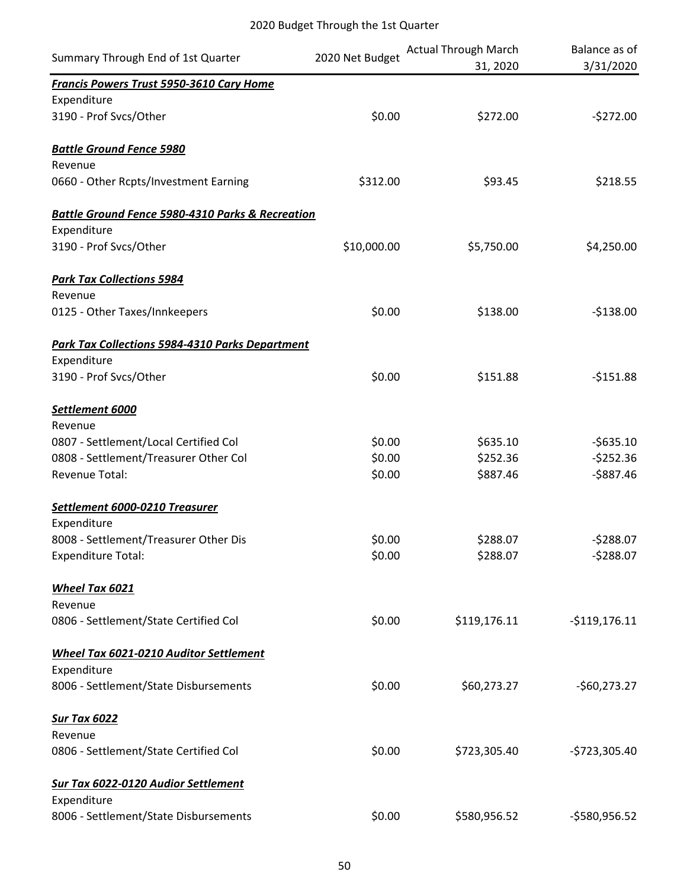|                                                             | 2020 Net Budget | <b>Actual Through March</b> | Balance as of  |
|-------------------------------------------------------------|-----------------|-----------------------------|----------------|
| Summary Through End of 1st Quarter                          |                 | 31, 2020                    | 3/31/2020      |
| Francis Powers Trust 5950-3610 Cary Home                    |                 |                             |                |
| Expenditure                                                 |                 |                             |                |
| 3190 - Prof Svcs/Other                                      | \$0.00          | \$272.00                    | $-5272.00$     |
| <b>Battle Ground Fence 5980</b>                             |                 |                             |                |
| Revenue                                                     |                 |                             |                |
| 0660 - Other Rcpts/Investment Earning                       | \$312.00        | \$93.45                     | \$218.55       |
| <b>Battle Ground Fence 5980-4310 Parks &amp; Recreation</b> |                 |                             |                |
| Expenditure                                                 |                 |                             |                |
| 3190 - Prof Svcs/Other                                      | \$10,000.00     | \$5,750.00                  | \$4,250.00     |
| <b>Park Tax Collections 5984</b>                            |                 |                             |                |
| Revenue                                                     |                 |                             |                |
| 0125 - Other Taxes/Innkeepers                               | \$0.00          | \$138.00                    | $-$138.00$     |
| Park Tax Collections 5984-4310 Parks Department             |                 |                             |                |
| Expenditure                                                 |                 |                             |                |
| 3190 - Prof Svcs/Other                                      | \$0.00          | \$151.88                    | $-5151.88$     |
| Settlement 6000                                             |                 |                             |                |
| Revenue                                                     |                 |                             |                |
| 0807 - Settlement/Local Certified Col                       | \$0.00          | \$635.10                    | $-5635.10$     |
| 0808 - Settlement/Treasurer Other Col                       | \$0.00          | \$252.36                    | $-5252.36$     |
| Revenue Total:                                              | \$0.00          | \$887.46                    | $-$887.46$     |
| Settlement 6000-0210 Treasurer                              |                 |                             |                |
| Expenditure                                                 |                 |                             |                |
| 8008 - Settlement/Treasurer Other Dis                       | \$0.00          | \$288.07                    | $-5288.07$     |
| <b>Expenditure Total:</b>                                   | \$0.00          | \$288.07                    | $-5288.07$     |
| Wheel Tax 6021                                              |                 |                             |                |
| Revenue                                                     |                 |                             |                |
| 0806 - Settlement/State Certified Col                       | \$0.00          | \$119,176.11                | $-5119,176.11$ |
| Wheel Tax 6021-0210 Auditor Settlement                      |                 |                             |                |
| Expenditure                                                 |                 |                             |                |
| 8006 - Settlement/State Disbursements                       | \$0.00          | \$60,273.27                 | $-$60,273.27$  |
| <b>Sur Tax 6022</b>                                         |                 |                             |                |
| Revenue                                                     |                 |                             |                |
| 0806 - Settlement/State Certified Col                       | \$0.00          | \$723,305.40                | $-5723,305.40$ |
| <b>Sur Tax 6022-0120 Audior Settlement</b>                  |                 |                             |                |
| Expenditure                                                 |                 |                             |                |
| 8006 - Settlement/State Disbursements                       | \$0.00          | \$580,956.52                | -\$580,956.52  |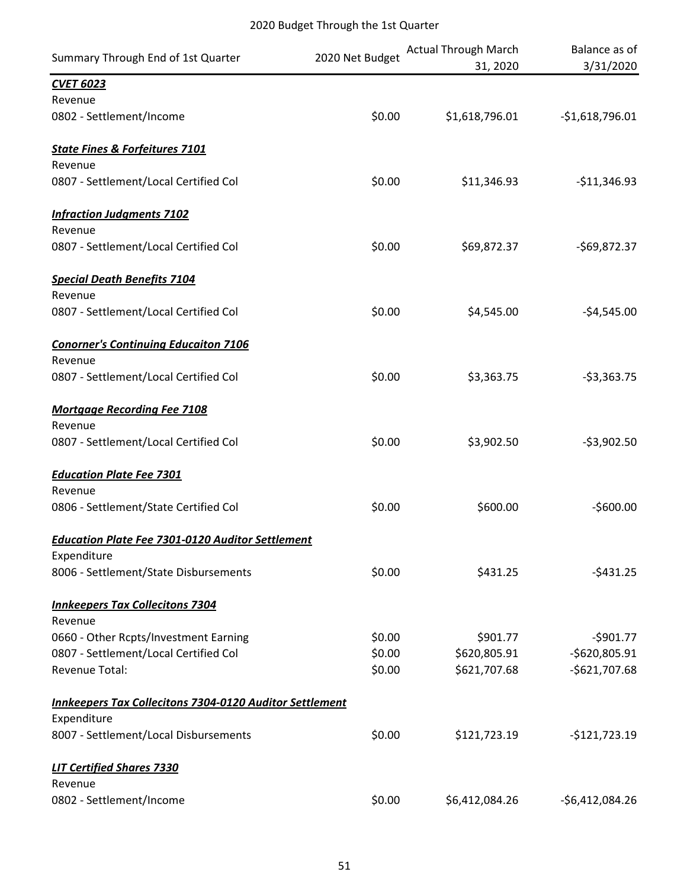| Summary Through End of 1st Quarter                             | 2020 Net Budget | <b>Actual Through March</b><br>31, 2020 | Balance as of<br>3/31/2020 |
|----------------------------------------------------------------|-----------------|-----------------------------------------|----------------------------|
| <b>CVET 6023</b>                                               |                 |                                         |                            |
| Revenue                                                        |                 |                                         |                            |
| 0802 - Settlement/Income                                       | \$0.00          | \$1,618,796.01                          | $-51,618,796.01$           |
| <b>State Fines &amp; Forfeitures 7101</b>                      |                 |                                         |                            |
| Revenue                                                        |                 |                                         |                            |
| 0807 - Settlement/Local Certified Col                          | \$0.00          | \$11,346.93                             | $-$11,346.93$              |
| <b>Infraction Judgments 7102</b>                               |                 |                                         |                            |
| Revenue                                                        |                 |                                         |                            |
| 0807 - Settlement/Local Certified Col                          | \$0.00          | \$69,872.37                             | $-569,872.37$              |
| <b>Special Death Benefits 7104</b>                             |                 |                                         |                            |
| Revenue                                                        |                 |                                         |                            |
| 0807 - Settlement/Local Certified Col                          | \$0.00          | \$4,545.00                              | $-54,545.00$               |
| <b>Conorner's Continuing Educaiton 7106</b>                    |                 |                                         |                            |
| Revenue                                                        |                 |                                         |                            |
| 0807 - Settlement/Local Certified Col                          | \$0.00          | \$3,363.75                              | $-53,363.75$               |
| <b>Mortgage Recording Fee 7108</b>                             |                 |                                         |                            |
| Revenue                                                        |                 |                                         |                            |
| 0807 - Settlement/Local Certified Col                          | \$0.00          | \$3,902.50                              | $-53,902.50$               |
| <b>Education Plate Fee 7301</b>                                |                 |                                         |                            |
| Revenue                                                        |                 |                                         |                            |
| 0806 - Settlement/State Certified Col                          | \$0.00          | \$600.00                                | $-$600.00$                 |
| <b>Education Plate Fee 7301-0120 Auditor Settlement</b>        |                 |                                         |                            |
| Expenditure                                                    |                 |                                         |                            |
| 8006 - Settlement/State Disbursements                          | \$0.00          | \$431.25                                | $-5431.25$                 |
| <b>Innkeepers Tax Collecitons 7304</b>                         |                 |                                         |                            |
| Revenue                                                        |                 |                                         |                            |
| 0660 - Other Rcpts/Investment Earning                          | \$0.00          | \$901.77                                | $-5901.77$                 |
| 0807 - Settlement/Local Certified Col                          | \$0.00          | \$620,805.91                            | $-5620,805.91$             |
| <b>Revenue Total:</b>                                          | \$0.00          | \$621,707.68                            | $-5621,707.68$             |
| <b>Innkeepers Tax Collecitons 7304-0120 Auditor Settlement</b> |                 |                                         |                            |
| Expenditure                                                    |                 |                                         |                            |
| 8007 - Settlement/Local Disbursements                          | \$0.00          | \$121,723.19                            | $-$121,723.19$             |
| <b>LIT Certified Shares 7330</b>                               |                 |                                         |                            |
| Revenue                                                        |                 |                                         |                            |
| 0802 - Settlement/Income                                       | \$0.00          | \$6,412,084.26                          | $-56,412,084.26$           |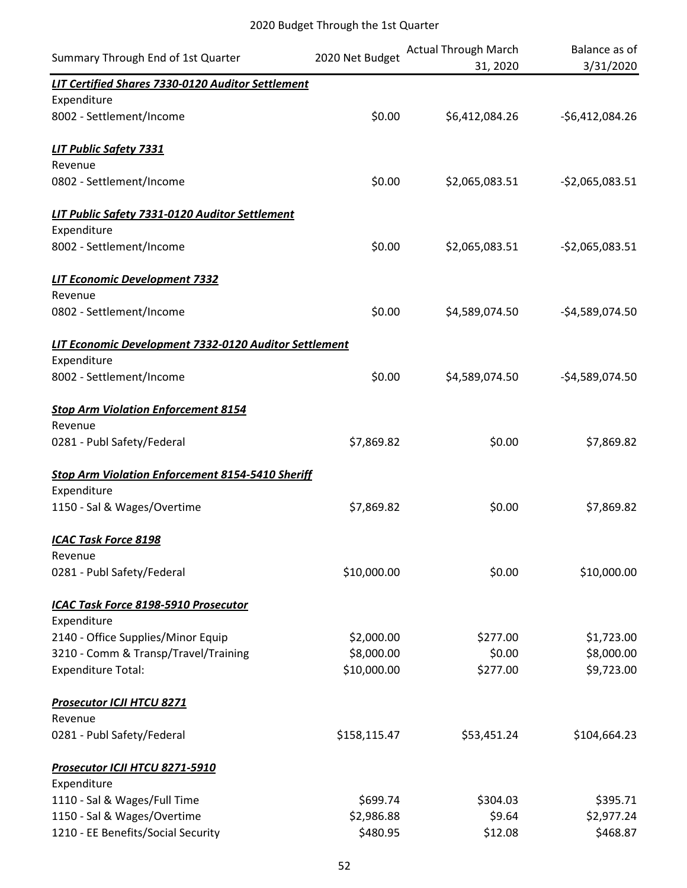| Summary Through End of 1st Quarter                       | 2020 Net Budget | <b>Actual Through March</b><br>31, 2020 | Balance as of<br>3/31/2020 |
|----------------------------------------------------------|-----------------|-----------------------------------------|----------------------------|
| <b>LIT Certified Shares 7330-0120 Auditor Settlement</b> |                 |                                         |                            |
| Expenditure                                              |                 |                                         |                            |
| 8002 - Settlement/Income                                 | \$0.00          | \$6,412,084.26                          | $-56,412,084.26$           |
| <b>LIT Public Safety 7331</b>                            |                 |                                         |                            |
| Revenue                                                  |                 |                                         |                            |
| 0802 - Settlement/Income                                 | \$0.00          | \$2,065,083.51                          | $-52,065,083.51$           |
| LIT Public Safety 7331-0120 Auditor Settlement           |                 |                                         |                            |
| Expenditure                                              |                 |                                         |                            |
| 8002 - Settlement/Income                                 | \$0.00          | \$2,065,083.51                          | $-52,065,083.51$           |
| LIT Economic Development 7332                            |                 |                                         |                            |
| Revenue                                                  |                 |                                         |                            |
| 0802 - Settlement/Income                                 | \$0.00          | \$4,589,074.50                          | $-54,589,074.50$           |
| LIT Economic Development 7332-0120 Auditor Settlement    |                 |                                         |                            |
| Expenditure                                              |                 |                                         |                            |
| 8002 - Settlement/Income                                 | \$0.00          | \$4,589,074.50                          | $-54,589,074.50$           |
| <b>Stop Arm Violation Enforcement 8154</b>               |                 |                                         |                            |
| Revenue                                                  |                 |                                         |                            |
| 0281 - Publ Safety/Federal                               | \$7,869.82      | \$0.00                                  | \$7,869.82                 |
| <b>Stop Arm Violation Enforcement 8154-5410 Sheriff</b>  |                 |                                         |                            |
| Expenditure                                              |                 |                                         |                            |
| 1150 - Sal & Wages/Overtime                              | \$7,869.82      | \$0.00                                  | \$7,869.82                 |
| <b>ICAC Task Force 8198</b>                              |                 |                                         |                            |
| Revenue                                                  |                 |                                         |                            |
| 0281 - Publ Safety/Federal                               | \$10,000.00     | \$0.00                                  | \$10,000.00                |
| ICAC Task Force 8198-5910 Prosecutor                     |                 |                                         |                            |
| Expenditure                                              |                 |                                         |                            |
| 2140 - Office Supplies/Minor Equip                       | \$2,000.00      | \$277.00                                | \$1,723.00                 |
| 3210 - Comm & Transp/Travel/Training                     | \$8,000.00      | \$0.00                                  | \$8,000.00                 |
| <b>Expenditure Total:</b>                                | \$10,000.00     | \$277.00                                | \$9,723.00                 |
| <b>Prosecutor ICJI HTCU 8271</b>                         |                 |                                         |                            |
| Revenue                                                  |                 |                                         |                            |
| 0281 - Publ Safety/Federal                               | \$158,115.47    | \$53,451.24                             | \$104,664.23               |
| Prosecutor ICJI HTCU 8271-5910                           |                 |                                         |                            |
| Expenditure                                              |                 |                                         |                            |
| 1110 - Sal & Wages/Full Time                             | \$699.74        | \$304.03                                | \$395.71                   |
| 1150 - Sal & Wages/Overtime                              | \$2,986.88      | \$9.64                                  | \$2,977.24                 |
| 1210 - EE Benefits/Social Security                       | \$480.95        | \$12.08                                 | \$468.87                   |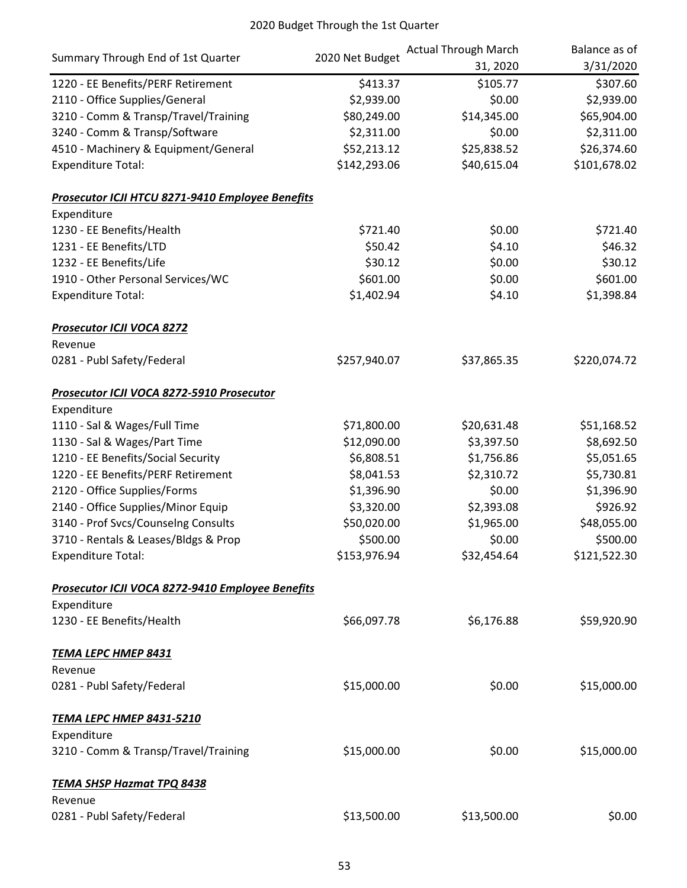|                                                  | 2020 Net Budget | <b>Actual Through March</b> | Balance as of |
|--------------------------------------------------|-----------------|-----------------------------|---------------|
| Summary Through End of 1st Quarter               |                 | 31, 2020                    | 3/31/2020     |
| 1220 - EE Benefits/PERF Retirement               | \$413.37        | \$105.77                    | \$307.60      |
| 2110 - Office Supplies/General                   | \$2,939.00      | \$0.00                      | \$2,939.00    |
| 3210 - Comm & Transp/Travel/Training             | \$80,249.00     | \$14,345.00                 | \$65,904.00   |
| 3240 - Comm & Transp/Software                    | \$2,311.00      | \$0.00                      | \$2,311.00    |
| 4510 - Machinery & Equipment/General             | \$52,213.12     | \$25,838.52                 | \$26,374.60   |
| <b>Expenditure Total:</b>                        | \$142,293.06    | \$40,615.04                 | \$101,678.02  |
| Prosecutor ICJI HTCU 8271-9410 Employee Benefits |                 |                             |               |
| Expenditure                                      |                 |                             |               |
| 1230 - EE Benefits/Health                        | \$721.40        | \$0.00                      | \$721.40      |
| 1231 - EE Benefits/LTD                           | \$50.42         | \$4.10                      | \$46.32       |
| 1232 - EE Benefits/Life                          | \$30.12         | \$0.00                      | \$30.12       |
| 1910 - Other Personal Services/WC                | \$601.00        | \$0.00                      | \$601.00      |
| <b>Expenditure Total:</b>                        | \$1,402.94      | \$4.10                      | \$1,398.84    |
| Prosecutor ICJI VOCA 8272                        |                 |                             |               |
| Revenue                                          |                 |                             |               |
| 0281 - Publ Safety/Federal                       | \$257,940.07    | \$37,865.35                 | \$220,074.72  |
| Prosecutor ICJI VOCA 8272-5910 Prosecutor        |                 |                             |               |
| Expenditure                                      |                 |                             |               |
| 1110 - Sal & Wages/Full Time                     | \$71,800.00     | \$20,631.48                 | \$51,168.52   |
| 1130 - Sal & Wages/Part Time                     | \$12,090.00     | \$3,397.50                  | \$8,692.50    |
| 1210 - EE Benefits/Social Security               | \$6,808.51      | \$1,756.86                  | \$5,051.65    |
| 1220 - EE Benefits/PERF Retirement               | \$8,041.53      | \$2,310.72                  | \$5,730.81    |
| 2120 - Office Supplies/Forms                     | \$1,396.90      | \$0.00                      | \$1,396.90    |
| 2140 - Office Supplies/Minor Equip               | \$3,320.00      | \$2,393.08                  | \$926.92      |
| 3140 - Prof Svcs/Counselng Consults              | \$50,020.00     | \$1,965.00                  | \$48,055.00   |
| 3710 - Rentals & Leases/Bldgs & Prop             | \$500.00        | \$0.00                      | \$500.00      |
| <b>Expenditure Total:</b>                        | \$153,976.94    | \$32,454.64                 | \$121,522.30  |
| Prosecutor ICJI VOCA 8272-9410 Employee Benefits |                 |                             |               |
| Expenditure                                      |                 |                             |               |
| 1230 - EE Benefits/Health                        | \$66,097.78     | \$6,176.88                  | \$59,920.90   |
| <b>TEMA LEPC HMEP 8431</b>                       |                 |                             |               |
| Revenue                                          |                 |                             |               |
| 0281 - Publ Safety/Federal                       | \$15,000.00     | \$0.00                      | \$15,000.00   |
| <u>TEMA LEPC HMEP 8431-5210</u>                  |                 |                             |               |
| Expenditure                                      |                 |                             |               |
| 3210 - Comm & Transp/Travel/Training             | \$15,000.00     | \$0.00                      | \$15,000.00   |
| <b>TEMA SHSP Hazmat TPQ 8438</b>                 |                 |                             |               |
| Revenue                                          |                 |                             |               |
| 0281 - Publ Safety/Federal                       | \$13,500.00     | \$13,500.00                 | \$0.00        |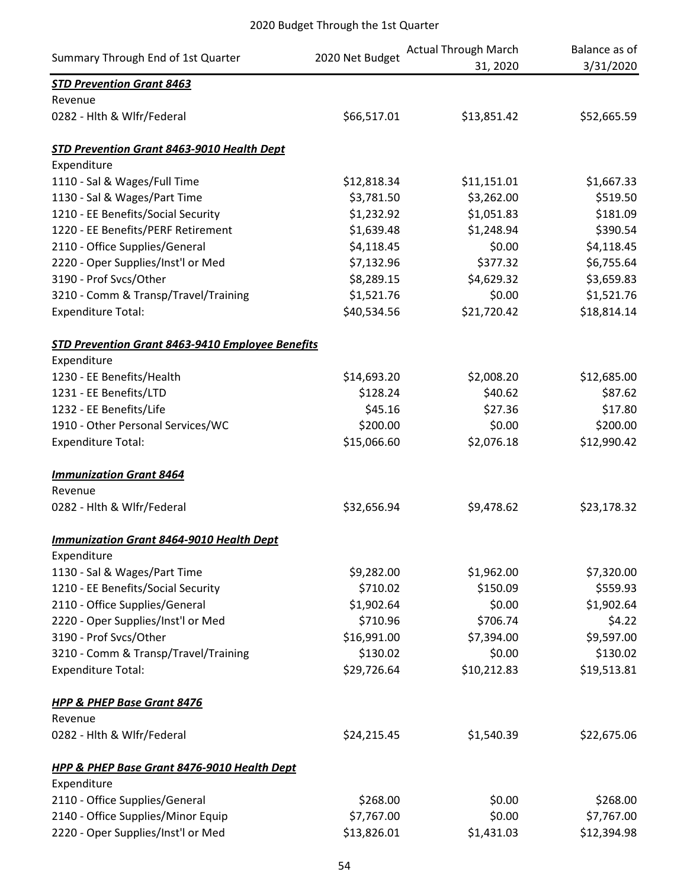| Summary Through End of 1st Quarter                      | 2020 Net Budget | <b>Actual Through March</b><br>31, 2020 | Balance as of<br>3/31/2020 |
|---------------------------------------------------------|-----------------|-----------------------------------------|----------------------------|
| <b>STD Prevention Grant 8463</b>                        |                 |                                         |                            |
| Revenue                                                 |                 |                                         |                            |
| 0282 - Hith & Wifr/Federal                              | \$66,517.01     | \$13,851.42                             | \$52,665.59                |
| STD Prevention Grant 8463-9010 Health Dept              |                 |                                         |                            |
| Expenditure                                             |                 |                                         |                            |
| 1110 - Sal & Wages/Full Time                            | \$12,818.34     | \$11,151.01                             | \$1,667.33                 |
| 1130 - Sal & Wages/Part Time                            | \$3,781.50      | \$3,262.00                              | \$519.50                   |
| 1210 - EE Benefits/Social Security                      | \$1,232.92      | \$1,051.83                              | \$181.09                   |
| 1220 - EE Benefits/PERF Retirement                      | \$1,639.48      | \$1,248.94                              | \$390.54                   |
| 2110 - Office Supplies/General                          | \$4,118.45      | \$0.00                                  | \$4,118.45                 |
| 2220 - Oper Supplies/Inst'l or Med                      | \$7,132.96      | \$377.32                                | \$6,755.64                 |
| 3190 - Prof Svcs/Other                                  | \$8,289.15      | \$4,629.32                              | \$3,659.83                 |
| 3210 - Comm & Transp/Travel/Training                    | \$1,521.76      | \$0.00                                  | \$1,521.76                 |
| <b>Expenditure Total:</b>                               | \$40,534.56     | \$21,720.42                             | \$18,814.14                |
| <b>STD Prevention Grant 8463-9410 Employee Benefits</b> |                 |                                         |                            |
| Expenditure                                             |                 |                                         |                            |
| 1230 - EE Benefits/Health                               | \$14,693.20     | \$2,008.20                              | \$12,685.00                |
| 1231 - EE Benefits/LTD                                  | \$128.24        | \$40.62                                 | \$87.62                    |
| 1232 - EE Benefits/Life                                 | \$45.16         | \$27.36                                 | \$17.80                    |
| 1910 - Other Personal Services/WC                       | \$200.00        | \$0.00                                  | \$200.00                   |
| <b>Expenditure Total:</b>                               | \$15,066.60     | \$2,076.18                              | \$12,990.42                |
| <b>Immunization Grant 8464</b>                          |                 |                                         |                            |
| Revenue                                                 |                 |                                         |                            |
| 0282 - Hlth & Wlfr/Federal                              | \$32,656.94     | \$9,478.62                              | \$23,178.32                |
| <b>Immunization Grant 8464-9010 Health Dept</b>         |                 |                                         |                            |
| Expenditure                                             |                 |                                         |                            |
| 1130 - Sal & Wages/Part Time                            | \$9,282.00      | \$1,962.00                              | \$7,320.00                 |
| 1210 - EE Benefits/Social Security                      | \$710.02        | \$150.09                                | \$559.93                   |
| 2110 - Office Supplies/General                          | \$1,902.64      | \$0.00                                  | \$1,902.64                 |
| 2220 - Oper Supplies/Inst'l or Med                      | \$710.96        | \$706.74                                | \$4.22                     |
| 3190 - Prof Svcs/Other                                  | \$16,991.00     | \$7,394.00                              | \$9,597.00                 |
| 3210 - Comm & Transp/Travel/Training                    | \$130.02        | \$0.00                                  | \$130.02                   |
| <b>Expenditure Total:</b>                               | \$29,726.64     | \$10,212.83                             | \$19,513.81                |
| <b>HPP &amp; PHEP Base Grant 8476</b>                   |                 |                                         |                            |
| Revenue                                                 |                 |                                         |                            |
| 0282 - Hith & Wifr/Federal                              | \$24,215.45     | \$1,540.39                              | \$22,675.06                |
| <b>HPP &amp; PHEP Base Grant 8476-9010 Health Dept</b>  |                 |                                         |                            |
| Expenditure                                             |                 |                                         |                            |
| 2110 - Office Supplies/General                          | \$268.00        | \$0.00                                  | \$268.00                   |
| 2140 - Office Supplies/Minor Equip                      | \$7,767.00      | \$0.00                                  | \$7,767.00                 |
| 2220 - Oper Supplies/Inst'l or Med                      | \$13,826.01     | \$1,431.03                              | \$12,394.98                |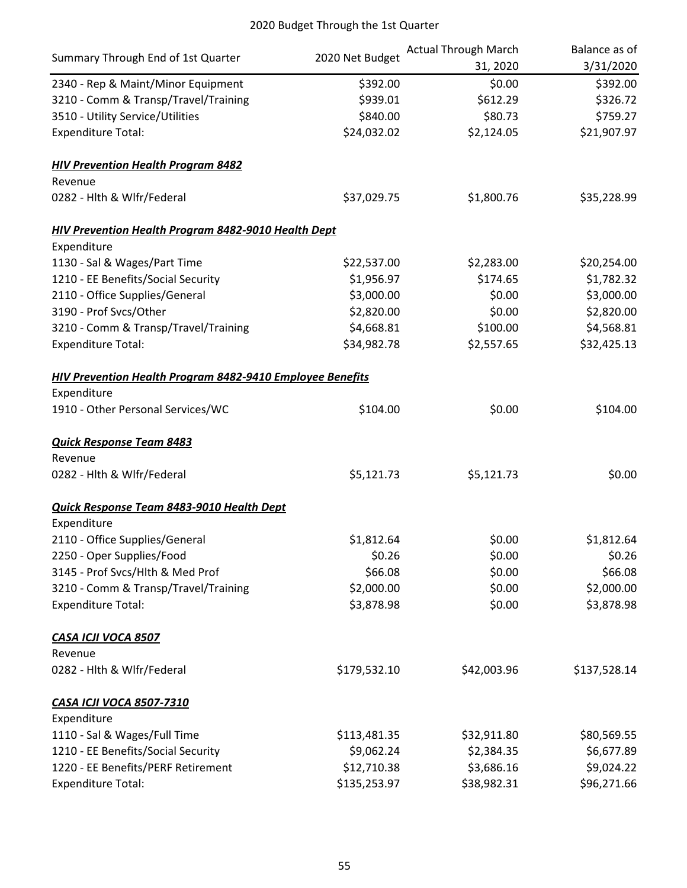| Summary Through End of 1st Quarter                         |                 | <b>Actual Through March</b> | Balance as of |  |
|------------------------------------------------------------|-----------------|-----------------------------|---------------|--|
|                                                            | 2020 Net Budget | 31, 2020                    | 3/31/2020     |  |
| 2340 - Rep & Maint/Minor Equipment                         | \$392.00        | \$0.00                      | \$392.00      |  |
| 3210 - Comm & Transp/Travel/Training                       | \$939.01        | \$612.29                    | \$326.72      |  |
| 3510 - Utility Service/Utilities                           | \$840.00        | \$80.73                     | \$759.27      |  |
| <b>Expenditure Total:</b>                                  | \$24,032.02     | \$2,124.05                  | \$21,907.97   |  |
| <b>HIV Prevention Health Program 8482</b>                  |                 |                             |               |  |
| Revenue                                                    |                 |                             |               |  |
| 0282 - Hith & Wifr/Federal                                 | \$37,029.75     | \$1,800.76                  | \$35,228.99   |  |
| <b>HIV Prevention Health Program 8482-9010 Health Dept</b> |                 |                             |               |  |
| Expenditure                                                |                 |                             |               |  |
| 1130 - Sal & Wages/Part Time                               | \$22,537.00     | \$2,283.00                  | \$20,254.00   |  |
| 1210 - EE Benefits/Social Security                         | \$1,956.97      | \$174.65                    | \$1,782.32    |  |
| 2110 - Office Supplies/General                             | \$3,000.00      | \$0.00                      | \$3,000.00    |  |
| 3190 - Prof Svcs/Other                                     | \$2,820.00      | \$0.00                      | \$2,820.00    |  |
| 3210 - Comm & Transp/Travel/Training                       | \$4,668.81      | \$100.00                    | \$4,568.81    |  |
| <b>Expenditure Total:</b>                                  | \$34,982.78     | \$2,557.65                  | \$32,425.13   |  |
| HIV Prevention Health Program 8482-9410 Employee Benefits  |                 |                             |               |  |
| Expenditure                                                |                 |                             |               |  |
| 1910 - Other Personal Services/WC                          | \$104.00        | \$0.00                      | \$104.00      |  |
| <b>Quick Response Team 8483</b>                            |                 |                             |               |  |
| Revenue                                                    |                 |                             |               |  |
| 0282 - Hlth & Wlfr/Federal                                 | \$5,121.73      | \$5,121.73                  | \$0.00        |  |
| Quick Response Team 8483-9010 Health Dept                  |                 |                             |               |  |
| Expenditure                                                |                 |                             |               |  |
| 2110 - Office Supplies/General                             | \$1,812.64      | \$0.00                      | \$1,812.64    |  |
| 2250 - Oper Supplies/Food                                  | \$0.26          | \$0.00                      | \$0.26        |  |
| 3145 - Prof Svcs/Hlth & Med Prof                           | \$66.08         | \$0.00                      | \$66.08       |  |
| 3210 - Comm & Transp/Travel/Training                       | \$2,000.00      | \$0.00                      | \$2,000.00    |  |
| <b>Expenditure Total:</b>                                  | \$3,878.98      | \$0.00                      | \$3,878.98    |  |
| CASA ICJI VOCA 8507                                        |                 |                             |               |  |
| Revenue                                                    |                 |                             |               |  |
| 0282 - Hlth & Wlfr/Federal                                 | \$179,532.10    | \$42,003.96                 | \$137,528.14  |  |
| <b>CASA ICJI VOCA 8507-7310</b>                            |                 |                             |               |  |
| Expenditure                                                |                 |                             |               |  |
| 1110 - Sal & Wages/Full Time                               | \$113,481.35    | \$32,911.80                 | \$80,569.55   |  |
| 1210 - EE Benefits/Social Security                         | \$9,062.24      | \$2,384.35                  | \$6,677.89    |  |
| 1220 - EE Benefits/PERF Retirement                         | \$12,710.38     | \$3,686.16                  | \$9,024.22    |  |
| <b>Expenditure Total:</b>                                  | \$135,253.97    | \$38,982.31                 | \$96,271.66   |  |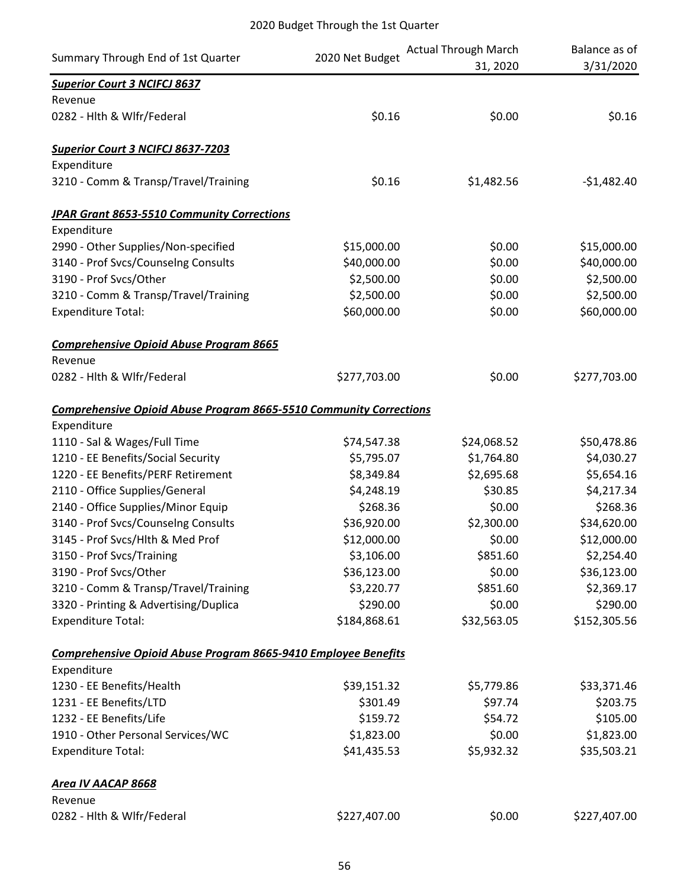|                                                                           |                 | <b>Actual Through March</b> | Balance as of |
|---------------------------------------------------------------------------|-----------------|-----------------------------|---------------|
| Summary Through End of 1st Quarter                                        | 2020 Net Budget | 31, 2020                    | 3/31/2020     |
| <b>Superior Court 3 NCIFCJ 8637</b>                                       |                 |                             |               |
| Revenue                                                                   |                 |                             |               |
| 0282 - Hlth & Wlfr/Federal                                                | \$0.16          | \$0.00                      | \$0.16        |
| <b>Superior Court 3 NCIFCJ 8637-7203</b>                                  |                 |                             |               |
| Expenditure                                                               |                 |                             |               |
| 3210 - Comm & Transp/Travel/Training                                      | \$0.16          | \$1,482.56                  | $-$1,482.40$  |
| <b>JPAR Grant 8653-5510 Community Corrections</b>                         |                 |                             |               |
| Expenditure                                                               |                 |                             |               |
| 2990 - Other Supplies/Non-specified                                       | \$15,000.00     | \$0.00                      | \$15,000.00   |
| 3140 - Prof Svcs/Counselng Consults                                       | \$40,000.00     | \$0.00                      | \$40,000.00   |
| 3190 - Prof Svcs/Other                                                    | \$2,500.00      | \$0.00                      | \$2,500.00    |
| 3210 - Comm & Transp/Travel/Training                                      | \$2,500.00      | \$0.00                      | \$2,500.00    |
| <b>Expenditure Total:</b>                                                 | \$60,000.00     | \$0.00                      | \$60,000.00   |
| <b>Comprehensive Opioid Abuse Program 8665</b>                            |                 |                             |               |
| Revenue                                                                   |                 |                             |               |
| 0282 - Hlth & Wlfr/Federal                                                | \$277,703.00    | \$0.00                      | \$277,703.00  |
| <b>Comprehensive Opioid Abuse Program 8665-5510 Community Corrections</b> |                 |                             |               |
| Expenditure                                                               |                 |                             |               |
| 1110 - Sal & Wages/Full Time                                              | \$74,547.38     | \$24,068.52                 | \$50,478.86   |
| 1210 - EE Benefits/Social Security                                        | \$5,795.07      | \$1,764.80                  | \$4,030.27    |
| 1220 - EE Benefits/PERF Retirement                                        | \$8,349.84      | \$2,695.68                  | \$5,654.16    |
| 2110 - Office Supplies/General                                            | \$4,248.19      | \$30.85                     | \$4,217.34    |
| 2140 - Office Supplies/Minor Equip                                        | \$268.36        | \$0.00                      | \$268.36      |
| 3140 - Prof Svcs/Counselng Consults                                       | \$36,920.00     | \$2,300.00                  | \$34,620.00   |
| 3145 - Prof Svcs/Hlth & Med Prof                                          | \$12,000.00     | \$0.00                      | \$12,000.00   |
| 3150 - Prof Svcs/Training                                                 | \$3,106.00      | \$851.60                    | \$2,254.40    |
| 3190 - Prof Svcs/Other                                                    | \$36,123.00     | \$0.00                      | \$36,123.00   |
| 3210 - Comm & Transp/Travel/Training                                      | \$3,220.77      | \$851.60                    | \$2,369.17    |
| 3320 - Printing & Advertising/Duplica                                     | \$290.00        | \$0.00                      | \$290.00      |
| <b>Expenditure Total:</b>                                                 | \$184,868.61    | \$32,563.05                 | \$152,305.56  |
| <b>Comprehensive Opioid Abuse Program 8665-9410 Employee Benefits</b>     |                 |                             |               |
| Expenditure                                                               |                 |                             |               |
| 1230 - EE Benefits/Health                                                 | \$39,151.32     | \$5,779.86                  | \$33,371.46   |
| 1231 - EE Benefits/LTD                                                    | \$301.49        | \$97.74                     | \$203.75      |
| 1232 - EE Benefits/Life                                                   | \$159.72        | \$54.72                     | \$105.00      |
| 1910 - Other Personal Services/WC                                         | \$1,823.00      | \$0.00                      | \$1,823.00    |
| <b>Expenditure Total:</b>                                                 | \$41,435.53     | \$5,932.32                  | \$35,503.21   |
| <b>Area IV AACAP 8668</b>                                                 |                 |                             |               |
| Revenue                                                                   |                 |                             |               |
| 0282 - Hlth & Wlfr/Federal                                                | \$227,407.00    | \$0.00                      | \$227,407.00  |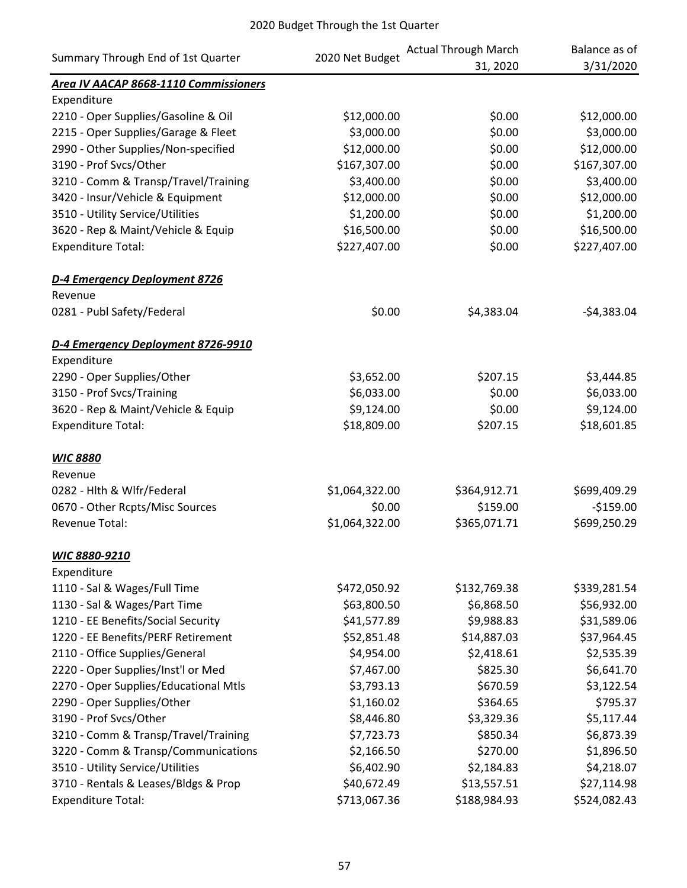| Summary Through End of 1st Quarter    |                 | <b>Actual Through March</b> | Balance as of |
|---------------------------------------|-----------------|-----------------------------|---------------|
|                                       | 2020 Net Budget | 31, 2020                    | 3/31/2020     |
| Area IV AACAP 8668-1110 Commissioners |                 |                             |               |
| Expenditure                           |                 |                             |               |
| 2210 - Oper Supplies/Gasoline & Oil   | \$12,000.00     | \$0.00                      | \$12,000.00   |
| 2215 - Oper Supplies/Garage & Fleet   | \$3,000.00      | \$0.00                      | \$3,000.00    |
| 2990 - Other Supplies/Non-specified   | \$12,000.00     | \$0.00                      | \$12,000.00   |
| 3190 - Prof Svcs/Other                | \$167,307.00    | \$0.00                      | \$167,307.00  |
| 3210 - Comm & Transp/Travel/Training  | \$3,400.00      | \$0.00                      | \$3,400.00    |
| 3420 - Insur/Vehicle & Equipment      | \$12,000.00     | \$0.00                      | \$12,000.00   |
| 3510 - Utility Service/Utilities      | \$1,200.00      | \$0.00                      | \$1,200.00    |
| 3620 - Rep & Maint/Vehicle & Equip    | \$16,500.00     | \$0.00                      | \$16,500.00   |
| <b>Expenditure Total:</b>             | \$227,407.00    | \$0.00                      | \$227,407.00  |
| D-4 Emergency Deployment 8726         |                 |                             |               |
| Revenue                               |                 |                             |               |
| 0281 - Publ Safety/Federal            | \$0.00          | \$4,383.04                  | $-54,383.04$  |
| D-4 Emergency Deployment 8726-9910    |                 |                             |               |
| Expenditure                           |                 |                             |               |
| 2290 - Oper Supplies/Other            | \$3,652.00      | \$207.15                    | \$3,444.85    |
| 3150 - Prof Svcs/Training             | \$6,033.00      | \$0.00                      | \$6,033.00    |
| 3620 - Rep & Maint/Vehicle & Equip    | \$9,124.00      | \$0.00                      | \$9,124.00    |
| <b>Expenditure Total:</b>             | \$18,809.00     | \$207.15                    | \$18,601.85   |
| <b>WIC 8880</b>                       |                 |                             |               |
| Revenue                               |                 |                             |               |
| 0282 - Hith & Wifr/Federal            | \$1,064,322.00  | \$364,912.71                | \$699,409.29  |
| 0670 - Other Rcpts/Misc Sources       | \$0.00          | \$159.00                    | $-$159.00$    |
| Revenue Total:                        | \$1,064,322.00  | \$365,071.71                | \$699,250.29  |
| WIC 8880-9210                         |                 |                             |               |
| Expenditure                           |                 |                             |               |
| 1110 - Sal & Wages/Full Time          | \$472,050.92    | \$132,769.38                | \$339,281.54  |
| 1130 - Sal & Wages/Part Time          | \$63,800.50     | \$6,868.50                  | \$56,932.00   |
| 1210 - EE Benefits/Social Security    | \$41,577.89     | \$9,988.83                  | \$31,589.06   |
| 1220 - EE Benefits/PERF Retirement    | \$52,851.48     | \$14,887.03                 | \$37,964.45   |
| 2110 - Office Supplies/General        | \$4,954.00      | \$2,418.61                  | \$2,535.39    |
| 2220 - Oper Supplies/Inst'l or Med    | \$7,467.00      | \$825.30                    | \$6,641.70    |
| 2270 - Oper Supplies/Educational Mtls | \$3,793.13      | \$670.59                    | \$3,122.54    |
| 2290 - Oper Supplies/Other            | \$1,160.02      | \$364.65                    | \$795.37      |
| 3190 - Prof Svcs/Other                | \$8,446.80      | \$3,329.36                  | \$5,117.44    |
| 3210 - Comm & Transp/Travel/Training  | \$7,723.73      | \$850.34                    | \$6,873.39    |
| 3220 - Comm & Transp/Communications   | \$2,166.50      | \$270.00                    | \$1,896.50    |
| 3510 - Utility Service/Utilities      | \$6,402.90      | \$2,184.83                  | \$4,218.07    |
| 3710 - Rentals & Leases/Bldgs & Prop  | \$40,672.49     | \$13,557.51                 | \$27,114.98   |
| <b>Expenditure Total:</b>             | \$713,067.36    | \$188,984.93                | \$524,082.43  |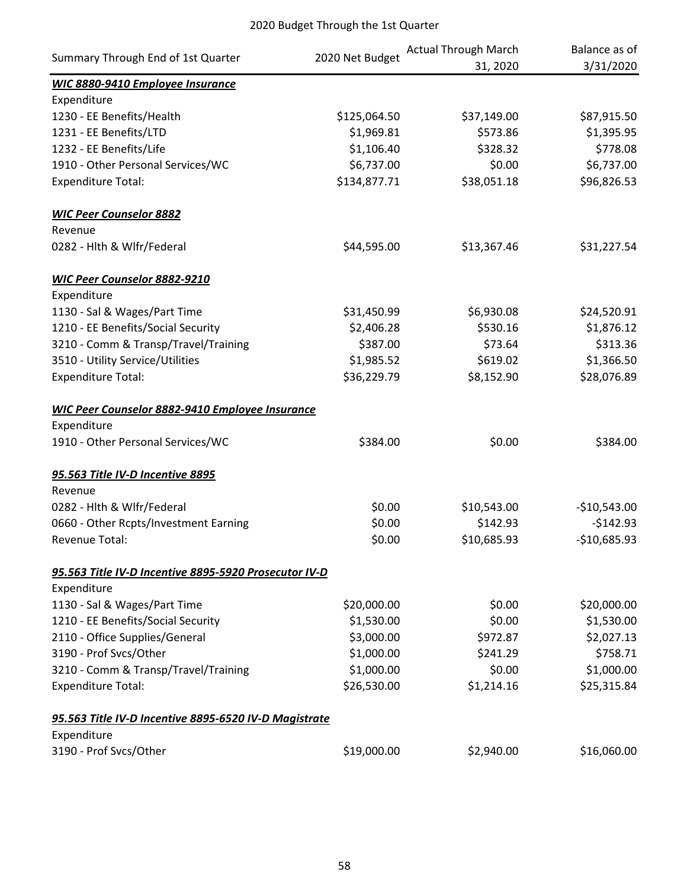|                                                        |                 | <b>Actual Through March</b> | Balance as of |
|--------------------------------------------------------|-----------------|-----------------------------|---------------|
| Summary Through End of 1st Quarter                     | 2020 Net Budget | 31, 2020                    | 3/31/2020     |
| <b>WIC 8880-9410 Employee Insurance</b>                |                 |                             |               |
| Expenditure                                            |                 |                             |               |
| 1230 - EE Benefits/Health                              | \$125,064.50    | \$37,149.00                 | \$87,915.50   |
| 1231 - EE Benefits/LTD                                 | \$1,969.81      | \$573.86                    | \$1,395.95    |
| 1232 - EE Benefits/Life                                | \$1,106.40      | \$328.32                    | \$778.08      |
| 1910 - Other Personal Services/WC                      | \$6,737.00      | \$0.00                      | \$6,737.00    |
| <b>Expenditure Total:</b>                              | \$134,877.71    | \$38,051.18                 | \$96,826.53   |
| <b>WIC Peer Counselor 8882</b>                         |                 |                             |               |
| Revenue                                                |                 |                             |               |
| 0282 - Hlth & Wlfr/Federal                             | \$44,595.00     | \$13,367.46                 | \$31,227.54   |
| <b>WIC Peer Counselor 8882-9210</b>                    |                 |                             |               |
| Expenditure                                            |                 |                             |               |
| 1130 - Sal & Wages/Part Time                           | \$31,450.99     | \$6,930.08                  | \$24,520.91   |
| 1210 - EE Benefits/Social Security                     | \$2,406.28      | \$530.16                    | \$1,876.12    |
| 3210 - Comm & Transp/Travel/Training                   | \$387.00        | \$73.64                     | \$313.36      |
| 3510 - Utility Service/Utilities                       | \$1,985.52      | \$619.02                    | \$1,366.50    |
| <b>Expenditure Total:</b>                              | \$36,229.79     | \$8,152.90                  | \$28,076.89   |
| <b>WIC Peer Counselor 8882-9410 Employee Insurance</b> |                 |                             |               |
| Expenditure                                            |                 |                             |               |
| 1910 - Other Personal Services/WC                      | \$384.00        | \$0.00                      | \$384.00      |
| 95.563 Title IV-D Incentive 8895                       |                 |                             |               |
| Revenue                                                |                 |                             |               |
| 0282 - Hlth & Wlfr/Federal                             | \$0.00          | \$10,543.00                 | $-$10,543.00$ |
| 0660 - Other Rcpts/Investment Earning                  | \$0.00          | \$142.93                    | $-$142.93$    |
| Revenue Total:                                         | \$0.00          | \$10,685.93                 | $-$10,685.93$ |
| 95.563 Title IV-D Incentive 8895-5920 Prosecutor IV-D  |                 |                             |               |
| Expenditure                                            |                 |                             |               |
| 1130 - Sal & Wages/Part Time                           | \$20,000.00     | \$0.00                      | \$20,000.00   |
| 1210 - EE Benefits/Social Security                     | \$1,530.00      | \$0.00                      | \$1,530.00    |
| 2110 - Office Supplies/General                         | \$3,000.00      | \$972.87                    | \$2,027.13    |
| 3190 - Prof Svcs/Other                                 | \$1,000.00      | \$241.29                    | \$758.71      |
| 3210 - Comm & Transp/Travel/Training                   | \$1,000.00      | \$0.00                      | \$1,000.00    |
| <b>Expenditure Total:</b>                              | \$26,530.00     | \$1,214.16                  | \$25,315.84   |
| 95.563 Title IV-D Incentive 8895-6520 IV-D Magistrate  |                 |                             |               |
| Expenditure                                            |                 |                             |               |
| 3190 - Prof Svcs/Other                                 | \$19,000.00     | \$2,940.00                  | \$16,060.00   |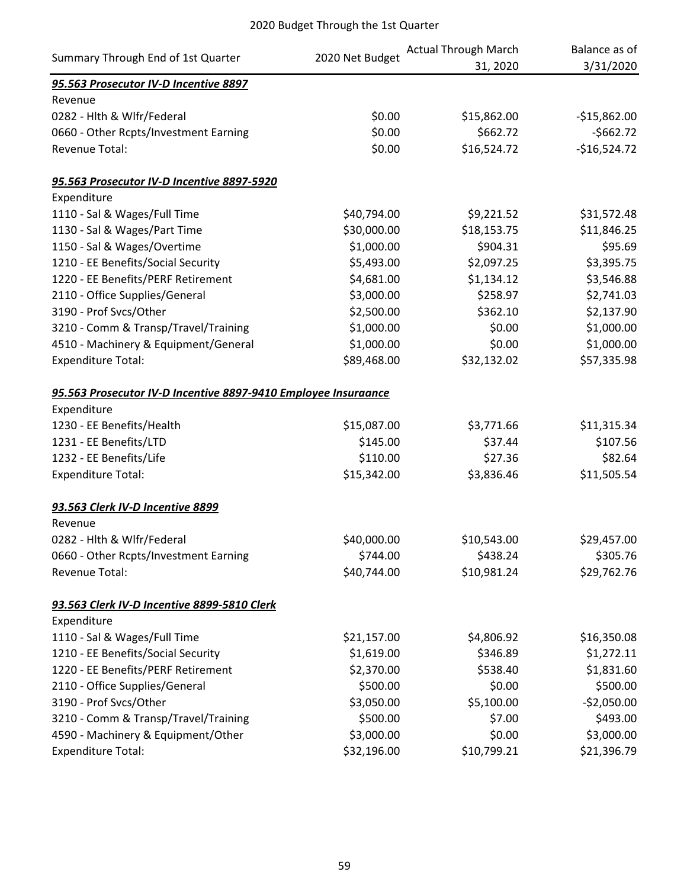| Summary Through End of 1st Quarter                             |                 | <b>Actual Through March</b> | Balance as of |
|----------------------------------------------------------------|-----------------|-----------------------------|---------------|
|                                                                | 2020 Net Budget | 31, 2020                    | 3/31/2020     |
| 95.563 Prosecutor IV-D Incentive 8897                          |                 |                             |               |
| Revenue                                                        |                 |                             |               |
| 0282 - Hlth & Wlfr/Federal                                     | \$0.00          | \$15,862.00                 | $-$15,862.00$ |
| 0660 - Other Rcpts/Investment Earning                          | \$0.00          | \$662.72                    | $-5662.72$    |
| <b>Revenue Total:</b>                                          | \$0.00          | \$16,524.72                 | $-$16,524.72$ |
| 95.563 Prosecutor IV-D Incentive 8897-5920                     |                 |                             |               |
| Expenditure                                                    |                 |                             |               |
| 1110 - Sal & Wages/Full Time                                   | \$40,794.00     | \$9,221.52                  | \$31,572.48   |
| 1130 - Sal & Wages/Part Time                                   | \$30,000.00     | \$18,153.75                 | \$11,846.25   |
| 1150 - Sal & Wages/Overtime                                    | \$1,000.00      | \$904.31                    | \$95.69       |
| 1210 - EE Benefits/Social Security                             | \$5,493.00      | \$2,097.25                  | \$3,395.75    |
| 1220 - EE Benefits/PERF Retirement                             | \$4,681.00      | \$1,134.12                  | \$3,546.88    |
| 2110 - Office Supplies/General                                 | \$3,000.00      | \$258.97                    | \$2,741.03    |
| 3190 - Prof Svcs/Other                                         | \$2,500.00      | \$362.10                    | \$2,137.90    |
| 3210 - Comm & Transp/Travel/Training                           | \$1,000.00      | \$0.00                      | \$1,000.00    |
| 4510 - Machinery & Equipment/General                           | \$1,000.00      | \$0.00                      | \$1,000.00    |
| <b>Expenditure Total:</b>                                      | \$89,468.00     | \$32,132.02                 | \$57,335.98   |
| 95.563 Prosecutor IV-D Incentive 8897-9410 Employee Insuraance |                 |                             |               |
| Expenditure                                                    |                 |                             |               |
| 1230 - EE Benefits/Health                                      | \$15,087.00     | \$3,771.66                  | \$11,315.34   |
| 1231 - EE Benefits/LTD                                         | \$145.00        | \$37.44                     | \$107.56      |
| 1232 - EE Benefits/Life                                        | \$110.00        | \$27.36                     | \$82.64       |
| <b>Expenditure Total:</b>                                      | \$15,342.00     | \$3,836.46                  | \$11,505.54   |
| 93.563 Clerk IV-D Incentive 8899                               |                 |                             |               |
| Revenue                                                        |                 |                             |               |
| 0282 - Hith & Wifr/Federal                                     | \$40,000.00     | \$10,543.00                 | \$29,457.00   |
| 0660 - Other Rcpts/Investment Earning                          | \$744.00        | \$438.24                    | \$305.76      |
| <b>Revenue Total:</b>                                          | \$40,744.00     | \$10,981.24                 | \$29,762.76   |
| 93.563 Clerk IV-D Incentive 8899-5810 Clerk                    |                 |                             |               |
| Expenditure                                                    |                 |                             |               |
| 1110 - Sal & Wages/Full Time                                   | \$21,157.00     | \$4,806.92                  | \$16,350.08   |
| 1210 - EE Benefits/Social Security                             | \$1,619.00      | \$346.89                    | \$1,272.11    |
| 1220 - EE Benefits/PERF Retirement                             | \$2,370.00      | \$538.40                    | \$1,831.60    |
| 2110 - Office Supplies/General                                 | \$500.00        | \$0.00                      | \$500.00      |
| 3190 - Prof Svcs/Other                                         | \$3,050.00      | \$5,100.00                  | $-$2,050.00$  |
| 3210 - Comm & Transp/Travel/Training                           | \$500.00        | \$7.00                      | \$493.00      |
| 4590 - Machinery & Equipment/Other                             | \$3,000.00      | \$0.00                      | \$3,000.00    |
| <b>Expenditure Total:</b>                                      | \$32,196.00     | \$10,799.21                 | \$21,396.79   |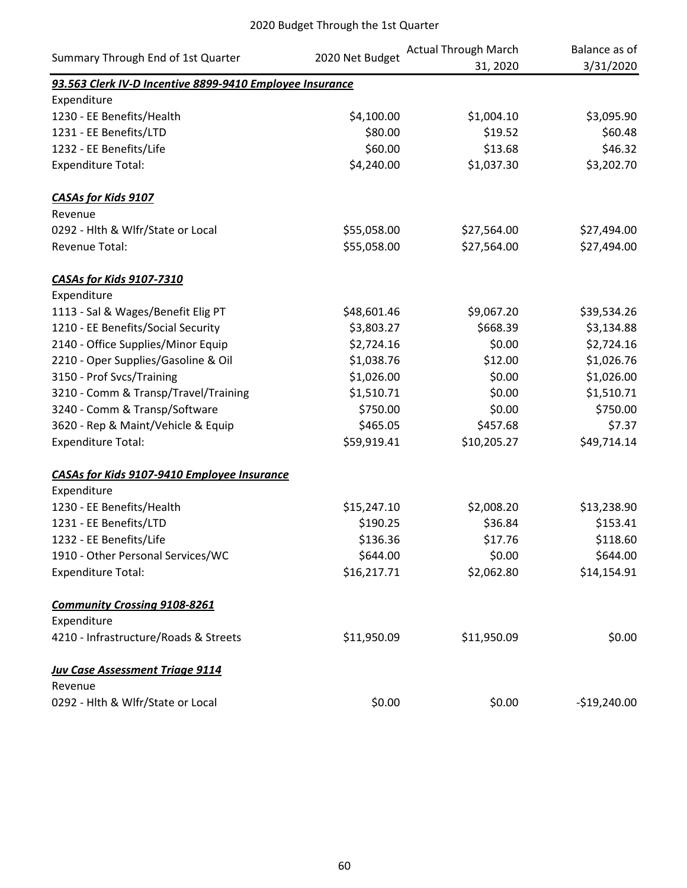|                                                          |                 | <b>Actual Through March</b> | Balance as of |
|----------------------------------------------------------|-----------------|-----------------------------|---------------|
| Summary Through End of 1st Quarter                       | 2020 Net Budget | 31, 2020                    | 3/31/2020     |
| 93.563 Clerk IV-D Incentive 8899-9410 Employee Insurance |                 |                             |               |
| Expenditure                                              |                 |                             |               |
| 1230 - EE Benefits/Health                                | \$4,100.00      | \$1,004.10                  | \$3,095.90    |
| 1231 - EE Benefits/LTD                                   | \$80.00         | \$19.52                     | \$60.48       |
| 1232 - EE Benefits/Life                                  | \$60.00         | \$13.68                     | \$46.32       |
| <b>Expenditure Total:</b>                                | \$4,240.00      | \$1,037.30                  | \$3,202.70    |
| <b>CASAs for Kids 9107</b>                               |                 |                             |               |
| Revenue                                                  |                 |                             |               |
| 0292 - Hlth & Wlfr/State or Local                        | \$55,058.00     | \$27,564.00                 | \$27,494.00   |
| Revenue Total:                                           | \$55,058.00     | \$27,564.00                 | \$27,494.00   |
| <b>CASAs for Kids 9107-7310</b>                          |                 |                             |               |
| Expenditure                                              |                 |                             |               |
| 1113 - Sal & Wages/Benefit Elig PT                       | \$48,601.46     | \$9,067.20                  | \$39,534.26   |
| 1210 - EE Benefits/Social Security                       | \$3,803.27      | \$668.39                    | \$3,134.88    |
| 2140 - Office Supplies/Minor Equip                       | \$2,724.16      | \$0.00                      | \$2,724.16    |
| 2210 - Oper Supplies/Gasoline & Oil                      | \$1,038.76      | \$12.00                     | \$1,026.76    |
| 3150 - Prof Svcs/Training                                | \$1,026.00      | \$0.00                      | \$1,026.00    |
| 3210 - Comm & Transp/Travel/Training                     | \$1,510.71      | \$0.00                      | \$1,510.71    |
| 3240 - Comm & Transp/Software                            | \$750.00        | \$0.00                      | \$750.00      |
| 3620 - Rep & Maint/Vehicle & Equip                       | \$465.05        | \$457.68                    | \$7.37        |
| <b>Expenditure Total:</b>                                | \$59,919.41     | \$10,205.27                 | \$49,714.14   |
| <b>CASAs for Kids 9107-9410 Employee Insurance</b>       |                 |                             |               |
| Expenditure                                              |                 |                             |               |
| 1230 - EE Benefits/Health                                | \$15,247.10     | \$2,008.20                  | \$13,238.90   |
| 1231 - EE Benefits/LTD                                   | \$190.25        | \$36.84                     | \$153.41      |
| 1232 - EE Benefits/Life                                  | \$136.36        | \$17.76                     | \$118.60      |
| 1910 - Other Personal Services/WC                        | \$644.00        | \$0.00                      | \$644.00      |
| <b>Expenditure Total:</b>                                | \$16,217.71     | \$2,062.80                  | \$14,154.91   |
| <b>Community Crossing 9108-8261</b>                      |                 |                             |               |
| Expenditure                                              |                 |                             |               |
| 4210 - Infrastructure/Roads & Streets                    | \$11,950.09     | \$11,950.09                 | \$0.00        |
| <b>Juv Case Assessment Triage 9114</b>                   |                 |                             |               |
| Revenue                                                  |                 |                             |               |
| 0292 - Hlth & Wlfr/State or Local                        | \$0.00          | \$0.00                      | $-$19,240.00$ |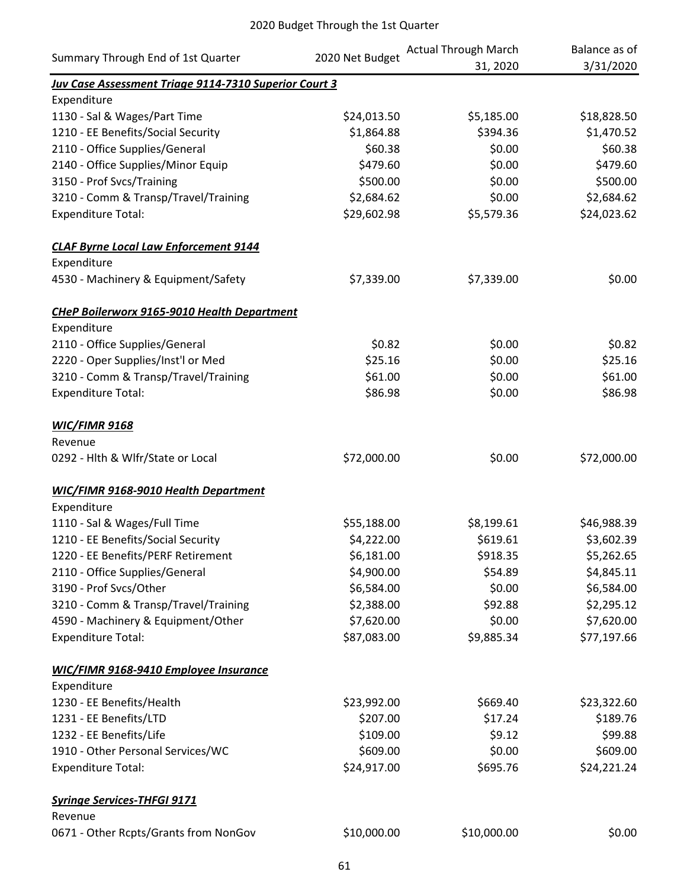| Summary Through End of 1st Quarter                           | 2020 Net Budget | <b>Actual Through March</b><br>31, 2020 | Balance as of<br>3/31/2020 |
|--------------------------------------------------------------|-----------------|-----------------------------------------|----------------------------|
| <b>Juv Case Assessment Triage 9114-7310 Superior Court 3</b> |                 |                                         |                            |
| Expenditure                                                  |                 |                                         |                            |
| 1130 - Sal & Wages/Part Time                                 | \$24,013.50     | \$5,185.00                              | \$18,828.50                |
| 1210 - EE Benefits/Social Security                           | \$1,864.88      | \$394.36                                | \$1,470.52                 |
| 2110 - Office Supplies/General                               | \$60.38         | \$0.00                                  | \$60.38                    |
| 2140 - Office Supplies/Minor Equip                           | \$479.60        | \$0.00                                  | \$479.60                   |
| 3150 - Prof Svcs/Training                                    | \$500.00        | \$0.00                                  | \$500.00                   |
| 3210 - Comm & Transp/Travel/Training                         | \$2,684.62      | \$0.00                                  | \$2,684.62                 |
| <b>Expenditure Total:</b>                                    | \$29,602.98     | \$5,579.36                              | \$24,023.62                |
| <b>CLAF Byrne Local Law Enforcement 9144</b>                 |                 |                                         |                            |
| Expenditure                                                  |                 |                                         |                            |
| 4530 - Machinery & Equipment/Safety                          | \$7,339.00      | \$7,339.00                              | \$0.00                     |
| <b>CHeP Boilerworx 9165-9010 Health Department</b>           |                 |                                         |                            |
| Expenditure                                                  |                 |                                         |                            |
| 2110 - Office Supplies/General                               | \$0.82          | \$0.00                                  | \$0.82                     |
| 2220 - Oper Supplies/Inst'l or Med                           | \$25.16         | \$0.00                                  | \$25.16                    |
| 3210 - Comm & Transp/Travel/Training                         | \$61.00         | \$0.00                                  | \$61.00                    |
| <b>Expenditure Total:</b>                                    | \$86.98         | \$0.00                                  | \$86.98                    |
| <b>WIC/FIMR 9168</b>                                         |                 |                                         |                            |
| Revenue                                                      |                 |                                         |                            |
| 0292 - Hlth & Wlfr/State or Local                            | \$72,000.00     | \$0.00                                  | \$72,000.00                |
| WIC/FIMR 9168-9010 Health Department                         |                 |                                         |                            |
| Expenditure                                                  |                 |                                         |                            |
| 1110 - Sal & Wages/Full Time                                 | \$55,188.00     | \$8,199.61                              | \$46,988.39                |
| 1210 - EE Benefits/Social Security                           | \$4,222.00      | \$619.61                                | \$3,602.39                 |
| 1220 - EE Benefits/PERF Retirement                           | \$6,181.00      | \$918.35                                | \$5,262.65                 |
| 2110 - Office Supplies/General                               | \$4,900.00      | \$54.89                                 | \$4,845.11                 |
| 3190 - Prof Svcs/Other                                       | \$6,584.00      | \$0.00                                  | \$6,584.00                 |
| 3210 - Comm & Transp/Travel/Training                         | \$2,388.00      | \$92.88                                 | \$2,295.12                 |
| 4590 - Machinery & Equipment/Other                           | \$7,620.00      | \$0.00                                  | \$7,620.00                 |
| <b>Expenditure Total:</b>                                    | \$87,083.00     | \$9,885.34                              | \$77,197.66                |
| <b>WIC/FIMR 9168-9410 Employee Insurance</b>                 |                 |                                         |                            |
| Expenditure                                                  |                 |                                         |                            |
| 1230 - EE Benefits/Health                                    | \$23,992.00     | \$669.40                                | \$23,322.60                |
| 1231 - EE Benefits/LTD                                       | \$207.00        | \$17.24                                 | \$189.76                   |
| 1232 - EE Benefits/Life                                      | \$109.00        | \$9.12                                  | \$99.88                    |
| 1910 - Other Personal Services/WC                            | \$609.00        | \$0.00                                  | \$609.00                   |
| <b>Expenditure Total:</b>                                    | \$24,917.00     | \$695.76                                | \$24,221.24                |
| <b>Syringe Services-THFGI 9171</b>                           |                 |                                         |                            |
| Revenue                                                      |                 |                                         |                            |
| 0671 - Other Rcpts/Grants from NonGov                        | \$10,000.00     | \$10,000.00                             | \$0.00                     |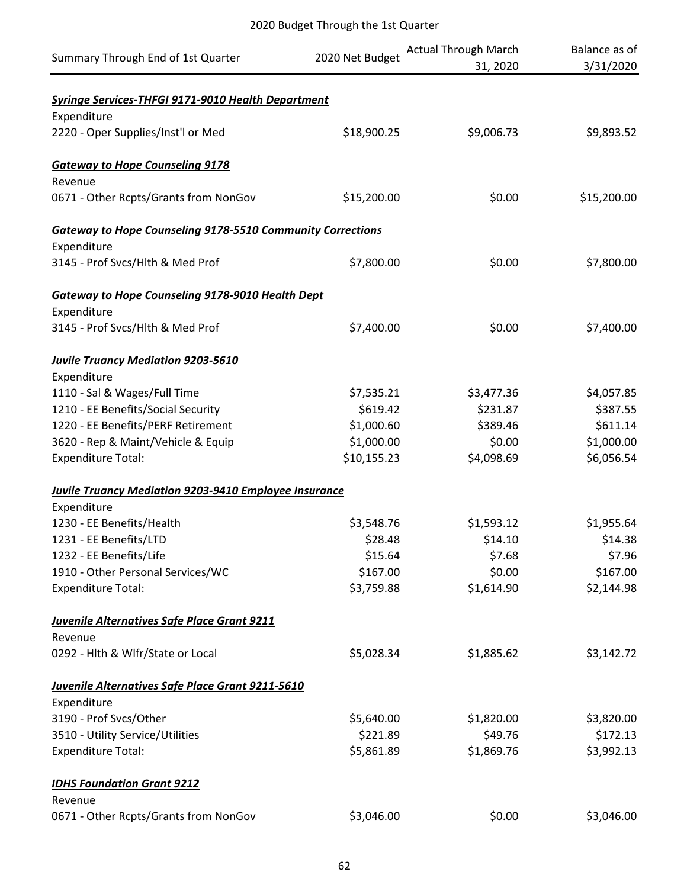| Summary Through End of 1st Quarter                                | 2020 Net Budget | <b>Actual Through March</b><br>31, 2020 | Balance as of<br>3/31/2020 |
|-------------------------------------------------------------------|-----------------|-----------------------------------------|----------------------------|
| <b>Syringe Services-THFGI 9171-9010 Health Department</b>         |                 |                                         |                            |
| Expenditure                                                       |                 |                                         |                            |
| 2220 - Oper Supplies/Inst'l or Med                                | \$18,900.25     | \$9,006.73                              | \$9,893.52                 |
| <b>Gateway to Hope Counseling 9178</b>                            |                 |                                         |                            |
| Revenue                                                           |                 |                                         |                            |
| 0671 - Other Rcpts/Grants from NonGov                             | \$15,200.00     | \$0.00                                  | \$15,200.00                |
| <b>Gateway to Hope Counseling 9178-5510 Community Corrections</b> |                 |                                         |                            |
| Expenditure                                                       |                 |                                         |                            |
| 3145 - Prof Svcs/Hlth & Med Prof                                  | \$7,800.00      | \$0.00                                  | \$7,800.00                 |
| <b>Gateway to Hope Counseling 9178-9010 Health Dept</b>           |                 |                                         |                            |
| Expenditure                                                       |                 |                                         |                            |
| 3145 - Prof Svcs/Hlth & Med Prof                                  | \$7,400.00      | \$0.00                                  | \$7,400.00                 |
| <b>Juvile Truancy Mediation 9203-5610</b>                         |                 |                                         |                            |
| Expenditure                                                       |                 |                                         |                            |
| 1110 - Sal & Wages/Full Time                                      | \$7,535.21      | \$3,477.36                              | \$4,057.85                 |
| 1210 - EE Benefits/Social Security                                | \$619.42        | \$231.87                                | \$387.55                   |
| 1220 - EE Benefits/PERF Retirement                                | \$1,000.60      | \$389.46                                | \$611.14                   |
| 3620 - Rep & Maint/Vehicle & Equip                                | \$1,000.00      | \$0.00                                  | \$1,000.00                 |
| <b>Expenditure Total:</b>                                         | \$10,155.23     | \$4,098.69                              | \$6,056.54                 |
| <b>Juvile Truancy Mediation 9203-9410 Employee Insurance</b>      |                 |                                         |                            |
| Expenditure                                                       |                 |                                         |                            |
| 1230 - EE Benefits/Health                                         | \$3,548.76      | \$1,593.12                              | \$1,955.64                 |
| 1231 - EE Benefits/LTD                                            | \$28.48         | \$14.10                                 | \$14.38                    |
| 1232 - EE Benefits/Life                                           | \$15.64         | \$7.68                                  | \$7.96                     |
| 1910 - Other Personal Services/WC                                 | \$167.00        | \$0.00                                  | \$167.00                   |
| <b>Expenditure Total:</b>                                         | \$3,759.88      | \$1,614.90                              | \$2,144.98                 |
| <b>Juvenile Alternatives Safe Place Grant 9211</b>                |                 |                                         |                            |
| Revenue                                                           |                 |                                         |                            |
| 0292 - Hith & Wifr/State or Local                                 | \$5,028.34      | \$1,885.62                              | \$3,142.72                 |
| Juvenile Alternatives Safe Place Grant 9211-5610                  |                 |                                         |                            |
| Expenditure                                                       |                 |                                         |                            |
| 3190 - Prof Svcs/Other                                            | \$5,640.00      | \$1,820.00                              | \$3,820.00                 |
| 3510 - Utility Service/Utilities                                  | \$221.89        | \$49.76                                 | \$172.13                   |
| <b>Expenditure Total:</b>                                         | \$5,861.89      | \$1,869.76                              | \$3,992.13                 |
| <b>IDHS Foundation Grant 9212</b>                                 |                 |                                         |                            |
| Revenue                                                           |                 |                                         |                            |
| 0671 - Other Rcpts/Grants from NonGov                             | \$3,046.00      | \$0.00                                  | \$3,046.00                 |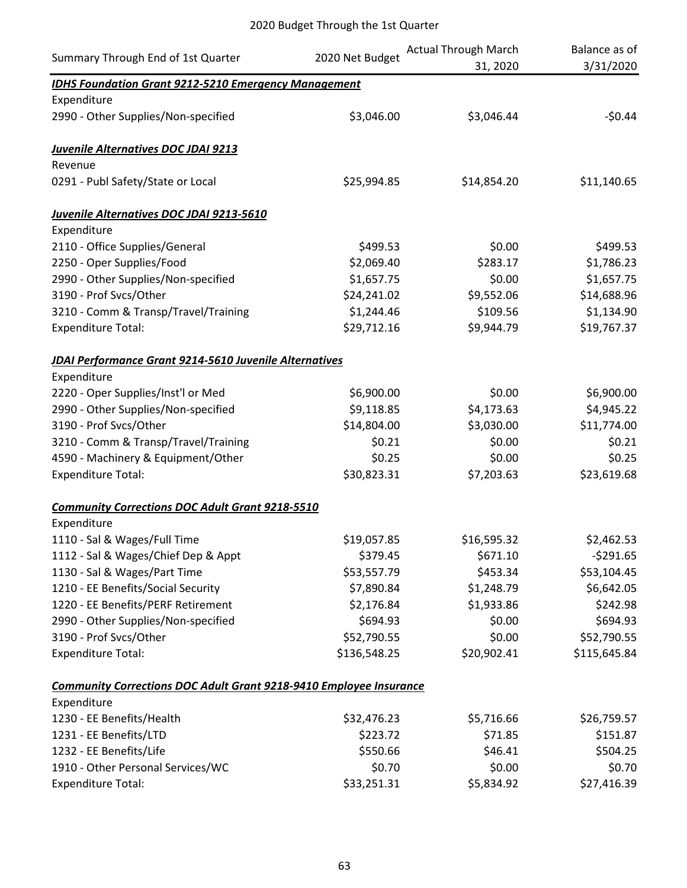| Summary Through End of 1st Quarter                                         | 2020 Net Budget | <b>Actual Through March</b> | Balance as of |
|----------------------------------------------------------------------------|-----------------|-----------------------------|---------------|
|                                                                            |                 | 31, 2020                    | 3/31/2020     |
| <b>IDHS Foundation Grant 9212-5210 Emergency Management</b><br>Expenditure |                 |                             |               |
| 2990 - Other Supplies/Non-specified                                        | \$3,046.00      | \$3,046.44                  | $-50.44$      |
|                                                                            |                 |                             |               |
| Juvenile Alternatives DOC JDAI 9213                                        |                 |                             |               |
| Revenue                                                                    |                 |                             |               |
| 0291 - Publ Safety/State or Local                                          | \$25,994.85     | \$14,854.20                 | \$11,140.65   |
| Juvenile Alternatives DOC JDAI 9213-5610                                   |                 |                             |               |
| Expenditure                                                                |                 |                             |               |
| 2110 - Office Supplies/General                                             | \$499.53        | \$0.00                      | \$499.53      |
| 2250 - Oper Supplies/Food                                                  | \$2,069.40      | \$283.17                    | \$1,786.23    |
| 2990 - Other Supplies/Non-specified                                        | \$1,657.75      | \$0.00                      | \$1,657.75    |
| 3190 - Prof Svcs/Other                                                     | \$24,241.02     | \$9,552.06                  | \$14,688.96   |
| 3210 - Comm & Transp/Travel/Training                                       | \$1,244.46      | \$109.56                    | \$1,134.90    |
| <b>Expenditure Total:</b>                                                  | \$29,712.16     | \$9,944.79                  | \$19,767.37   |
| JDAI Performance Grant 9214-5610 Juvenile Alternatives                     |                 |                             |               |
| Expenditure                                                                |                 |                             |               |
| 2220 - Oper Supplies/Inst'l or Med                                         | \$6,900.00      | \$0.00                      | \$6,900.00    |
| 2990 - Other Supplies/Non-specified                                        | \$9,118.85      | \$4,173.63                  | \$4,945.22    |
| 3190 - Prof Svcs/Other                                                     | \$14,804.00     | \$3,030.00                  | \$11,774.00   |
| 3210 - Comm & Transp/Travel/Training                                       | \$0.21          | \$0.00                      | \$0.21        |
| 4590 - Machinery & Equipment/Other                                         | \$0.25          | \$0.00                      | \$0.25        |
| <b>Expenditure Total:</b>                                                  | \$30,823.31     | \$7,203.63                  | \$23,619.68   |
| <b>Community Corrections DOC Adult Grant 9218-5510</b>                     |                 |                             |               |
| Expenditure                                                                |                 |                             |               |
| 1110 - Sal & Wages/Full Time                                               | \$19,057.85     | \$16,595.32                 | \$2,462.53    |
| 1112 - Sal & Wages/Chief Dep & Appt                                        | \$379.45        | \$671.10                    | $-5291.65$    |
| 1130 - Sal & Wages/Part Time                                               | \$53,557.79     | \$453.34                    | \$53,104.45   |
| 1210 - EE Benefits/Social Security                                         | \$7,890.84      | \$1,248.79                  | \$6,642.05    |
| 1220 - EE Benefits/PERF Retirement                                         | \$2,176.84      | \$1,933.86                  | \$242.98      |
| 2990 - Other Supplies/Non-specified                                        | \$694.93        | \$0.00                      | \$694.93      |
| 3190 - Prof Svcs/Other                                                     | \$52,790.55     | \$0.00                      | \$52,790.55   |
| <b>Expenditure Total:</b>                                                  | \$136,548.25    | \$20,902.41                 | \$115,645.84  |
| <b>Community Corrections DOC Adult Grant 9218-9410 Employee Insurance</b>  |                 |                             |               |
| Expenditure                                                                |                 |                             |               |
| 1230 - EE Benefits/Health                                                  | \$32,476.23     | \$5,716.66                  | \$26,759.57   |
| 1231 - EE Benefits/LTD                                                     | \$223.72        | \$71.85                     | \$151.87      |
| 1232 - EE Benefits/Life                                                    | \$550.66        | \$46.41                     | \$504.25      |
| 1910 - Other Personal Services/WC                                          | \$0.70          | \$0.00                      | \$0.70        |
| <b>Expenditure Total:</b>                                                  | \$33,251.31     | \$5,834.92                  | \$27,416.39   |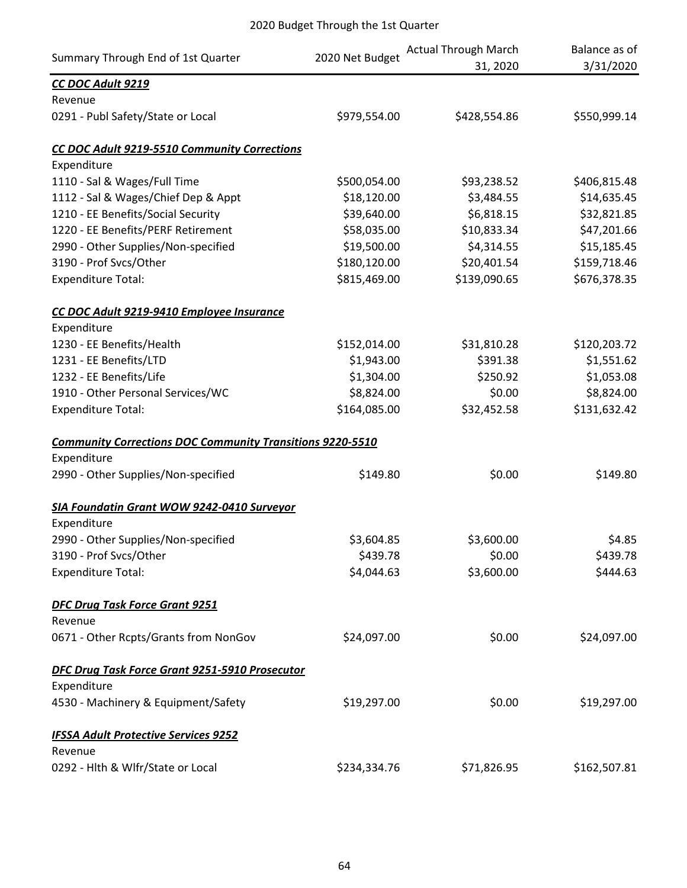| Summary Through End of 1st Quarter                               | 2020 Net Budget | <b>Actual Through March</b> | Balance as of |
|------------------------------------------------------------------|-----------------|-----------------------------|---------------|
|                                                                  |                 | 31, 2020                    | 3/31/2020     |
| CC DOC Adult 9219<br>Revenue                                     |                 |                             |               |
| 0291 - Publ Safety/State or Local                                | \$979,554.00    | \$428,554.86                | \$550,999.14  |
| CC DOC Adult 9219-5510 Community Corrections                     |                 |                             |               |
| Expenditure                                                      |                 |                             |               |
| 1110 - Sal & Wages/Full Time                                     | \$500,054.00    | \$93,238.52                 | \$406,815.48  |
| 1112 - Sal & Wages/Chief Dep & Appt                              | \$18,120.00     | \$3,484.55                  | \$14,635.45   |
| 1210 - EE Benefits/Social Security                               | \$39,640.00     | \$6,818.15                  | \$32,821.85   |
| 1220 - EE Benefits/PERF Retirement                               | \$58,035.00     | \$10,833.34                 | \$47,201.66   |
| 2990 - Other Supplies/Non-specified                              | \$19,500.00     | \$4,314.55                  | \$15,185.45   |
| 3190 - Prof Svcs/Other                                           | \$180,120.00    | \$20,401.54                 | \$159,718.46  |
| <b>Expenditure Total:</b>                                        | \$815,469.00    | \$139,090.65                | \$676,378.35  |
| CC DOC Adult 9219-9410 Employee Insurance                        |                 |                             |               |
| Expenditure                                                      |                 |                             |               |
| 1230 - EE Benefits/Health                                        | \$152,014.00    | \$31,810.28                 | \$120,203.72  |
| 1231 - EE Benefits/LTD                                           | \$1,943.00      | \$391.38                    | \$1,551.62    |
| 1232 - EE Benefits/Life                                          | \$1,304.00      | \$250.92                    | \$1,053.08    |
| 1910 - Other Personal Services/WC                                | \$8,824.00      | \$0.00                      | \$8,824.00    |
| <b>Expenditure Total:</b>                                        | \$164,085.00    | \$32,452.58                 | \$131,632.42  |
| <b>Community Corrections DOC Community Transitions 9220-5510</b> |                 |                             |               |
| Expenditure                                                      |                 |                             |               |
| 2990 - Other Supplies/Non-specified                              | \$149.80        | \$0.00                      | \$149.80      |
| SIA Foundatin Grant WOW 9242-0410 Surveyor                       |                 |                             |               |
| Expenditure                                                      |                 |                             |               |
| 2990 - Other Supplies/Non-specified                              | \$3,604.85      | \$3,600.00                  | \$4.85        |
| 3190 - Prof Svcs/Other                                           | \$439.78        | \$0.00                      | \$439.78      |
| <b>Expenditure Total:</b>                                        | \$4,044.63      | \$3,600.00                  | \$444.63      |
| <b>DFC Drug Task Force Grant 9251</b>                            |                 |                             |               |
| Revenue                                                          |                 |                             |               |
| 0671 - Other Rcpts/Grants from NonGov                            | \$24,097.00     | \$0.00                      | \$24,097.00   |
| DFC Drug Task Force Grant 9251-5910 Prosecutor                   |                 |                             |               |
| Expenditure                                                      |                 |                             |               |
| 4530 - Machinery & Equipment/Safety                              | \$19,297.00     | \$0.00                      | \$19,297.00   |
| <b>IFSSA Adult Protective Services 9252</b>                      |                 |                             |               |
| Revenue                                                          |                 |                             |               |
| 0292 - Hlth & Wlfr/State or Local                                | \$234,334.76    | \$71,826.95                 | \$162,507.81  |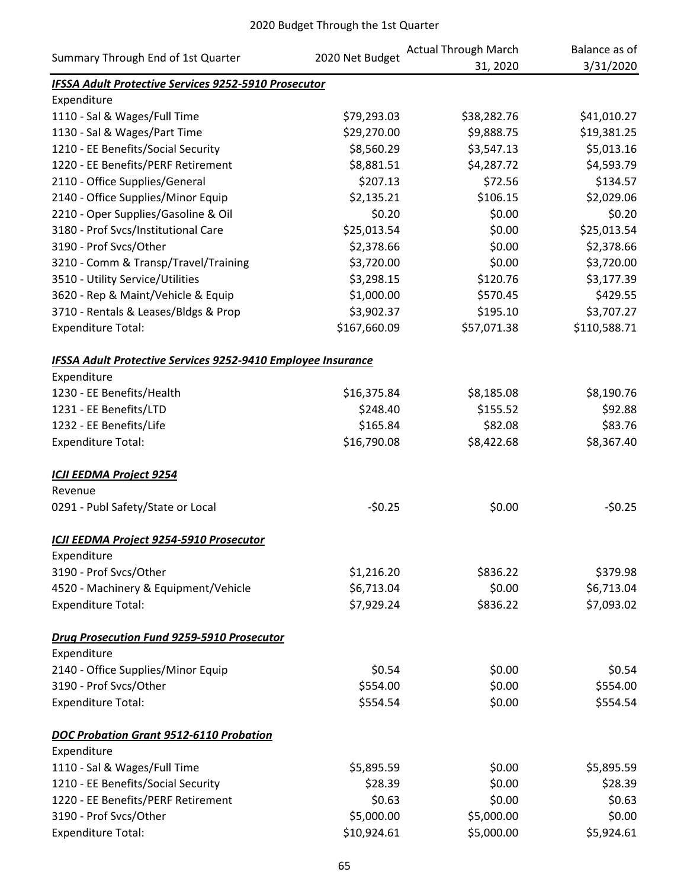| Summary Through End of 1st Quarter                           | 2020 Net Budget | <b>Actual Through March</b> | Balance as of |
|--------------------------------------------------------------|-----------------|-----------------------------|---------------|
|                                                              |                 | 31, 2020                    | 3/31/2020     |
| IFSSA Adult Protective Services 9252-5910 Prosecutor         |                 |                             |               |
| Expenditure                                                  |                 |                             |               |
| 1110 - Sal & Wages/Full Time                                 | \$79,293.03     | \$38,282.76                 | \$41,010.27   |
| 1130 - Sal & Wages/Part Time                                 | \$29,270.00     | \$9,888.75                  | \$19,381.25   |
| 1210 - EE Benefits/Social Security                           | \$8,560.29      | \$3,547.13                  | \$5,013.16    |
| 1220 - EE Benefits/PERF Retirement                           | \$8,881.51      | \$4,287.72                  | \$4,593.79    |
| 2110 - Office Supplies/General                               | \$207.13        | \$72.56                     | \$134.57      |
| 2140 - Office Supplies/Minor Equip                           | \$2,135.21      | \$106.15                    | \$2,029.06    |
| 2210 - Oper Supplies/Gasoline & Oil                          | \$0.20          | \$0.00                      | \$0.20        |
| 3180 - Prof Svcs/Institutional Care                          | \$25,013.54     | \$0.00                      | \$25,013.54   |
| 3190 - Prof Svcs/Other                                       | \$2,378.66      | \$0.00                      | \$2,378.66    |
| 3210 - Comm & Transp/Travel/Training                         | \$3,720.00      | \$0.00                      | \$3,720.00    |
| 3510 - Utility Service/Utilities                             | \$3,298.15      | \$120.76                    | \$3,177.39    |
| 3620 - Rep & Maint/Vehicle & Equip                           | \$1,000.00      | \$570.45                    | \$429.55      |
| 3710 - Rentals & Leases/Bldgs & Prop                         | \$3,902.37      | \$195.10                    | \$3,707.27    |
| <b>Expenditure Total:</b>                                    | \$167,660.09    | \$57,071.38                 | \$110,588.71  |
| IFSSA Adult Protective Services 9252-9410 Employee Insurance |                 |                             |               |
| Expenditure                                                  |                 |                             |               |
| 1230 - EE Benefits/Health                                    | \$16,375.84     | \$8,185.08                  | \$8,190.76    |
| 1231 - EE Benefits/LTD                                       | \$248.40        | \$155.52                    | \$92.88       |
| 1232 - EE Benefits/Life                                      | \$165.84        | \$82.08                     | \$83.76       |
| <b>Expenditure Total:</b>                                    | \$16,790.08     | \$8,422.68                  | \$8,367.40    |
| <b>ICJI EEDMA Project 9254</b>                               |                 |                             |               |
| Revenue                                                      |                 |                             |               |
| 0291 - Publ Safety/State or Local                            | $-50.25$        | \$0.00                      | $-50.25$      |
| ICJI EEDMA Project 9254-5910 Prosecutor                      |                 |                             |               |
| Expenditure                                                  |                 |                             |               |
| 3190 - Prof Svcs/Other                                       | \$1,216.20      | \$836.22                    | \$379.98      |
| 4520 - Machinery & Equipment/Vehicle                         | \$6,713.04      | \$0.00                      | \$6,713.04    |
| <b>Expenditure Total:</b>                                    | \$7,929.24      | \$836.22                    | \$7,093.02    |
| Drug Prosecution Fund 9259-5910 Prosecutor                   |                 |                             |               |
| Expenditure                                                  |                 |                             |               |
| 2140 - Office Supplies/Minor Equip                           | \$0.54          | \$0.00                      | \$0.54        |
| 3190 - Prof Svcs/Other                                       | \$554.00        | \$0.00                      | \$554.00      |
| <b>Expenditure Total:</b>                                    | \$554.54        | \$0.00                      | \$554.54      |
| DOC Probation Grant 9512-6110 Probation                      |                 |                             |               |
| Expenditure                                                  |                 |                             |               |
| 1110 - Sal & Wages/Full Time                                 | \$5,895.59      | \$0.00                      | \$5,895.59    |
| 1210 - EE Benefits/Social Security                           | \$28.39         | \$0.00                      | \$28.39       |
| 1220 - EE Benefits/PERF Retirement                           | \$0.63          | \$0.00                      | \$0.63        |
| 3190 - Prof Svcs/Other                                       | \$5,000.00      | \$5,000.00                  | \$0.00        |
| <b>Expenditure Total:</b>                                    | \$10,924.61     | \$5,000.00                  | \$5,924.61    |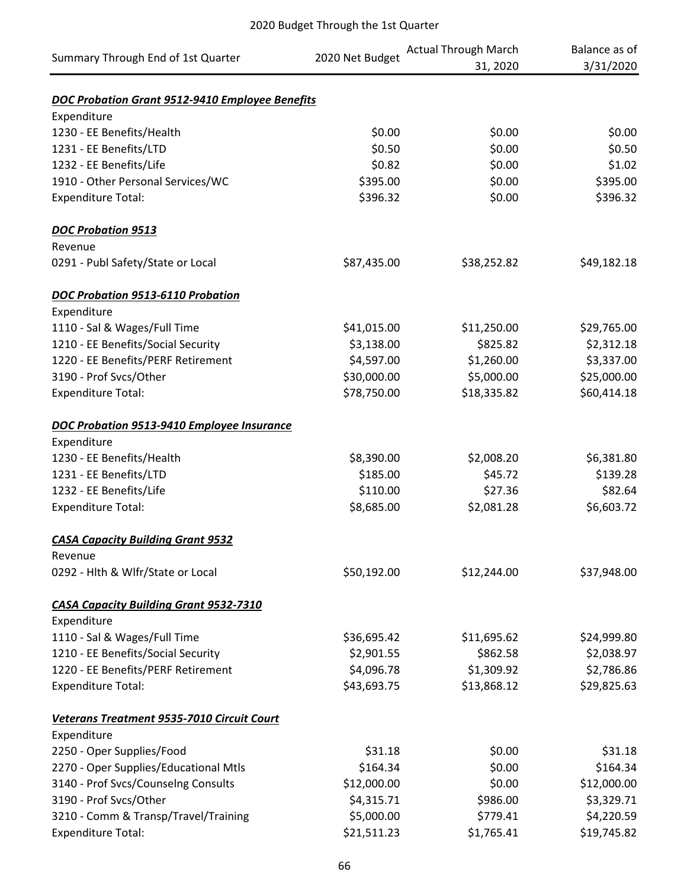| Summary Through End of 1st Quarter                           | 2020 Net Budget           | <b>Actual Through March</b> | Balance as of |
|--------------------------------------------------------------|---------------------------|-----------------------------|---------------|
|                                                              |                           | 31, 2020                    | 3/31/2020     |
|                                                              |                           |                             |               |
| DOC Probation Grant 9512-9410 Employee Benefits              |                           |                             |               |
| Expenditure                                                  |                           |                             |               |
| 1230 - EE Benefits/Health                                    | \$0.00                    | \$0.00                      | \$0.00        |
| 1231 - EE Benefits/LTD                                       | \$0.50                    | \$0.00                      | \$0.50        |
| 1232 - EE Benefits/Life                                      | \$0.82                    | \$0.00                      | \$1.02        |
| 1910 - Other Personal Services/WC                            | \$395.00                  | \$0.00                      | \$395.00      |
| <b>Expenditure Total:</b>                                    | \$396.32                  | \$0.00                      | \$396.32      |
| <b>DOC Probation 9513</b>                                    |                           |                             |               |
| Revenue                                                      |                           |                             |               |
| 0291 - Publ Safety/State or Local                            | \$87,435.00               | \$38,252.82                 | \$49,182.18   |
| DOC Probation 9513-6110 Probation                            |                           |                             |               |
| Expenditure                                                  |                           |                             |               |
| 1110 - Sal & Wages/Full Time                                 | \$41,015.00               | \$11,250.00                 | \$29,765.00   |
| 1210 - EE Benefits/Social Security                           | \$3,138.00                | \$825.82                    | \$2,312.18    |
| 1220 - EE Benefits/PERF Retirement                           | \$4,597.00                | \$1,260.00                  | \$3,337.00    |
| 3190 - Prof Svcs/Other                                       | \$30,000.00               | \$5,000.00                  | \$25,000.00   |
| <b>Expenditure Total:</b>                                    | \$78,750.00               | \$18,335.82                 | \$60,414.18   |
|                                                              |                           |                             |               |
| DOC Probation 9513-9410 Employee Insurance                   |                           |                             |               |
| Expenditure                                                  |                           |                             |               |
| 1230 - EE Benefits/Health                                    | \$8,390.00                | \$2,008.20                  | \$6,381.80    |
| 1231 - EE Benefits/LTD                                       | \$185.00                  | \$45.72                     | \$139.28      |
| 1232 - EE Benefits/Life                                      | \$110.00                  | \$27.36                     | \$82.64       |
| <b>Expenditure Total:</b>                                    | \$8,685.00                | \$2,081.28                  | \$6,603.72    |
| <b>CASA Capacity Building Grant 9532</b>                     |                           |                             |               |
| Revenue                                                      |                           |                             |               |
| 0292 - Hlth & Wlfr/State or Local                            | \$50,192.00               | \$12,244.00                 | \$37,948.00   |
|                                                              |                           |                             |               |
| <b>CASA Capacity Building Grant 9532-7310</b><br>Expenditure |                           |                             |               |
| 1110 - Sal & Wages/Full Time                                 | \$36,695.42               | \$11,695.62                 | \$24,999.80   |
| 1210 - EE Benefits/Social Security                           |                           | \$862.58                    |               |
|                                                              | \$2,901.55                |                             | \$2,038.97    |
| 1220 - EE Benefits/PERF Retirement                           | \$4,096.78<br>\$43,693.75 | \$1,309.92                  | \$2,786.86    |
| <b>Expenditure Total:</b>                                    |                           | \$13,868.12                 | \$29,825.63   |
| Veterans Treatment 9535-7010 Circuit Court                   |                           |                             |               |
| Expenditure                                                  |                           |                             |               |
| 2250 - Oper Supplies/Food                                    | \$31.18                   | \$0.00                      | \$31.18       |
| 2270 - Oper Supplies/Educational Mtls                        | \$164.34                  | \$0.00                      | \$164.34      |
| 3140 - Prof Svcs/Counselng Consults                          | \$12,000.00               | \$0.00                      | \$12,000.00   |
| 3190 - Prof Svcs/Other                                       | \$4,315.71                | \$986.00                    | \$3,329.71    |
| 3210 - Comm & Transp/Travel/Training                         | \$5,000.00                | \$779.41                    | \$4,220.59    |
| <b>Expenditure Total:</b>                                    | \$21,511.23               | \$1,765.41                  | \$19,745.82   |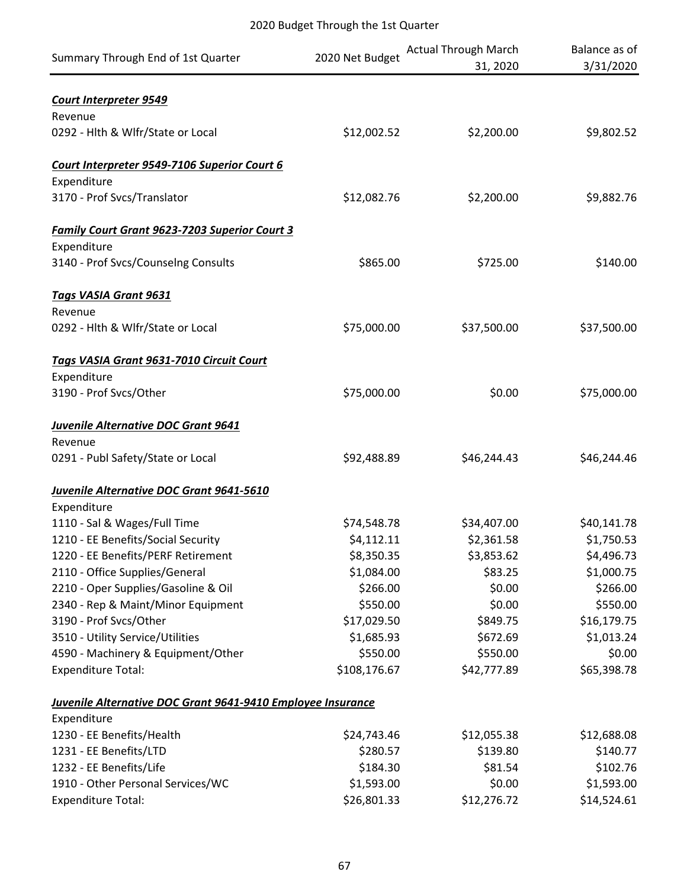| Summary Through End of 1st Quarter                                   | 2020 Net Budget          | <b>Actual Through March</b><br>31, 2020 | Balance as of<br>3/31/2020 |
|----------------------------------------------------------------------|--------------------------|-----------------------------------------|----------------------------|
| <b>Court Interpreter 9549</b>                                        |                          |                                         |                            |
| Revenue                                                              |                          |                                         |                            |
| 0292 - Hlth & Wlfr/State or Local                                    | \$12,002.52              | \$2,200.00                              | \$9,802.52                 |
| Court Interpreter 9549-7106 Superior Court 6                         |                          |                                         |                            |
| Expenditure                                                          |                          |                                         |                            |
| 3170 - Prof Svcs/Translator                                          | \$12,082.76              | \$2,200.00                              | \$9,882.76                 |
| <b>Family Court Grant 9623-7203 Superior Court 3</b>                 |                          |                                         |                            |
| Expenditure                                                          |                          |                                         |                            |
| 3140 - Prof Svcs/Counselng Consults                                  | \$865.00                 | \$725.00                                | \$140.00                   |
| <b>Tags VASIA Grant 9631</b>                                         |                          |                                         |                            |
| Revenue                                                              |                          |                                         |                            |
| 0292 - Hlth & Wlfr/State or Local                                    | \$75,000.00              | \$37,500.00                             | \$37,500.00                |
| Tags VASIA Grant 9631-7010 Circuit Court                             |                          |                                         |                            |
| Expenditure                                                          |                          |                                         |                            |
| 3190 - Prof Svcs/Other                                               | \$75,000.00              | \$0.00                                  | \$75,000.00                |
| <b>Juvenile Alternative DOC Grant 9641</b>                           |                          |                                         |                            |
| Revenue                                                              |                          |                                         |                            |
| 0291 - Publ Safety/State or Local                                    | \$92,488.89              | \$46,244.43                             | \$46,244.46                |
| Juvenile Alternative DOC Grant 9641-5610                             |                          |                                         |                            |
| Expenditure                                                          |                          |                                         |                            |
| 1110 - Sal & Wages/Full Time                                         | \$74,548.78              | \$34,407.00                             | \$40,141.78                |
| 1210 - EE Benefits/Social Security                                   | \$4,112.11               | \$2,361.58                              | \$1,750.53                 |
| 1220 - EE Benefits/PERF Retirement<br>2110 - Office Supplies/General | \$8,350.35<br>\$1,084.00 | \$3,853.62<br>\$83.25                   | \$4,496.73<br>\$1,000.75   |
| 2210 - Oper Supplies/Gasoline & Oil                                  | \$266.00                 | \$0.00                                  | \$266.00                   |
| 2340 - Rep & Maint/Minor Equipment                                   | \$550.00                 | \$0.00                                  | \$550.00                   |
| 3190 - Prof Svcs/Other                                               | \$17,029.50              | \$849.75                                | \$16,179.75                |
| 3510 - Utility Service/Utilities                                     | \$1,685.93               | \$672.69                                | \$1,013.24                 |
| 4590 - Machinery & Equipment/Other                                   | \$550.00                 | \$550.00                                | \$0.00                     |
| <b>Expenditure Total:</b>                                            | \$108,176.67             | \$42,777.89                             | \$65,398.78                |
|                                                                      |                          |                                         |                            |
| Juvenile Alternative DOC Grant 9641-9410 Employee Insurance          |                          |                                         |                            |
| Expenditure                                                          |                          |                                         |                            |
| 1230 - EE Benefits/Health                                            | \$24,743.46              | \$12,055.38                             | \$12,688.08                |
| 1231 - EE Benefits/LTD                                               | \$280.57                 | \$139.80                                | \$140.77                   |
| 1232 - EE Benefits/Life                                              | \$184.30                 | \$81.54                                 | \$102.76                   |
| 1910 - Other Personal Services/WC                                    | \$1,593.00               | \$0.00                                  | \$1,593.00                 |
| <b>Expenditure Total:</b>                                            | \$26,801.33              | \$12,276.72                             | \$14,524.61                |